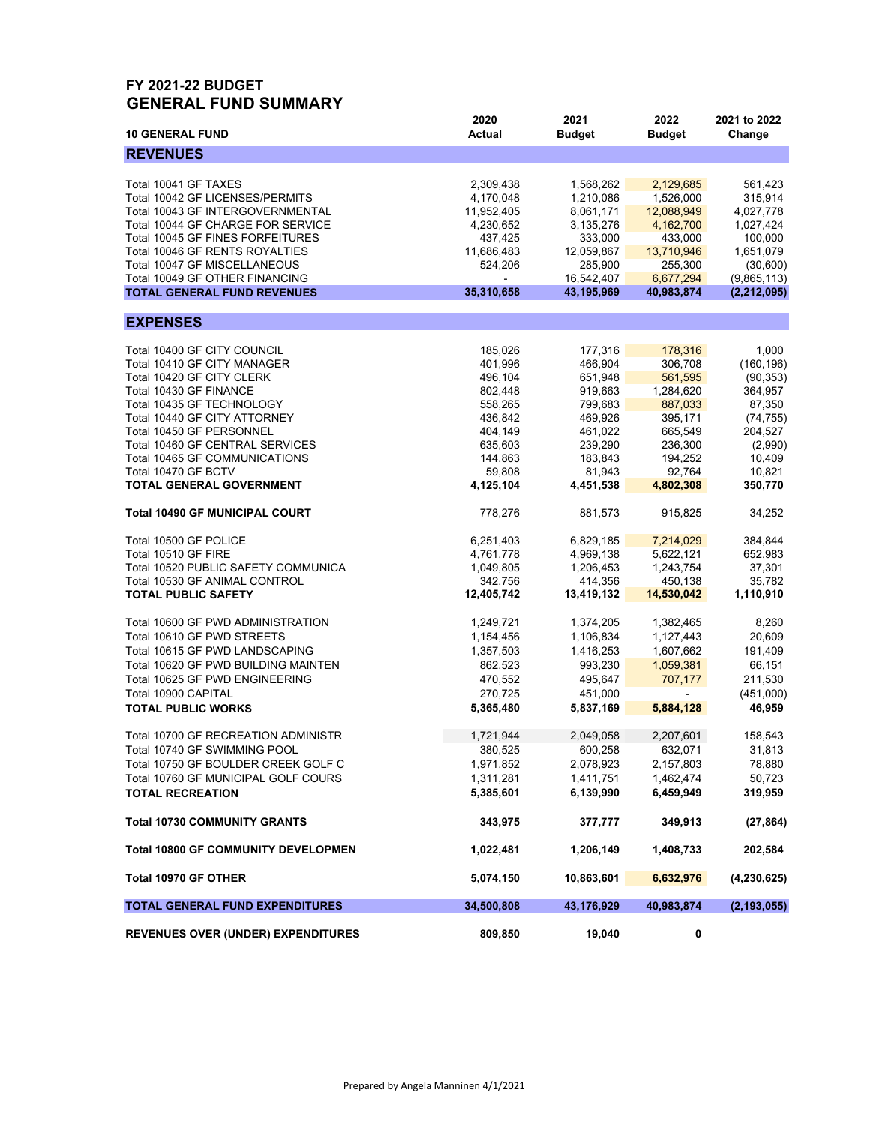## **FY 2021-22 BUDGET GENERAL FUND SUMMARY**

| <b>10 GENERAL FUND</b>                     | 2020<br><b>Actual</b> | 2021<br><b>Budget</b> | 2022<br><b>Budget</b> | 2021 to 2022<br>Change |
|--------------------------------------------|-----------------------|-----------------------|-----------------------|------------------------|
| <b>REVENUES</b>                            |                       |                       |                       |                        |
|                                            |                       |                       |                       |                        |
| Total 10041 GF TAXES                       | 2,309,438             | 1,568,262             | 2,129,685             | 561,423                |
| Total 10042 GF LICENSES/PERMITS            | 4,170,048             | 1,210,086             | 1,526,000             | 315,914                |
| Total 10043 GF INTERGOVERNMENTAL           | 11,952,405            | 8,061,171             | 12,088,949            | 4,027,778              |
| Total 10044 GF CHARGE FOR SERVICE          | 4,230,652             | 3,135,276             | 4,162,700             | 1,027,424              |
| Total 10045 GF FINES FORFEITURES           | 437,425               | 333,000               | 433,000               | 100,000                |
| Total 10046 GF RENTS ROYALTIES             | 11,686,483            | 12,059,867            | 13,710,946            | 1,651,079              |
| Total 10047 GF MISCELLANEOUS               | 524,206               | 285,900               | 255,300               | (30,600)               |
| Total 10049 GF OTHER FINANCING             |                       | 16,542,407            | 6,677,294             | (9,865,113)            |
| <b>TOTAL GENERAL FUND REVENUES</b>         | 35,310,658            | 43,195,969            | 40,983,874            | (2, 212, 095)          |
|                                            |                       |                       |                       |                        |
| <b>EXPENSES</b>                            |                       |                       |                       |                        |
| Total 10400 GF CITY COUNCIL                | 185,026               | 177,316               | 178,316               | 1,000                  |
| Total 10410 GF CITY MANAGER                | 401,996               | 466,904               | 306,708               | (160, 196)             |
| Total 10420 GF CITY CLERK                  | 496,104               | 651,948               | 561,595               | (90, 353)              |
| Total 10430 GF FINANCE                     | 802,448               | 919,663               | 1,284,620             | 364,957                |
| Total 10435 GF TECHNOLOGY                  | 558,265               | 799,683               | 887,033               | 87,350                 |
| Total 10440 GF CITY ATTORNEY               | 436,842               | 469,926               | 395,171               | (74, 755)              |
| Total 10450 GF PERSONNEL                   | 404,149               | 461,022               | 665,549               | 204,527                |
| Total 10460 GF CENTRAL SERVICES            | 635,603               | 239,290               | 236,300               | (2,990)                |
|                                            |                       |                       |                       |                        |
| Total 10465 GF COMMUNICATIONS              | 144,863               | 183,843               | 194,252               | 10,409                 |
| Total 10470 GF BCTV                        | 59,808                | 81,943                | 92,764                | 10.821                 |
| TOTAL GENERAL GOVERNMENT                   | 4,125,104             | 4,451,538             | 4,802,308             | 350,770                |
| <b>Total 10490 GF MUNICIPAL COURT</b>      | 778,276               | 881,573               | 915,825               | 34,252                 |
| Total 10500 GF POLICE                      | 6,251,403             | 6,829,185             | 7,214,029             | 384,844                |
| Total 10510 GF FIRE                        | 4,761,778             | 4,969,138             | 5,622,121             | 652,983                |
| Total 10520 PUBLIC SAFETY COMMUNICA        | 1,049,805             | 1,206,453             | 1,243,754             | 37,301                 |
| Total 10530 GF ANIMAL CONTROL              | 342,756               | 414,356               | 450,138               | 35,782                 |
| <b>TOTAL PUBLIC SAFETY</b>                 | 12,405,742            | 13,419,132            | 14,530,042            | 1,110,910              |
|                                            |                       |                       |                       |                        |
| Total 10600 GF PWD ADMINISTRATION          | 1,249,721             | 1,374,205             | 1,382,465             | 8,260                  |
| Total 10610 GF PWD STREETS                 | 1,154,456             | 1,106,834             | 1,127,443             | 20,609                 |
| Total 10615 GF PWD LANDSCAPING             | 1,357,503             | 1,416,253             | 1,607,662             | 191,409                |
| Total 10620 GF PWD BUILDING MAINTEN        | 862,523               | 993,230               | 1,059,381             | 66,151                 |
| Total 10625 GF PWD ENGINEERING             | 470,552               | 495,647               | 707,177               | 211,530                |
| Total 10900 CAPITAL                        | 270,725               | 451,000               | ÷                     | (451,000)              |
| <b>TOTAL PUBLIC WORKS</b>                  | 5,365,480             | 5,837,169             | 5,884,128             | 46,959                 |
|                                            |                       |                       |                       |                        |
| Total 10700 GF RECREATION ADMINISTR        | 1,721,944             | 2,049,058             | 2,207,601             | 158,543                |
| Total 10740 GF SWIMMING POOL               | 380,525               | 600,258               | 632,071               | 31,813                 |
| Total 10750 GF BOULDER CREEK GOLF C        | 1,971,852             | 2,078,923             | 2,157,803             | 78,880                 |
| Total 10760 GF MUNICIPAL GOLF COURS        | 1,311,281             | 1,411,751             | 1,462,474             | 50,723                 |
| <b>TOTAL RECREATION</b>                    | 5,385,601             | 6,139,990             | 6,459,949             | 319,959                |
| <b>Total 10730 COMMUNITY GRANTS</b>        | 343,975               | 377,777               | 349,913               | (27, 864)              |
| <b>Total 10800 GF COMMUNITY DEVELOPMEN</b> | 1,022,481             | 1,206,149             | 1,408,733             | 202,584                |
| Total 10970 GF OTHER                       | 5,074,150             | 10,863,601            | 6,632,976             | (4, 230, 625)          |
| TOTAL GENERAL FUND EXPENDITURES            | 34,500,808            | 43,176,929            | 40,983,874            | (2, 193, 055)          |
| <b>REVENUES OVER (UNDER) EXPENDITURES</b>  | 809,850               | 19,040                | 0                     |                        |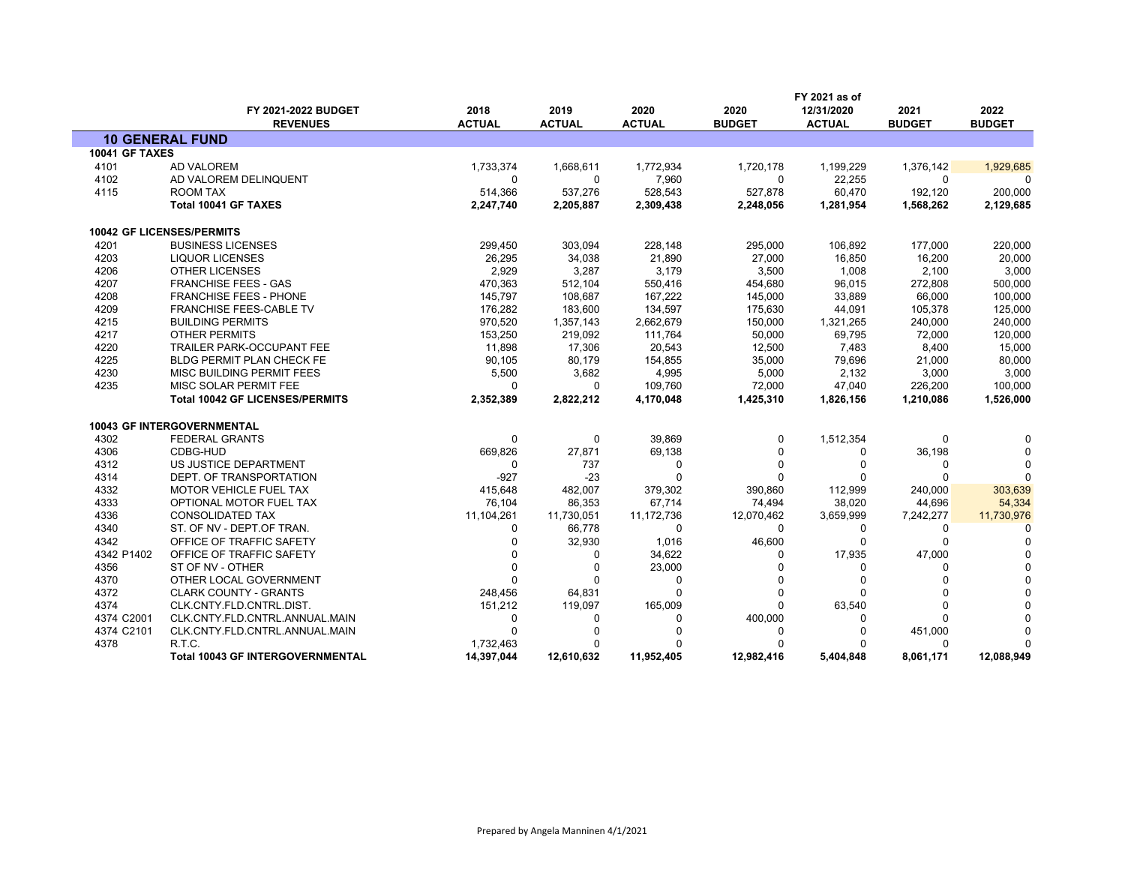|                       |                                         |                       |                       |                       |                       | FY 2021 as of               |                       |                       |  |
|-----------------------|-----------------------------------------|-----------------------|-----------------------|-----------------------|-----------------------|-----------------------------|-----------------------|-----------------------|--|
|                       | FY 2021-2022 BUDGET<br><b>REVENUES</b>  | 2018<br><b>ACTUAL</b> | 2019<br><b>ACTUAL</b> | 2020<br><b>ACTUAL</b> | 2020<br><b>BUDGET</b> | 12/31/2020<br><b>ACTUAL</b> | 2021<br><b>BUDGET</b> | 2022<br><b>BUDGET</b> |  |
|                       | <b>10 GENERAL FUND</b>                  |                       |                       |                       |                       |                             |                       |                       |  |
| <b>10041 GF TAXES</b> |                                         |                       |                       |                       |                       |                             |                       |                       |  |
| 4101                  | <b>AD VALOREM</b>                       | 1,733,374             | 1,668,611             | 1,772,934             | 1,720,178             | 1,199,229                   | 1,376,142             | 1,929,685             |  |
| 4102                  | AD VALOREM DELINQUENT                   | $\Omega$              | 0                     | 7,960                 | 0                     | 22,255                      | $\Omega$              | $\Omega$              |  |
| 4115                  | ROOM TAX                                | 514,366               | 537,276               | 528,543               | 527,878               | 60,470                      | 192,120               | 200,000               |  |
|                       | Total 10041 GF TAXES                    | 2,247,740             | 2,205,887             | 2,309,438             | 2,248,056             | 1,281,954                   | 1,568,262             | 2,129,685             |  |
|                       | <b>10042 GF LICENSES/PERMITS</b>        |                       |                       |                       |                       |                             |                       |                       |  |
| 4201                  | <b>BUSINESS LICENSES</b>                | 299,450               | 303,094               | 228,148               | 295,000               | 106,892                     | 177,000               | 220,000               |  |
| 4203                  | <b>LIQUOR LICENSES</b>                  | 26,295                | 34,038                | 21,890                | 27,000                | 16,850                      | 16,200                | 20,000                |  |
| 4206                  | <b>OTHER LICENSES</b>                   | 2,929                 | 3,287                 | 3,179                 | 3,500                 | 1,008                       | 2,100                 | 3,000                 |  |
| 4207                  | <b>FRANCHISE FEES - GAS</b>             | 470,363               | 512,104               | 550,416               | 454,680               | 96,015                      | 272,808               | 500,000               |  |
| 4208                  | <b>FRANCHISE FEES - PHONE</b>           | 145,797               | 108,687               | 167,222               | 145,000               | 33,889                      | 66,000                | 100,000               |  |
| 4209                  | <b>FRANCHISE FEES-CABLE TV</b>          | 176,282               | 183,600               | 134,597               | 175,630               | 44,091                      | 105,378               | 125,000               |  |
| 4215                  | <b>BUILDING PERMITS</b>                 | 970,520               | 1,357,143             | 2,662,679             | 150,000               | 1,321,265                   | 240,000               | 240,000               |  |
| 4217                  | <b>OTHER PERMITS</b>                    | 153,250               | 219,092               | 111,764               | 50,000                | 69,795                      | 72,000                | 120,000               |  |
| 4220                  | <b>TRAILER PARK-OCCUPANT FEE</b>        | 11.898                | 17.306                | 20.543                | 12,500                | 7,483                       | 8,400                 | 15,000                |  |
| 4225                  | BLDG PERMIT PLAN CHECK FE               | 90,105                | 80,179                | 154,855               | 35,000                | 79,696                      | 21,000                | 80,000                |  |
| 4230                  | MISC BUILDING PERMIT FEES               | 5,500                 | 3,682                 | 4,995                 | 5,000                 | 2,132                       | 3,000                 | 3,000                 |  |
| 4235                  | MISC SOLAR PERMIT FEE                   | $\Omega$              | 0                     | 109,760               | 72,000                | 47,040                      | 226,200               | 100,000               |  |
|                       | <b>Total 10042 GF LICENSES/PERMITS</b>  | 2,352,389             | 2,822,212             | 4,170,048             | 1,425,310             | 1,826,156                   | 1,210,086             | 1,526,000             |  |
|                       | <b>10043 GF INTERGOVERNMENTAL</b>       |                       |                       |                       |                       |                             |                       |                       |  |
| 4302                  | <b>FEDERAL GRANTS</b>                   | $\Omega$              | $\Omega$              | 39,869                | $\mathbf{0}$          | 1,512,354                   | $\Omega$              | $\Omega$              |  |
| 4306                  | CDBG-HUD                                | 669,826               | 27,871                | 69,138                | $\Omega$              | 0                           | 36,198                | $\Omega$              |  |
| 4312                  | US JUSTICE DEPARTMENT                   | $\Omega$              | 737                   | 0                     | $\mathbf 0$           | $\mathbf 0$                 | $\Omega$              | $\Omega$              |  |
| 4314                  | DEPT. OF TRANSPORTATION                 | $-927$                | $-23$                 | $\Omega$              | $\Omega$              | $\Omega$                    | $\Omega$              | $\Omega$              |  |
| 4332                  | <b>MOTOR VEHICLE FUEL TAX</b>           | 415,648               | 482,007               | 379,302               | 390,860               | 112,999                     | 240,000               | 303,639               |  |
| 4333                  | OPTIONAL MOTOR FUEL TAX                 | 76,104                | 86,353                | 67,714                | 74,494                | 38,020                      | 44,696                | 54,334                |  |
| 4336                  | <b>CONSOLIDATED TAX</b>                 | 11,104,261            | 11,730,051            | 11,172,736            | 12,070,462            | 3,659,999                   | 7,242,277             | 11,730,976            |  |
| 4340                  | ST. OF NV - DEPT.OF TRAN.               | $\Omega$              | 66,778                | $\Omega$              | $\mathbf{0}$          | 0                           | 0                     | $\Omega$              |  |
| 4342                  | OFFICE OF TRAFFIC SAFETY                | 0                     | 32,930                | 1,016                 | 46,600                | $\mathbf 0$                 | $\mathbf 0$           | $\Omega$              |  |
| 4342 P1402            | OFFICE OF TRAFFIC SAFETY                | $\Omega$              | 0                     | 34,622                | 0                     | 17,935                      | 47,000                | $\Omega$              |  |
| 4356                  | ST OF NV - OTHER                        | $\Omega$              | $\Omega$              | 23,000                | $\Omega$              | $\Omega$                    |                       |                       |  |
| 4370                  | OTHER LOCAL GOVERNMENT                  | $\Omega$              | $\mathbf{0}$          | 0                     | $\Omega$              | $\Omega$                    | $\Omega$              |                       |  |
| 4372                  | <b>CLARK COUNTY - GRANTS</b>            | 248,456               | 64,831                | $\Omega$              | $\Omega$              | $\Omega$                    | $\Omega$              |                       |  |
| 4374                  | CLK.CNTY.FLD.CNTRL.DIST.                | 151,212               | 119,097               | 165,009               | $\mathbf{0}$          | 63,540                      | $\Omega$              |                       |  |
| 4374 C2001            | CLK.CNTY.FLD.CNTRL.ANNUAL.MAIN          | 0                     | 0                     | $\Omega$              | 400,000               | 0                           | $\Omega$              |                       |  |
| 4374 C2101            | CLK.CNTY.FLD.CNTRL.ANNUAL.MAIN          | $\Omega$              | $\Omega$              |                       | $\Omega$              | O                           | 451,000               | O                     |  |
| 4378                  | R.T.C.                                  | 1,732,463             | ŋ                     |                       | O                     | $\Omega$                    | $\Omega$              | $\Omega$              |  |
|                       | <b>Total 10043 GF INTERGOVERNMENTAL</b> | 14,397,044            | 12,610,632            | 11,952,405            | 12,982,416            | 5,404,848                   | 8,061,171             | 12,088,949            |  |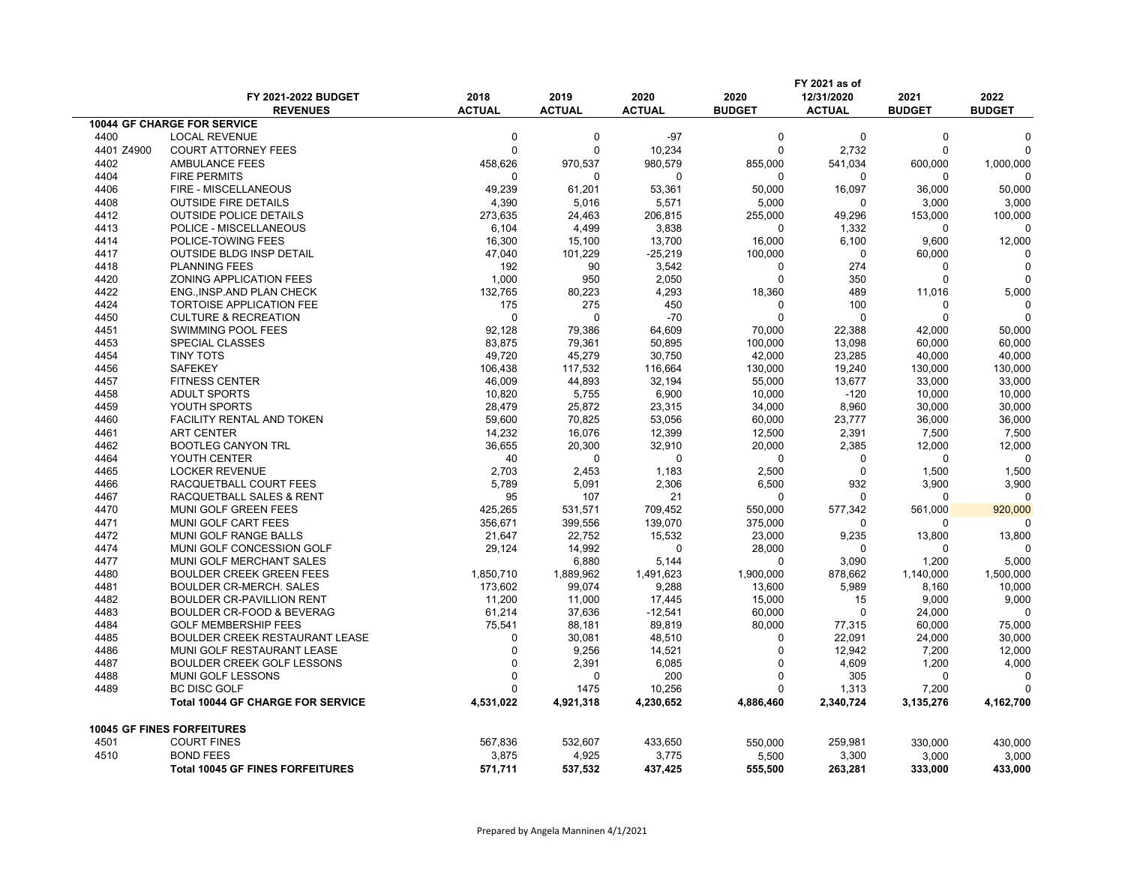|            | FY 2021-2022 BUDGET                      | 2018          | 2019          | 2020          | 2020          | FY 2021 as of<br>12/31/2020 | 2021          | 2022          |
|------------|------------------------------------------|---------------|---------------|---------------|---------------|-----------------------------|---------------|---------------|
|            | <b>REVENUES</b>                          | <b>ACTUAL</b> | <b>ACTUAL</b> | <b>ACTUAL</b> | <b>BUDGET</b> | <b>ACTUAL</b>               | <b>BUDGET</b> | <b>BUDGET</b> |
|            | <b>10044 GF CHARGE FOR SERVICE</b>       |               |               |               |               |                             |               |               |
| 4400       | <b>LOCAL REVENUE</b>                     | $\mathbf 0$   | $\mathbf 0$   | $-97$         | $\mathbf 0$   | $\mathbf 0$                 | $\mathbf 0$   |               |
| 4401 Z4900 | <b>COURT ATTORNEY FEES</b>               | 0             | $\mathbf 0$   | 10,234        | $\mathbf 0$   | 2,732                       | 0             |               |
| 4402       | AMBULANCE FEES                           | 458,626       | 970,537       | 980,579       | 855,000       | 541,034                     | 600,000       | 1,000,000     |
| 4404       | <b>FIRE PERMITS</b>                      | $\Omega$      | $\Omega$      | 0             | $\mathbf{0}$  | $\mathbf 0$                 | $\Omega$      |               |
| 4406       | FIRE - MISCELLANEOUS                     | 49,239        | 61,201        | 53,361        | 50,000        | 16,097                      | 36,000        | 50,000        |
| 4408       | <b>OUTSIDE FIRE DETAILS</b>              | 4,390         | 5,016         | 5,571         | 5,000         | $\mathbf 0$                 | 3,000         | 3,000         |
| 4412       | <b>OUTSIDE POLICE DETAILS</b>            | 273,635       | 24,463        | 206,815       | 255,000       | 49,296                      | 153,000       | 100,000       |
| 4413       | POLICE - MISCELLANEOUS                   | 6,104         | 4,499         | 3,838         | $\mathbf{0}$  | 1,332                       | 0             | ∩             |
| 4414       | POLICE-TOWING FEES                       | 16,300        | 15,100        | 13,700        | 16,000        | 6,100                       | 9,600         | 12,000        |
| 4417       | <b>OUTSIDE BLDG INSP DETAIL</b>          | 47,040        | 101,229       | $-25,219$     | 100,000       | 0                           | 60,000        |               |
| 4418       | <b>PLANNING FEES</b>                     | 192           | 90            | 3,542         | 0             | 274                         | 0             | $\Omega$      |
| 4420       | ZONING APPLICATION FEES                  | 1,000         | 950           | 2,050         | $\mathbf 0$   | 350                         | 0             |               |
| 4422       | ENG., INSP.AND PLAN CHECK                | 132,765       | 80,223        | 4,293         | 18,360        | 489                         | 11,016        | 5,000         |
| 4424       | <b>TORTOISE APPLICATION FEE</b>          | 175           | 275           | 450           | $\Omega$      | 100                         | $\Omega$      | ∩             |
| 4450       | <b>CULTURE &amp; RECREATION</b>          | $\mathbf 0$   | $\mathbf 0$   | $-70$         | $\mathbf 0$   | $\mathbf 0$                 | 0             |               |
| 4451       | SWIMMING POOL FEES                       | 92,128        | 79,386        | 64,609        | 70,000        | 22,388                      | 42,000        | 50,000        |
| 4453       | SPECIAL CLASSES                          | 83,875        | 79,361        | 50,895        | 100,000       | 13,098                      | 60,000        | 60,000        |
| 4454       | <b>TINY TOTS</b>                         | 49,720        | 45,279        | 30,750        | 42,000        | 23,285                      | 40,000        | 40,000        |
| 4456       | <b>SAFEKEY</b>                           | 106,438       | 117,532       | 116,664       | 130,000       | 19,240                      | 130,000       | 130,000       |
| 4457       | <b>FITNESS CENTER</b>                    | 46,009        | 44,893        | 32,194        | 55,000        | 13,677                      | 33,000        | 33,000        |
| 4458       | <b>ADULT SPORTS</b>                      | 10,820        | 5,755         | 6,900         | 10,000        | $-120$                      | 10,000        | 10,000        |
| 4459       | YOUTH SPORTS                             | 28,479        | 25,872        | 23,315        | 34,000        | 8,960                       | 30,000        | 30,000        |
| 4460       | FACILITY RENTAL AND TOKEN                | 59,600        | 70,825        | 53,056        | 60,000        | 23,777                      | 36,000        | 36,000        |
| 4461       | <b>ART CENTER</b>                        | 14,232        | 16,076        | 12,399        | 12,500        | 2,391                       | 7,500         | 7,500         |
| 4462       | <b>BOOTLEG CANYON TRL</b>                | 36,655        | 20,300        | 32,910        | 20,000        | 2,385                       | 12,000        | 12,000        |
| 4464       | YOUTH CENTER                             | 40            | 0             | 0             | 0             | $\mathbf 0$                 | 0             | ∩             |
| 4465       | <b>LOCKER REVENUE</b>                    | 2,703         | 2,453         | 1,183         | 2,500         | $\Omega$                    | 1,500         | 1,500         |
| 4466       | RACQUETBALL COURT FEES                   | 5,789         | 5,091         | 2,306         | 6,500         | 932                         | 3,900         | 3,900         |
| 4467       | RACQUETBALL SALES & RENT                 | 95            | 107           | 21            | $\mathbf 0$   | $\mathbf 0$                 | 0             | $\Omega$      |
| 4470       | MUNI GOLF GREEN FEES                     | 425,265       | 531,571       | 709,452       | 550,000       | 577,342                     | 561,000       | 920,000       |
| 4471       | MUNI GOLF CART FEES                      | 356,671       | 399,556       | 139,070       | 375,000       | $\mathbf{0}$                | 0             | ∩             |
| 4472       | <b>MUNI GOLF RANGE BALLS</b>             | 21,647        | 22,752        | 15,532        | 23,000        | 9,235                       | 13,800        | 13,800        |
| 4474       | MUNI GOLF CONCESSION GOLF                | 29,124        | 14,992        | $\mathbf 0$   | 28,000        | $\mathbf 0$                 | 0             | ∩             |
| 4477       | MUNI GOLF MERCHANT SALES                 |               | 6,880         | 5,144         | $\mathbf 0$   | 3,090                       | 1,200         | 5,000         |
| 4480       | <b>BOULDER CREEK GREEN FEES</b>          | 1,850,710     | 1,889,962     | 1,491,623     | 1,900,000     | 878,662                     | 1,140,000     | 1,500,000     |
| 4481       | <b>BOULDER CR-MERCH. SALES</b>           | 173,602       | 99,074        | 9,288         | 13,600        | 5,989                       | 8,160         | 10,000        |
| 4482       | <b>BOULDER CR-PAVILLION RENT</b>         | 11,200        | 11,000        | 17,445        | 15,000        | 15                          | 9,000         | 9,000         |
| 4483       | <b>BOULDER CR-FOOD &amp; BEVERAG</b>     | 61,214        | 37,636        | $-12,541$     | 60,000        | $\mathbf 0$                 | 24,000        | $\Omega$      |
| 4484       | <b>GOLF MEMBERSHIP FEES</b>              | 75,541        | 88,181        | 89,819        | 80,000        | 77,315                      | 60,000        | 75,000        |
| 4485       | <b>BOULDER CREEK RESTAURANT LEASE</b>    | 0             | 30,081        | 48,510        | 0             | 22,091                      | 24,000        | 30,000        |
| 4486       | MUNI GOLF RESTAURANT LEASE               | $\mathbf 0$   | 9,256         | 14,521        | $\Omega$      | 12,942                      | 7,200         | 12,000        |
| 4487       | <b>BOULDER CREEK GOLF LESSONS</b>        | $\Omega$      | 2,391         | 6,085         | $\Omega$      | 4,609                       | 1,200         | 4,000         |
| 4488       | MUNI GOLF LESSONS                        | 0             | $\Omega$      | 200           | $\Omega$      | 305                         | $\Omega$      | ∩             |
| 4489       | <b>BC DISC GOLF</b>                      | 0             | 1475          | 10,256        | $\Omega$      | 1,313                       | 7,200         |               |
|            | <b>Total 10044 GF CHARGE FOR SERVICE</b> | 4,531,022     | 4,921,318     | 4,230,652     | 4,886,460     | 2,340,724                   | 3,135,276     | 4,162,700     |
|            | 10045 GF FINES FORFEITURES               |               |               |               |               |                             |               |               |
| 4501       | <b>COURT FINES</b>                       | 567,836       | 532,607       | 433,650       | 550,000       | 259,981                     | 330,000       | 430,000       |
| 4510       | <b>BOND FEES</b>                         | 3,875         | 4,925         | 3,775         | 5,500         | 3,300                       | 3,000         | 3,000         |
|            | <b>Total 10045 GF FINES FORFEITURES</b>  | 571,711       | 537,532       | 437,425       | 555,500       | 263,281                     | 333,000       | 433,000       |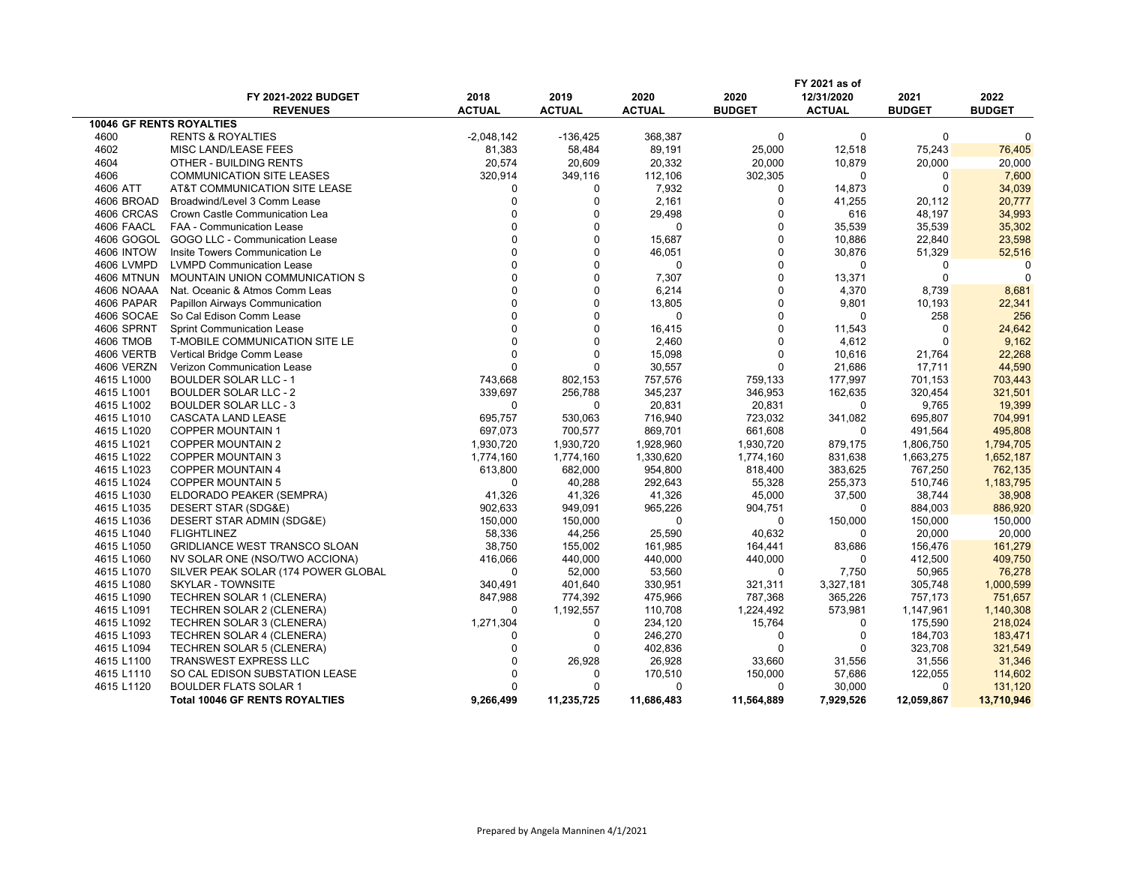|                   |                                       |               |               |               |               | FY 2021 as of |               |               |
|-------------------|---------------------------------------|---------------|---------------|---------------|---------------|---------------|---------------|---------------|
|                   | FY 2021-2022 BUDGET                   | 2018          | 2019          | 2020          | 2020          | 12/31/2020    | 2021          | 2022          |
|                   | <b>REVENUES</b>                       | <b>ACTUAL</b> | <b>ACTUAL</b> | <b>ACTUAL</b> | <b>BUDGET</b> | <b>ACTUAL</b> | <b>BUDGET</b> | <b>BUDGET</b> |
|                   | <b>10046 GF RENTS ROYALTIES</b>       |               |               |               |               |               |               |               |
| 4600              | <b>RENTS &amp; ROYALTIES</b>          | $-2,048,142$  | $-136,425$    | 368,387       | $\mathbf 0$   | $\mathbf 0$   | $\mathbf 0$   | $\Omega$      |
| 4602              | MISC LAND/LEASE FEES                  | 81,383        | 58,484        | 89,191        | 25,000        | 12,518        | 75,243        | 76,405        |
| 4604              | OTHER - BUILDING RENTS                | 20,574        | 20,609        | 20,332        | 20,000        | 10,879        | 20,000        | 20,000        |
| 4606              | <b>COMMUNICATION SITE LEASES</b>      | 320,914       | 349,116       | 112,106       | 302,305       | $\Omega$      | 0             | 7,600         |
| 4606 ATT          | AT&T COMMUNICATION SITE LEASE         | 0             | $\Omega$      | 7,932         | $\mathbf 0$   | 14,873        | $\mathbf 0$   | 34,039        |
| 4606 BROAD        | Broadwind/Level 3 Comm Lease          | 0             | $\Omega$      | 2,161         | $\mathbf 0$   | 41,255        | 20,112        | 20,777        |
| 4606 CRCAS        | Crown Castle Communication Lea        | $\Omega$      | $\Omega$      | 29,498        | $\Omega$      | 616           | 48,197        | 34,993        |
| 4606 FAACL        | FAA - Communication Lease             | $\Omega$      | $\Omega$      | 0             | $\Omega$      | 35,539        | 35,539        | 35,302        |
| 4606 GOGOL        | GOGO LLC - Communication Lease        | 0             | $\Omega$      | 15,687        | $\mathbf 0$   | 10,886        | 22,840        | 23,598        |
| <b>4606 INTOW</b> | Insite Towers Communication Le        | $\Omega$      | $\Omega$      | 46,051        | $\Omega$      | 30,876        | 51,329        | 52,516        |
| 4606 LVMPD        | <b>LVMPD Communication Lease</b>      | $\Omega$      | $\Omega$      | $\mathbf 0$   | $\mathbf 0$   | 0             | 0             | 0             |
| <b>4606 MTNUN</b> | MOUNTAIN UNION COMMUNICATION S        | U             | $\Omega$      | 7,307         | $\Omega$      | 13,371        | $\mathbf{0}$  | $\Omega$      |
| 4606 NOAAA        | Nat. Oceanic & Atmos Comm Leas        | $\Omega$      | $\Omega$      | 6,214         | $\Omega$      | 4,370         | 8,739         | 8,681         |
| 4606 PAPAR        | Papillon Airways Communication        | $\Omega$      | $\Omega$      | 13,805        | $\Omega$      | 9,801         | 10,193        | 22,341        |
| 4606 SOCAE        | So Cal Edison Comm Lease              | $\Omega$      | $\Omega$      | $\mathbf 0$   | $\Omega$      | $\Omega$      | 258           | 256           |
| 4606 SPRNT        | <b>Sprint Communication Lease</b>     |               | $\Omega$      | 16,415        | $\Omega$      | 11,543        | 0             | 24,642        |
| 4606 TMOB         | T-MOBILE COMMUNICATION SITE LE        | $\Omega$      | $\Omega$      | 2,460         | $\Omega$      | 4,612         | $\mathbf{0}$  | 9,162         |
| 4606 VERTB        | Vertical Bridge Comm Lease            | $\Omega$      | $\Omega$      | 15,098        | $\Omega$      | 10,616        | 21,764        | 22,268        |
| 4606 VERZN        | Verizon Communication Lease           | $\Omega$      | $\Omega$      | 30,557        | $\Omega$      | 21,686        | 17,711        | 44,590        |
| 4615 L1000        | <b>BOULDER SOLAR LLC - 1</b>          | 743,668       | 802,153       | 757,576       | 759,133       | 177,997       | 701,153       | 703,443       |
| 4615 L1001        | <b>BOULDER SOLAR LLC - 2</b>          | 339,697       | 256,788       | 345,237       | 346,953       | 162,635       | 320,454       | 321,501       |
| 4615 L1002        | <b>BOULDER SOLAR LLC - 3</b>          | 0             | 0             | 20,831        | 20,831        | 0             | 9,765         | 19,399        |
| 4615 L1010        | CASCATA LAND LEASE                    | 695,757       | 530,063       | 716,940       | 723,032       | 341,082       | 695,807       | 704,991       |
| 4615 L1020        | <b>COPPER MOUNTAIN 1</b>              | 697,073       | 700,577       | 869,701       | 661,608       | $\mathbf 0$   | 491,564       | 495,808       |
| 4615 L1021        | <b>COPPER MOUNTAIN 2</b>              | 1,930,720     | 1,930,720     | 1,928,960     | 1,930,720     | 879,175       | 1,806,750     | 1,794,705     |
| 4615 L1022        | <b>COPPER MOUNTAIN 3</b>              | 1,774,160     | 1,774,160     | 1,330,620     | 1,774,160     | 831,638       | 1,663,275     | 1,652,187     |
| 4615 L1023        | <b>COPPER MOUNTAIN 4</b>              | 613,800       | 682,000       | 954,800       | 818,400       | 383,625       | 767,250       | 762,135       |
| 4615 L1024        | <b>COPPER MOUNTAIN 5</b>              | $\mathbf 0$   | 40,288        | 292,643       | 55,328        | 255,373       | 510,746       | 1,183,795     |
| 4615 L1030        | ELDORADO PEAKER (SEMPRA)              | 41,326        | 41,326        | 41,326        | 45,000        | 37,500        | 38,744        | 38,908        |
| 4615 L1035        | DESERT STAR (SDG&E)                   | 902,633       | 949,091       | 965,226       | 904,751       | $\Omega$      | 884,003       | 886,920       |
| 4615 L1036        | DESERT STAR ADMIN (SDG&E)             | 150,000       | 150,000       | 0             | $\mathbf 0$   | 150,000       | 150,000       | 150,000       |
| 4615 L1040        | <b>FLIGHTLINEZ</b>                    | 58,336        | 44,256        | 25,590        | 40,632        | 0             | 20,000        | 20,000        |
| 4615 L1050        | <b>GRIDLIANCE WEST TRANSCO SLOAN</b>  | 38,750        | 155,002       | 161,985       | 164,441       | 83,686        | 156,476       | 161,279       |
| 4615 L1060        | NV SOLAR ONE (NSO/TWO ACCIONA)        | 416,066       | 440,000       | 440,000       | 440,000       | $\Omega$      | 412,500       | 409,750       |
| 4615 L1070        | SILVER PEAK SOLAR (174 POWER GLOBAL   | 0             | 52,000        | 53,560        | 0             | 7,750         | 50,965        | 76,278        |
| 4615 L1080        | <b>SKYLAR - TOWNSITE</b>              | 340,491       | 401,640       | 330,951       | 321,311       | 3,327,181     | 305,748       | 1,000,599     |
| 4615 L1090        | TECHREN SOLAR 1 (CLENERA)             | 847,988       | 774,392       | 475,966       | 787,368       | 365,226       | 757,173       | 751,657       |
| 4615 L1091        | TECHREN SOLAR 2 (CLENERA)             | $\Omega$      | 1,192,557     | 110,708       | 1,224,492     | 573,981       | 1,147,961     | 1,140,308     |
| 4615 L1092        | TECHREN SOLAR 3 (CLENERA)             | 1,271,304     | $\Omega$      | 234,120       | 15,764        | 0             | 175,590       | 218,024       |
| 4615 L1093        | <b>TECHREN SOLAR 4 (CLENERA)</b>      | 0             | 0             | 246,270       | 0             | $\mathbf 0$   | 184,703       | 183,471       |
| 4615 L1094        | TECHREN SOLAR 5 (CLENERA)             | $\Omega$      | $\Omega$      | 402,836       | $\Omega$      | $\mathbf 0$   | 323,708       | 321,549       |
| 4615 L1100        | <b>TRANSWEST EXPRESS LLC</b>          | $\Omega$      | 26,928        | 26,928        | 33,660        | 31,556        | 31,556        | 31,346        |
| 4615 L1110        | SO CAL EDISON SUBSTATION LEASE        | U             | $\Omega$      | 170,510       | 150,000       | 57,686        | 122,055       | 114,602       |
| 4615 L1120        | <b>BOULDER FLATS SOLAR 1</b>          | $\Omega$      |               | $\mathbf{0}$  | $\mathbf{0}$  | 30,000        | $\Omega$      | 131,120       |
|                   | <b>Total 10046 GF RENTS ROYALTIES</b> | 9,266,499     | 11,235,725    | 11,686,483    | 11,564,889    | 7,929,526     | 12,059,867    | 13,710,946    |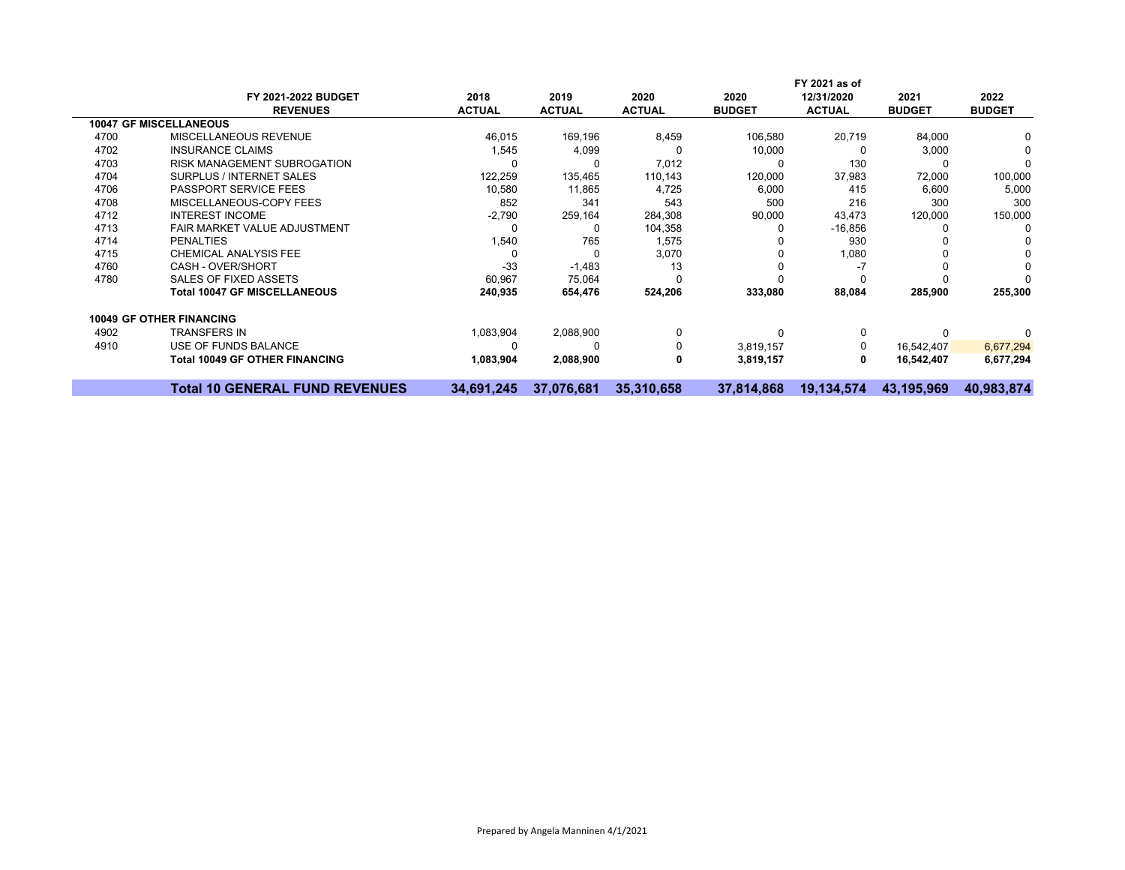|      |                                       |               |               |               |               | FY 2021 as of |               |               |
|------|---------------------------------------|---------------|---------------|---------------|---------------|---------------|---------------|---------------|
|      | FY 2021-2022 BUDGET                   | 2018          | 2019          | 2020          | 2020          | 12/31/2020    | 2021          | 2022          |
|      | <b>REVENUES</b>                       | <b>ACTUAL</b> | <b>ACTUAL</b> | <b>ACTUAL</b> | <b>BUDGET</b> | <b>ACTUAL</b> | <b>BUDGET</b> | <b>BUDGET</b> |
|      | <b>10047 GF MISCELLANEOUS</b>         |               |               |               |               |               |               |               |
| 4700 | MISCELLANEOUS REVENUE                 | 46,015        | 169,196       | 8,459         | 106,580       | 20,719        | 84,000        |               |
| 4702 | <b>INSURANCE CLAIMS</b>               | 1,545         | 4,099         |               | 10,000        |               | 3,000         |               |
| 4703 | <b>RISK MANAGEMENT SUBROGATION</b>    |               | 0             | 7,012         |               | 130           |               | $\Omega$      |
| 4704 | SURPLUS / INTERNET SALES              | 122,259       | 135,465       | 110,143       | 120,000       | 37,983        | 72,000        | 100,000       |
| 4706 | <b>PASSPORT SERVICE FEES</b>          | 10,580        | 11,865        | 4,725         | 6,000         | 415           | 6,600         | 5,000         |
| 4708 | MISCELLANEOUS-COPY FEES               | 852           | 341           | 543           | 500           | 216           | 300           | 300           |
| 4712 | <b>INTEREST INCOME</b>                | $-2,790$      | 259,164       | 284,308       | 90,000        | 43,473        | 120,000       | 150,000       |
| 4713 | FAIR MARKET VALUE ADJUSTMENT          |               | 0             | 104,358       |               | $-16,856$     |               | 0             |
| 4714 | <b>PENALTIES</b>                      | 1,540         | 765           | 1,575         |               | 930           |               |               |
| 4715 | <b>CHEMICAL ANALYSIS FEE</b>          |               | $\Omega$      | 3,070         |               | 1,080         |               |               |
| 4760 | CASH - OVER/SHORT                     | $-33$         | $-1,483$      | 13            |               |               |               |               |
| 4780 | SALES OF FIXED ASSETS                 | 60,967        | 75,064        |               |               |               |               |               |
|      | <b>Total 10047 GF MISCELLANEOUS</b>   | 240,935       | 654,476       | 524,206       | 333,080       | 88,084        | 285,900       | 255,300       |
|      | <b>10049 GF OTHER FINANCING</b>       |               |               |               |               |               |               |               |
| 4902 | <b>TRANSFERS IN</b>                   | 1,083,904     | 2,088,900     | 0             |               | 0             |               |               |
| 4910 | USE OF FUNDS BALANCE                  |               | 0             | $\Omega$      | 3,819,157     | 0             | 16,542,407    | 6,677,294     |
|      | <b>Total 10049 GF OTHER FINANCING</b> | 1,083,904     | 2,088,900     | 0             | 3,819,157     | 0             | 16,542,407    | 6,677,294     |
|      | <b>Total 10 GENERAL FUND REVENUES</b> | 34,691,245    | 37,076,681    | 35,310,658    | 37,814,868    | 19,134,574    | 43,195,969    | 40,983,874    |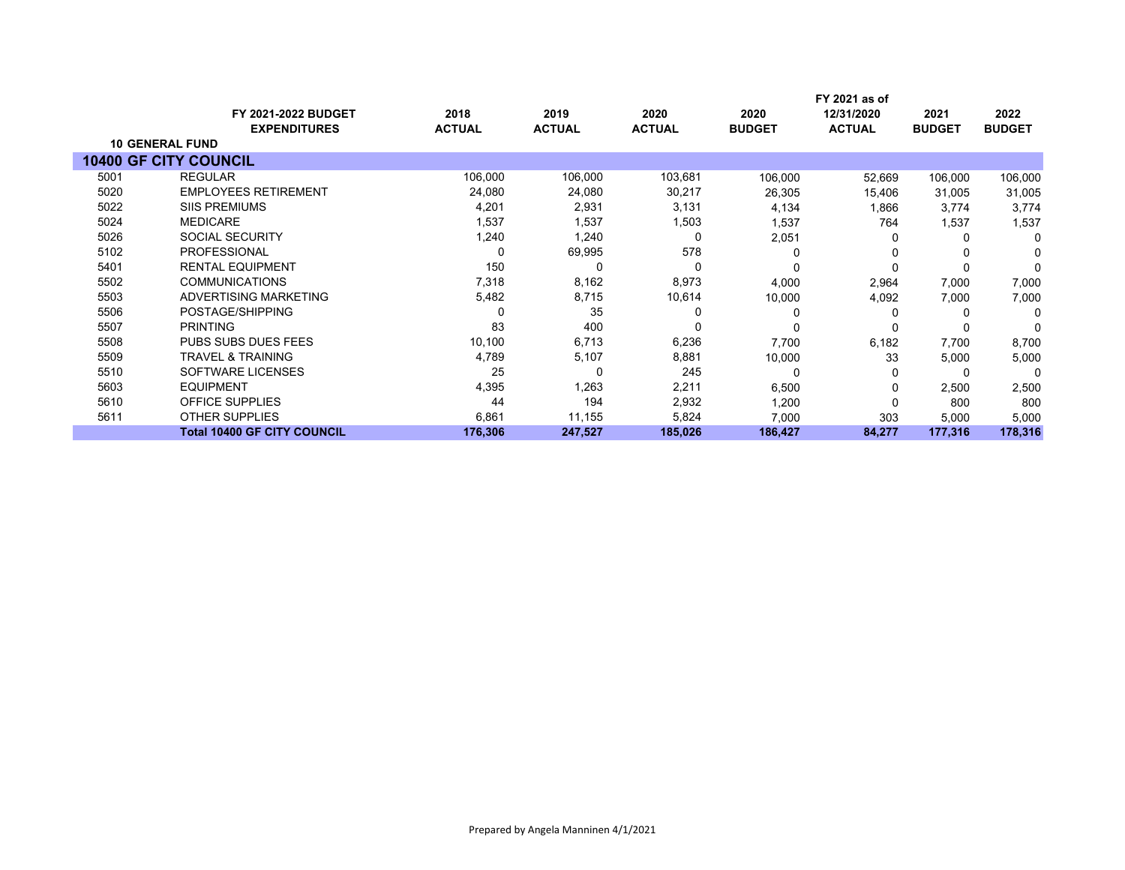|      |                                    |               |               |               |               | FY 2021 as of |               |               |
|------|------------------------------------|---------------|---------------|---------------|---------------|---------------|---------------|---------------|
|      | <b>FY 2021-2022 BUDGET</b>         | 2018          | 2019          | 2020          | 2020          | 12/31/2020    | 2021          | 2022          |
|      | <b>EXPENDITURES</b>                | <b>ACTUAL</b> | <b>ACTUAL</b> | <b>ACTUAL</b> | <b>BUDGET</b> | <b>ACTUAL</b> | <b>BUDGET</b> | <b>BUDGET</b> |
|      | <b>10 GENERAL FUND</b>             |               |               |               |               |               |               |               |
|      | <b>10400 GF CITY COUNCIL</b>       |               |               |               |               |               |               |               |
| 5001 | <b>REGULAR</b>                     | 106,000       | 106,000       | 103,681       | 106,000       | 52,669        | 106,000       | 106,000       |
| 5020 | <b>EMPLOYEES RETIREMENT</b>        | 24,080        | 24,080        | 30,217        | 26,305        | 15,406        | 31,005        | 31,005        |
| 5022 | <b>SIIS PREMIUMS</b>               | 4,201         | 2,931         | 3,131         | 4,134         | 1,866         | 3.774         | 3,774         |
| 5024 | <b>MEDICARE</b>                    | 1,537         | 1,537         | 1,503         | 1,537         | 764           | 1,537         | 1,537         |
| 5026 | <b>SOCIAL SECURITY</b>             | 1,240         | 1,240         | 0             | 2,051         | 0             | $\Omega$      | $\Omega$      |
| 5102 | <b>PROFESSIONAL</b>                |               | 69,995        | 578           |               | ŋ             |               | O             |
| 5401 | <b>RENTAL EQUIPMENT</b>            | 150           | 0             | 0             |               |               |               | $\Omega$      |
| 5502 | <b>COMMUNICATIONS</b>              | 7,318         | 8,162         | 8,973         | 4,000         | 2,964         | 7,000         | 7,000         |
| 5503 | ADVERTISING MARKETING              | 5,482         | 8,715         | 10,614        | 10,000        | 4,092         | 7,000         | 7,000         |
| 5506 | POSTAGE/SHIPPING                   |               | 35            |               |               | O             |               | 0             |
| 5507 | <b>PRINTING</b>                    | 83            | 400           | 0             |               |               |               | ∩             |
| 5508 | PUBS SUBS DUES FEES                | 10,100        | 6,713         | 6,236         | 7,700         | 6,182         | 7,700         | 8,700         |
| 5509 | <b>TRAVEL &amp; TRAINING</b>       | 4,789         | 5,107         | 8,881         | 10,000        | 33            | 5,000         | 5,000         |
| 5510 | SOFTWARE LICENSES                  | 25            | 0             | 245           |               | 0             | -C            | 0             |
| 5603 | <b>EQUIPMENT</b>                   | 4,395         | 1,263         | 2,211         | 6,500         | 0             | 2,500         | 2,500         |
| 5610 | OFFICE SUPPLIES                    | 44            | 194           | 2,932         | 1,200         | 0             | 800           | 800           |
| 5611 | <b>OTHER SUPPLIES</b>              | 6,861         | 11,155        | 5,824         | 7,000         | 303           | 5,000         | 5,000         |
|      | <b>Total 10400 GF CITY COUNCIL</b> | 176,306       | 247,527       | 185,026       | 186,427       | 84,277        | 177,316       | 178,316       |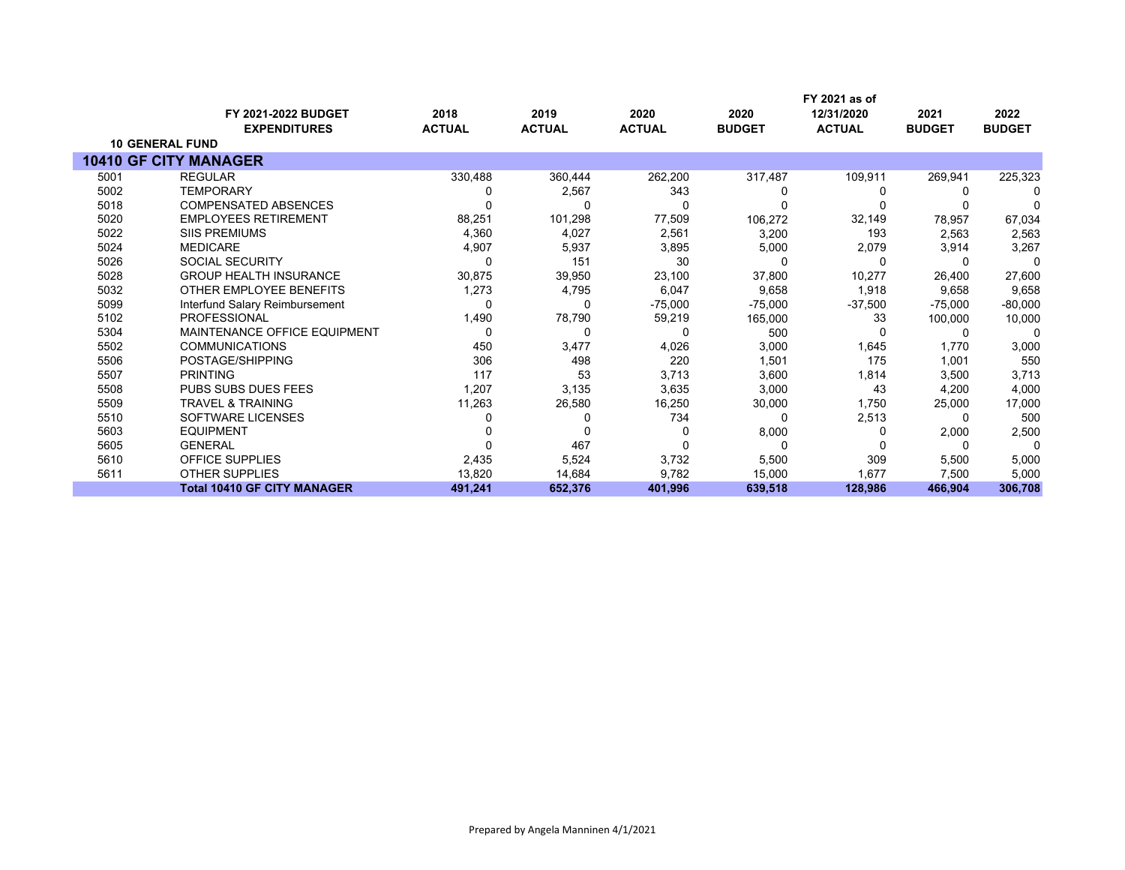|      |                                     |               |               |               |               | FY 2021 as of |               |               |
|------|-------------------------------------|---------------|---------------|---------------|---------------|---------------|---------------|---------------|
|      | FY 2021-2022 BUDGET                 | 2018          | 2019          | 2020          | 2020          | 12/31/2020    | 2021          | 2022          |
|      | <b>EXPENDITURES</b>                 | <b>ACTUAL</b> | <b>ACTUAL</b> | <b>ACTUAL</b> | <b>BUDGET</b> | <b>ACTUAL</b> | <b>BUDGET</b> | <b>BUDGET</b> |
|      | <b>10 GENERAL FUND</b>              |               |               |               |               |               |               |               |
|      | <b>10410 GF CITY MANAGER</b>        |               |               |               |               |               |               |               |
| 5001 | <b>REGULAR</b>                      | 330,488       | 360,444       | 262,200       | 317,487       | 109,911       | 269,941       | 225,323       |
| 5002 | <b>TEMPORARY</b>                    |               | 2,567         | 343           |               |               |               |               |
| 5018 | <b>COMPENSATED ABSENCES</b>         |               |               |               |               |               |               |               |
| 5020 | <b>EMPLOYEES RETIREMENT</b>         | 88,251        | 101,298       | 77,509        | 106,272       | 32,149        | 78,957        | 67,034        |
| 5022 | <b>SIIS PREMIUMS</b>                | 4,360         | 4,027         | 2,561         | 3,200         | 193           | 2,563         | 2,563         |
| 5024 | <b>MEDICARE</b>                     | 4,907         | 5,937         | 3,895         | 5,000         | 2,079         | 3,914         | 3,267         |
| 5026 | <b>SOCIAL SECURITY</b>              |               | 151           | 30            |               | 0             |               | $\Omega$      |
| 5028 | <b>GROUP HEALTH INSURANCE</b>       | 30,875        | 39,950        | 23,100        | 37,800        | 10,277        | 26,400        | 27,600        |
| 5032 | OTHER EMPLOYEE BENEFITS             | 1,273         | 4,795         | 6,047         | 9,658         | 1,918         | 9,658         | 9,658         |
| 5099 | Interfund Salary Reimbursement      | n             |               | $-75,000$     | $-75,000$     | $-37,500$     | $-75,000$     | $-80,000$     |
| 5102 | <b>PROFESSIONAL</b>                 | 1,490         | 78,790        | 59,219        | 165,000       | 33            | 100,000       | 10,000        |
| 5304 | <b>MAINTENANCE OFFICE EQUIPMENT</b> | 0             |               | U             | 500           |               |               |               |
| 5502 | <b>COMMUNICATIONS</b>               | 450           | 3,477         | 4,026         | 3,000         | 1,645         | 1,770         | 3,000         |
| 5506 | POSTAGE/SHIPPING                    | 306           | 498           | 220           | 1,501         | 175           | 1,001         | 550           |
| 5507 | <b>PRINTING</b>                     | 117           | 53            | 3,713         | 3,600         | 1,814         | 3,500         | 3,713         |
| 5508 | PUBS SUBS DUES FEES                 | 1,207         | 3,135         | 3,635         | 3,000         | 43            | 4,200         | 4,000         |
| 5509 | <b>TRAVEL &amp; TRAINING</b>        | 11,263        | 26,580        | 16,250        | 30,000        | 1,750         | 25,000        | 17,000        |
| 5510 | <b>SOFTWARE LICENSES</b>            |               |               | 734           |               | 2,513         |               | 500           |
| 5603 | <b>EQUIPMENT</b>                    |               |               |               | 8,000         | 0             | 2,000         | 2,500         |
| 5605 | <b>GENERAL</b>                      |               | 467           |               |               |               | $\Omega$      | $\Omega$      |
| 5610 | <b>OFFICE SUPPLIES</b>              | 2,435         | 5,524         | 3,732         | 5,500         | 309           | 5,500         | 5,000         |
| 5611 | <b>OTHER SUPPLIES</b>               | 13,820        | 14,684        | 9,782         | 15,000        | 1,677         | 7,500         | 5,000         |
|      | <b>Total 10410 GF CITY MANAGER</b>  | 491,241       | 652,376       | 401,996       | 639,518       | 128,986       | 466,904       | 306,708       |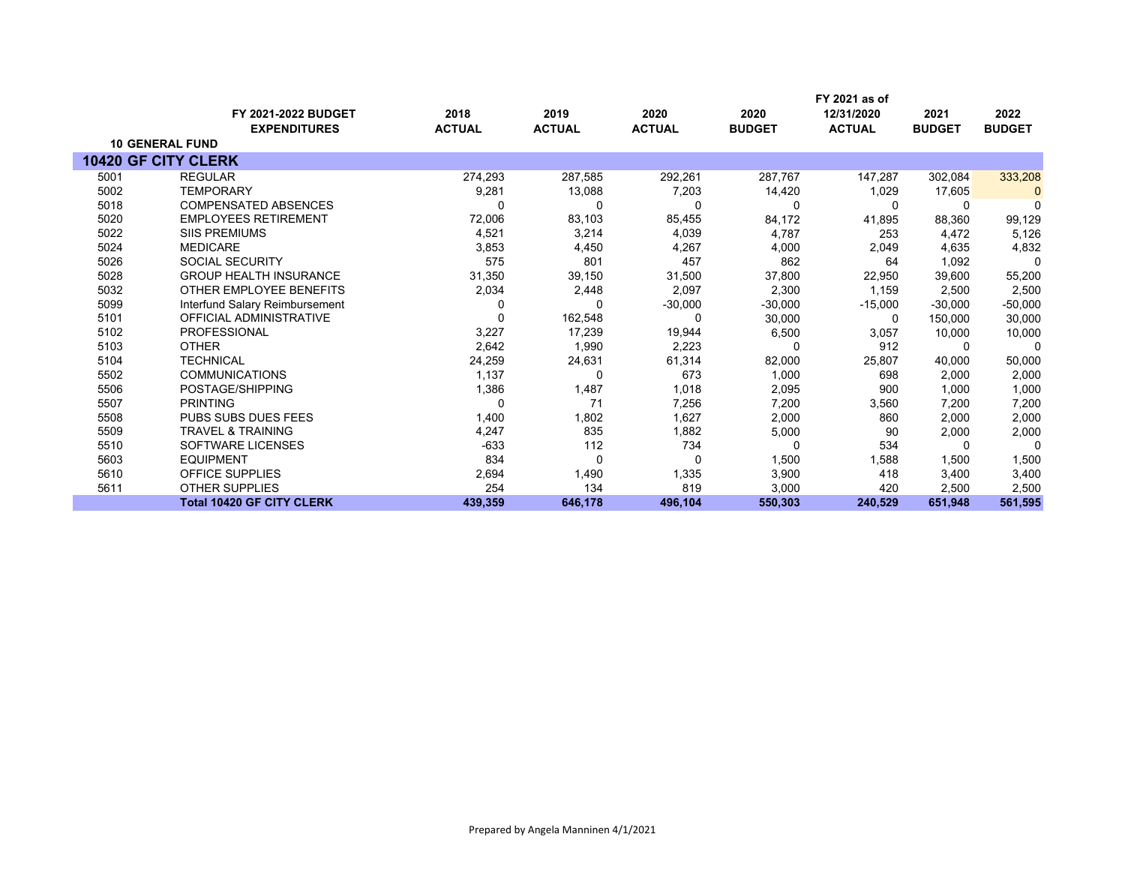|      |                                  |               |               |               |               | FY 2021 as of |               |               |
|------|----------------------------------|---------------|---------------|---------------|---------------|---------------|---------------|---------------|
|      | <b>FY 2021-2022 BUDGET</b>       | 2018          | 2019          | 2020          | 2020          | 12/31/2020    | 2021          | 2022          |
|      | <b>EXPENDITURES</b>              | <b>ACTUAL</b> | <b>ACTUAL</b> | <b>ACTUAL</b> | <b>BUDGET</b> | <b>ACTUAL</b> | <b>BUDGET</b> | <b>BUDGET</b> |
|      | <b>10 GENERAL FUND</b>           |               |               |               |               |               |               |               |
|      | <b>10420 GF CITY CLERK</b>       |               |               |               |               |               |               |               |
| 5001 | <b>REGULAR</b>                   | 274,293       | 287,585       | 292,261       | 287,767       | 147,287       | 302,084       | 333,208       |
| 5002 | <b>TEMPORARY</b>                 | 9,281         | 13,088        | 7,203         | 14,420        | 1,029         | 17,605        | 0             |
| 5018 | <b>COMPENSATED ABSENCES</b>      | 0             | 0             | 0             | $\Omega$      | $\Omega$      | 0             | 0             |
| 5020 | <b>EMPLOYEES RETIREMENT</b>      | 72,006        | 83,103        | 85,455        | 84,172        | 41,895        | 88,360        | 99,129        |
| 5022 | <b>SIIS PREMIUMS</b>             | 4,521         | 3,214         | 4,039         | 4,787         | 253           | 4,472         | 5,126         |
| 5024 | <b>MEDICARE</b>                  | 3,853         | 4,450         | 4,267         | 4,000         | 2,049         | 4,635         | 4,832         |
| 5026 | <b>SOCIAL SECURITY</b>           | 575           | 801           | 457           | 862           | 64            | 1,092         | 0             |
| 5028 | <b>GROUP HEALTH INSURANCE</b>    | 31,350        | 39,150        | 31,500        | 37,800        | 22,950        | 39,600        | 55,200        |
| 5032 | OTHER EMPLOYEE BENEFITS          | 2,034         | 2,448         | 2,097         | 2,300         | 1.159         | 2,500         | 2,500         |
| 5099 | Interfund Salary Reimbursement   | 0             | 0             | $-30,000$     | $-30,000$     | $-15,000$     | $-30.000$     | $-50,000$     |
| 5101 | <b>OFFICIAL ADMINISTRATIVE</b>   | 0             | 162,548       | 0             | 30,000        | 0             | 150,000       | 30,000        |
| 5102 | <b>PROFESSIONAL</b>              | 3,227         | 17,239        | 19,944        | 6,500         | 3,057         | 10,000        | 10,000        |
| 5103 | <b>OTHER</b>                     | 2,642         | 1,990         | 2,223         |               | 912           | 0             | 0             |
| 5104 | <b>TECHNICAL</b>                 | 24,259        | 24,631        | 61,314        | 82,000        | 25,807        | 40,000        | 50,000        |
| 5502 | <b>COMMUNICATIONS</b>            | 1,137         | $\Omega$      | 673           | 1,000         | 698           | 2,000         | 2,000         |
| 5506 | POSTAGE/SHIPPING                 | 1,386         | 1,487         | 1,018         | 2,095         | 900           | 1,000         | 1,000         |
| 5507 | <b>PRINTING</b>                  | 0             | 71            | 7,256         | 7,200         | 3,560         | 7,200         | 7,200         |
| 5508 | <b>PUBS SUBS DUES FEES</b>       | 1,400         | 1,802         | 1,627         | 2,000         | 860           | 2,000         | 2,000         |
| 5509 | <b>TRAVEL &amp; TRAINING</b>     | 4,247         | 835           | 1,882         | 5,000         | 90            | 2,000         | 2,000         |
| 5510 | <b>SOFTWARE LICENSES</b>         | $-633$        | 112           | 734           |               | 534           | $\Omega$      | $\Omega$      |
| 5603 | <b>EQUIPMENT</b>                 | 834           | 0             | 0             | 1,500         | 1,588         | 1,500         | 1,500         |
| 5610 | <b>OFFICE SUPPLIES</b>           | 2,694         | 1,490         | 1,335         | 3,900         | 418           | 3,400         | 3,400         |
| 5611 | <b>OTHER SUPPLIES</b>            | 254           | 134           | 819           | 3,000         | 420           | 2,500         | 2,500         |
|      | <b>Total 10420 GF CITY CLERK</b> | 439,359       | 646,178       | 496,104       | 550,303       | 240,529       | 651,948       | 561,595       |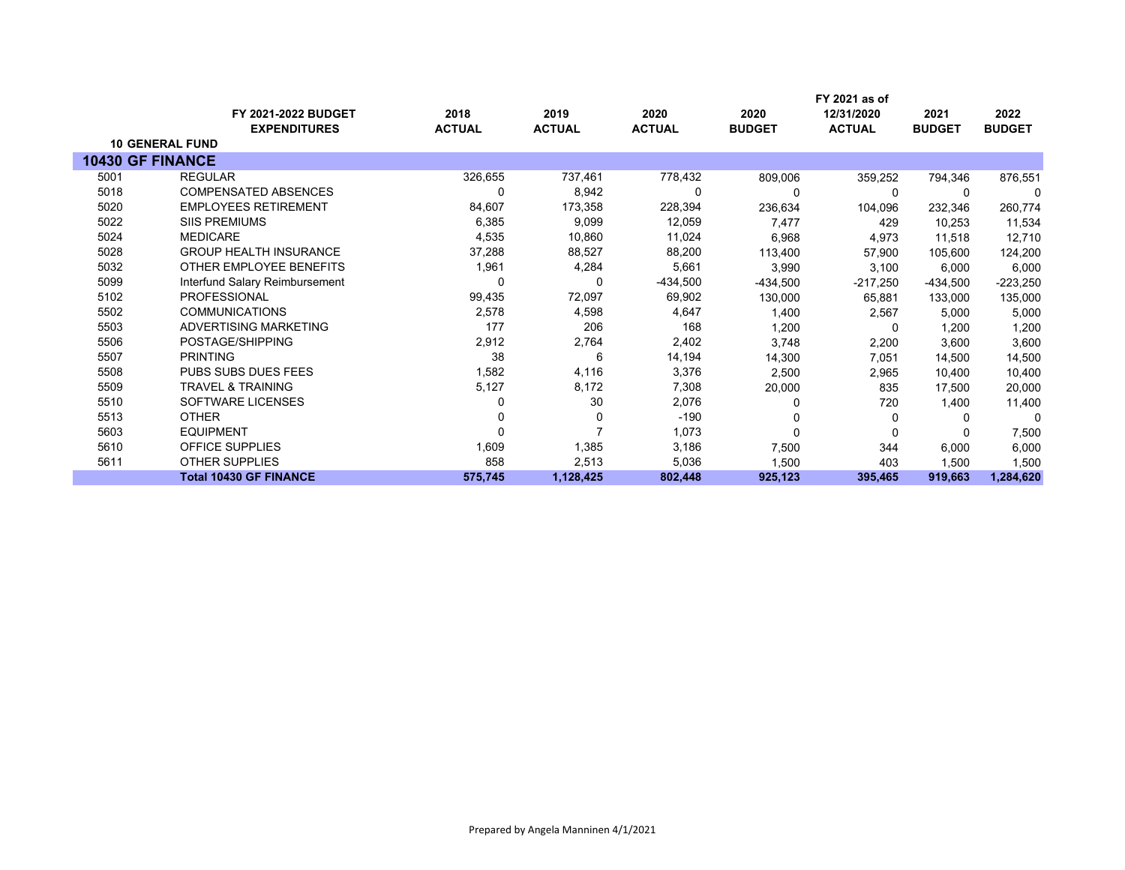|      | <b>FY 2021-2022 BUDGET</b>     | 2018          | 2019          | 2020          | 2020          | FY 2021 as of<br>12/31/2020 | 2021          | 2022          |
|------|--------------------------------|---------------|---------------|---------------|---------------|-----------------------------|---------------|---------------|
|      | <b>EXPENDITURES</b>            | <b>ACTUAL</b> | <b>ACTUAL</b> | <b>ACTUAL</b> | <b>BUDGET</b> | <b>ACTUAL</b>               | <b>BUDGET</b> | <b>BUDGET</b> |
|      | <b>10 GENERAL FUND</b>         |               |               |               |               |                             |               |               |
|      | <b>10430 GF FINANCE</b>        |               |               |               |               |                             |               |               |
| 5001 | <b>REGULAR</b>                 | 326,655       | 737,461       | 778,432       | 809,006       | 359,252                     | 794,346       | 876,551       |
| 5018 | <b>COMPENSATED ABSENCES</b>    | 0             | 8,942         | 0             |               | $\Omega$                    |               |               |
| 5020 | <b>EMPLOYEES RETIREMENT</b>    | 84,607        | 173,358       | 228,394       | 236,634       | 104,096                     | 232,346       | 260,774       |
| 5022 | <b>SIIS PREMIUMS</b>           | 6,385         | 9,099         | 12,059        | 7,477         | 429                         | 10,253        | 11,534        |
| 5024 | <b>MEDICARE</b>                | 4,535         | 10,860        | 11,024        | 6,968         | 4,973                       | 11,518        | 12,710        |
| 5028 | <b>GROUP HEALTH INSURANCE</b>  | 37,288        | 88,527        | 88,200        | 113,400       | 57,900                      | 105,600       | 124,200       |
| 5032 | OTHER EMPLOYEE BENEFITS        | 1,961         | 4,284         | 5,661         | 3,990         | 3,100                       | 6,000         | 6,000         |
| 5099 | Interfund Salary Reimbursement | 0             | 0             | -434,500      | $-434,500$    | $-217,250$                  | -434,500      | $-223,250$    |
| 5102 | <b>PROFESSIONAL</b>            | 99,435        | 72,097        | 69,902        | 130,000       | 65,881                      | 133,000       | 135,000       |
| 5502 | <b>COMMUNICATIONS</b>          | 2,578         | 4,598         | 4,647         | 1,400         | 2,567                       | 5,000         | 5,000         |
| 5503 | ADVERTISING MARKETING          | 177           | 206           | 168           | 1,200         | 0                           | 1,200         | 1,200         |
| 5506 | POSTAGE/SHIPPING               | 2,912         | 2,764         | 2,402         | 3,748         | 2,200                       | 3,600         | 3,600         |
| 5507 | <b>PRINTING</b>                | 38            | 6             | 14,194        | 14,300        | 7,051                       | 14,500        | 14,500        |
| 5508 | <b>PUBS SUBS DUES FEES</b>     | 1,582         | 4,116         | 3,376         | 2,500         | 2,965                       | 10,400        | 10,400        |
| 5509 | <b>TRAVEL &amp; TRAINING</b>   | 5,127         | 8,172         | 7,308         | 20,000        | 835                         | 17,500        | 20,000        |
| 5510 | SOFTWARE LICENSES              |               | 30            | 2,076         |               | 720                         | 1,400         | 11,400        |
| 5513 | <b>OTHER</b>                   |               | 0             | $-190$        |               | 0                           | $\Omega$      | $\Omega$      |
| 5603 | <b>EQUIPMENT</b>               |               |               | 1,073         | $\Omega$      | 0                           |               | 7,500         |
| 5610 | <b>OFFICE SUPPLIES</b>         | 1,609         | 1,385         | 3,186         | 7,500         | 344                         | 6,000         | 6,000         |
| 5611 | <b>OTHER SUPPLIES</b>          | 858           | 2,513         | 5,036         | 1,500         | 403                         | 1,500         | 1,500         |
|      | <b>Total 10430 GF FINANCE</b>  | 575,745       | 1,128,425     | 802,448       | 925,123       | 395,465                     | 919,663       | 1,284,620     |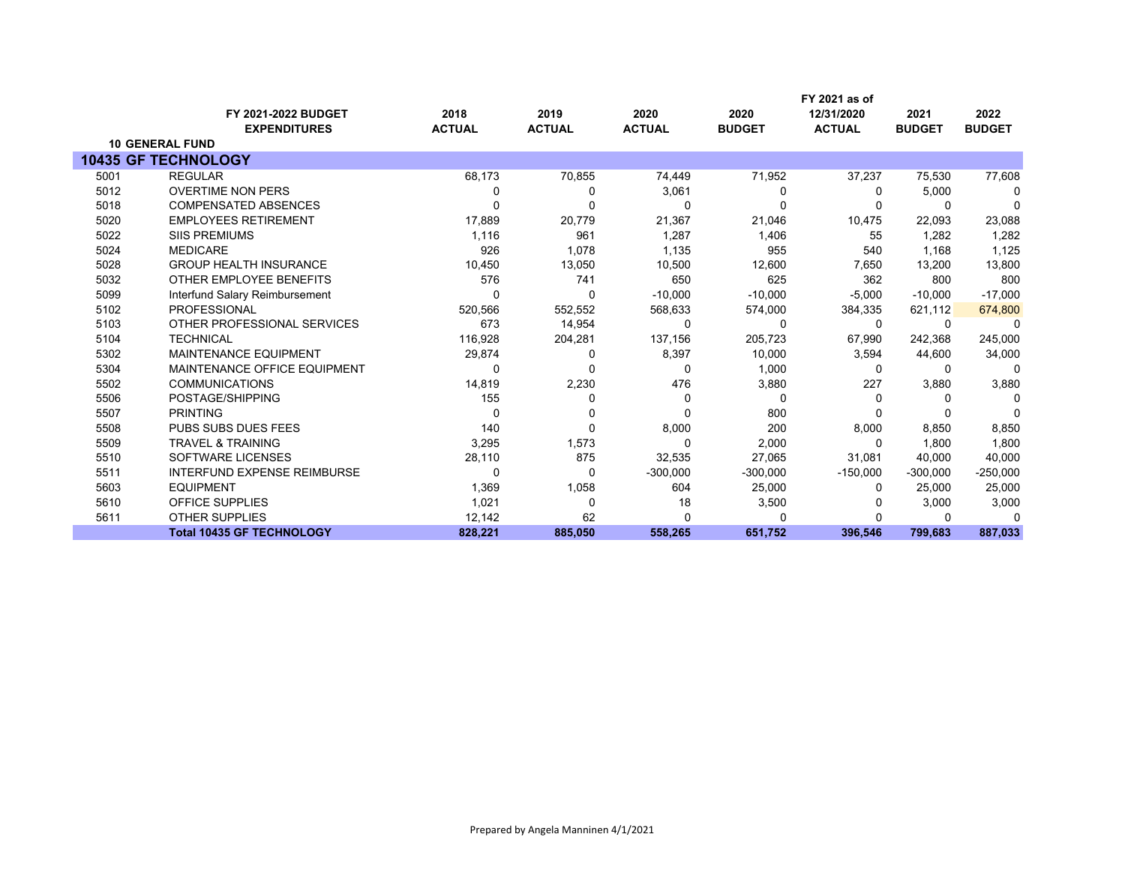|      |                                    |               |               |               |               | FY 2021 as of |               |               |
|------|------------------------------------|---------------|---------------|---------------|---------------|---------------|---------------|---------------|
|      | FY 2021-2022 BUDGET                | 2018          | 2019          | 2020          | 2020          | 12/31/2020    | 2021          | 2022          |
|      | <b>EXPENDITURES</b>                | <b>ACTUAL</b> | <b>ACTUAL</b> | <b>ACTUAL</b> | <b>BUDGET</b> | <b>ACTUAL</b> | <b>BUDGET</b> | <b>BUDGET</b> |
|      | <b>10 GENERAL FUND</b>             |               |               |               |               |               |               |               |
|      | <b>10435 GF TECHNOLOGY</b>         |               |               |               |               |               |               |               |
| 5001 | <b>REGULAR</b>                     | 68,173        | 70,855        | 74,449        | 71,952        | 37,237        | 75,530        | 77,608        |
| 5012 | <b>OVERTIME NON PERS</b>           | 0             | 0             | 3,061         | 0             | 0             | 5,000         | 0             |
| 5018 | <b>COMPENSATED ABSENCES</b>        | O             | ŋ             | 0             | $\Omega$      | O             | $\Omega$      | $\Omega$      |
| 5020 | <b>EMPLOYEES RETIREMENT</b>        | 17,889        | 20,779        | 21,367        | 21,046        | 10,475        | 22,093        | 23,088        |
| 5022 | <b>SIIS PREMIUMS</b>               | 1,116         | 961           | 1,287         | 1,406         | 55            | 1.282         | 1,282         |
| 5024 | <b>MEDICARE</b>                    | 926           | 1,078         | 1,135         | 955           | 540           | 1,168         | 1,125         |
| 5028 | <b>GROUP HEALTH INSURANCE</b>      | 10,450        | 13,050        | 10,500        | 12,600        | 7,650         | 13,200        | 13,800        |
| 5032 | OTHER EMPLOYEE BENEFITS            | 576           | 741           | 650           | 625           | 362           | 800           | 800           |
| 5099 | Interfund Salary Reimbursement     | 0             | 0             | $-10,000$     | $-10,000$     | $-5,000$      | $-10,000$     | $-17,000$     |
| 5102 | <b>PROFESSIONAL</b>                | 520,566       | 552,552       | 568,633       | 574,000       | 384,335       | 621,112       | 674,800       |
| 5103 | OTHER PROFESSIONAL SERVICES        | 673           | 14,954        | 0             | $\Omega$      | 0             | $\Omega$      | $\mathbf{0}$  |
| 5104 | <b>TECHNICAL</b>                   | 116,928       | 204,281       | 137,156       | 205,723       | 67,990        | 242,368       | 245,000       |
| 5302 | <b>MAINTENANCE EQUIPMENT</b>       | 29,874        | 0             | 8,397         | 10,000        | 3,594         | 44,600        | 34,000        |
| 5304 | MAINTENANCE OFFICE EQUIPMENT       | 0             | 0             | 0             | 1,000         | 0             | $\Omega$      | $\Omega$      |
| 5502 | <b>COMMUNICATIONS</b>              | 14,819        | 2,230         | 476           | 3,880         | 227           | 3,880         | 3,880         |
| 5506 | POSTAGE/SHIPPING                   | 155           | 0             | 0             | 0             | O             | $\Omega$      | $\Omega$      |
| 5507 | <b>PRINTING</b>                    | $\Omega$      | 0             | 0             | 800           |               |               | $\Omega$      |
| 5508 | PUBS SUBS DUES FEES                | 140           | 0             | 8,000         | 200           | 8,000         | 8,850         | 8,850         |
| 5509 | <b>TRAVEL &amp; TRAINING</b>       | 3,295         | 1,573         | $\Omega$      | 2,000         | $\Omega$      | 1.800         | 1,800         |
| 5510 | <b>SOFTWARE LICENSES</b>           | 28,110        | 875           | 32,535        | 27,065        | 31,081        | 40,000        | 40,000        |
| 5511 | <b>INTERFUND EXPENSE REIMBURSE</b> | 0             | 0             | $-300,000$    | $-300,000$    | $-150,000$    | $-300,000$    | $-250,000$    |
| 5603 | <b>EQUIPMENT</b>                   | 1,369         | 1,058         | 604           | 25,000        | 0             | 25,000        | 25,000        |
| 5610 | <b>OFFICE SUPPLIES</b>             | 1,021         | $\Omega$      | 18            | 3,500         |               | 3,000         | 3,000         |
| 5611 | <b>OTHER SUPPLIES</b>              | 12,142        | 62            | $\Omega$      |               |               | $\Omega$      | n             |
|      | <b>Total 10435 GF TECHNOLOGY</b>   | 828,221       | 885,050       | 558,265       | 651,752       | 396,546       | 799,683       | 887,033       |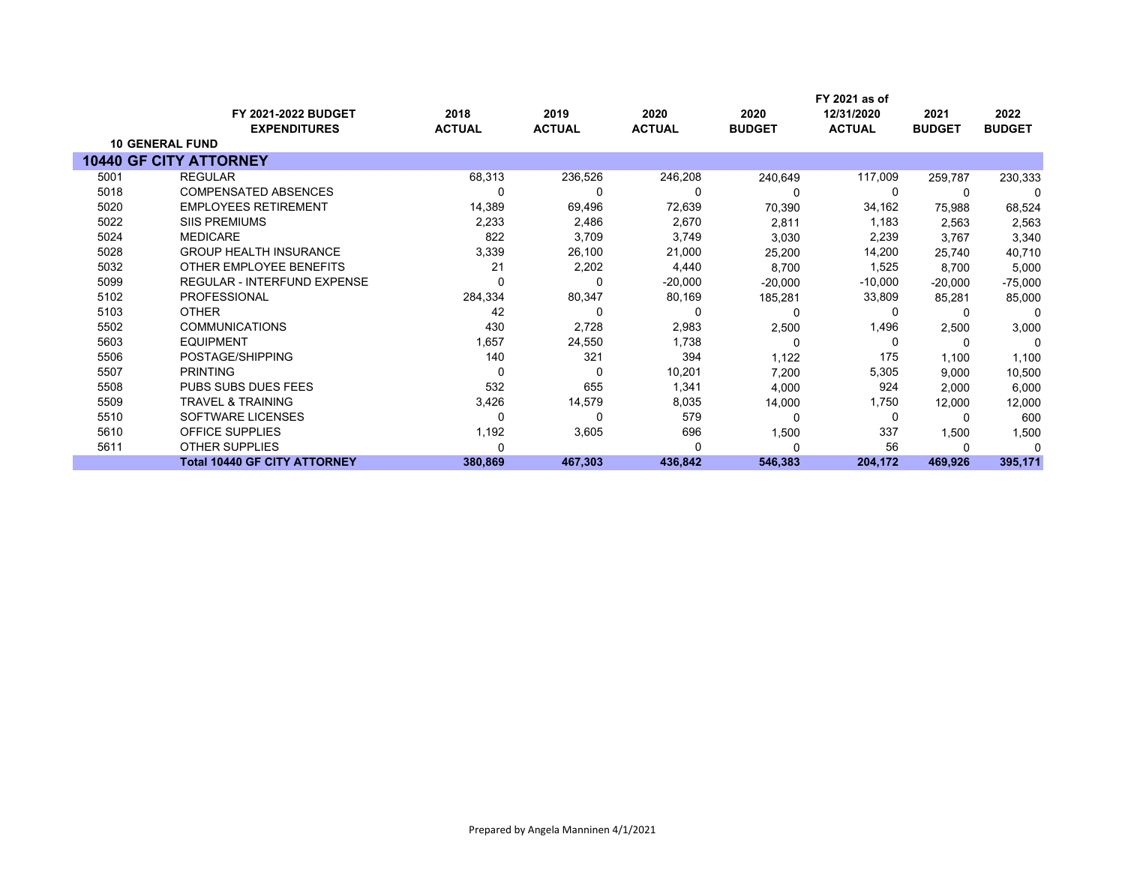|      | <b>FY 2021-2022 BUDGET</b><br><b>EXPENDITURES</b> | 2018<br><b>ACTUAL</b> | 2019<br><b>ACTUAL</b> | 2020<br><b>ACTUAL</b> | 2020<br><b>BUDGET</b> | FY 2021 as of<br>12/31/2020<br><b>ACTUAL</b> | 2021<br><b>BUDGET</b> | 2022<br><b>BUDGET</b> |
|------|---------------------------------------------------|-----------------------|-----------------------|-----------------------|-----------------------|----------------------------------------------|-----------------------|-----------------------|
|      | <b>10 GENERAL FUND</b>                            |                       |                       |                       |                       |                                              |                       |                       |
|      | <b>10440 GF CITY ATTORNEY</b>                     |                       |                       |                       |                       |                                              |                       |                       |
| 5001 | <b>REGULAR</b>                                    | 68,313                | 236,526               | 246,208               | 240,649               | 117,009                                      | 259,787               | 230,333               |
| 5018 | <b>COMPENSATED ABSENCES</b>                       |                       | 0                     | 0                     |                       | 0                                            |                       | $\Omega$              |
| 5020 | <b>EMPLOYEES RETIREMENT</b>                       | 14,389                | 69,496                | 72,639                | 70,390                | 34,162                                       | 75,988                | 68,524                |
| 5022 | <b>SIIS PREMIUMS</b>                              | 2,233                 | 2,486                 | 2,670                 | 2,811                 | 1,183                                        | 2,563                 | 2,563                 |
| 5024 | <b>MEDICARE</b>                                   | 822                   | 3,709                 | 3,749                 | 3,030                 | 2,239                                        | 3,767                 | 3,340                 |
| 5028 | <b>GROUP HEALTH INSURANCE</b>                     | 3,339                 | 26,100                | 21,000                | 25,200                | 14,200                                       | 25.740                | 40,710                |
| 5032 | OTHER EMPLOYEE BENEFITS                           | 21                    | 2,202                 | 4,440                 | 8,700                 | 1,525                                        | 8,700                 | 5,000                 |
| 5099 | REGULAR - INTERFUND EXPENSE                       |                       | 0                     | $-20,000$             | $-20,000$             | $-10,000$                                    | $-20,000$             | $-75,000$             |
| 5102 | <b>PROFESSIONAL</b>                               | 284,334               | 80,347                | 80,169                | 185,281               | 33,809                                       | 85,281                | 85,000                |
| 5103 | <b>OTHER</b>                                      | 42                    | 0                     | 0                     | 0                     | 0                                            |                       | $\Omega$              |
| 5502 | <b>COMMUNICATIONS</b>                             | 430                   | 2,728                 | 2,983                 | 2,500                 | 1,496                                        | 2,500                 | 3,000                 |
| 5603 | <b>EQUIPMENT</b>                                  | 1,657                 | 24,550                | 1,738                 | 0                     | 0                                            | $\Omega$              | $\Omega$              |
| 5506 | POSTAGE/SHIPPING                                  | 140                   | 321                   | 394                   | 1,122                 | 175                                          | 1,100                 | 1,100                 |
| 5507 | <b>PRINTING</b>                                   | 0                     | 0                     | 10,201                | 7,200                 | 5,305                                        | 9,000                 | 10,500                |
| 5508 | <b>PUBS SUBS DUES FEES</b>                        | 532                   | 655                   | 1,341                 | 4,000                 | 924                                          | 2,000                 | 6,000                 |
| 5509 | <b>TRAVEL &amp; TRAINING</b>                      | 3,426                 | 14,579                | 8,035                 | 14,000                | 1,750                                        | 12,000                | 12,000                |
| 5510 | SOFTWARE LICENSES                                 |                       | 0                     | 579                   | $\Omega$              | 0                                            |                       | 600                   |
| 5610 | <b>OFFICE SUPPLIES</b>                            | 1,192                 | 3,605                 | 696                   | 1,500                 | 337                                          | 1,500                 | 1,500                 |
| 5611 | <b>OTHER SUPPLIES</b>                             |                       |                       | ŋ                     |                       | 56                                           |                       |                       |
|      | <b>Total 10440 GF CITY ATTORNEY</b>               | 380,869               | 467,303               | 436,842               | 546,383               | 204,172                                      | 469,926               | 395,171               |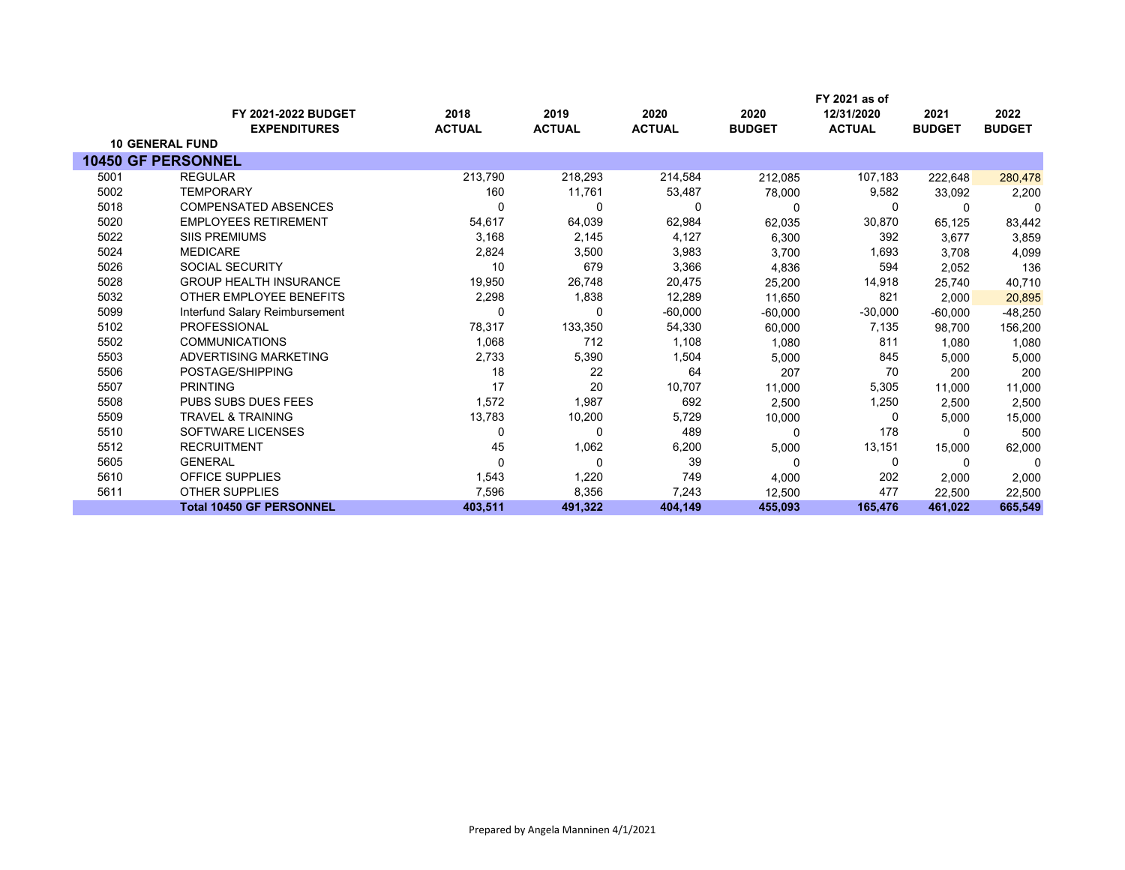|      | FY 2021-2022 BUDGET             | 2018          | 2019          | 2020          | 2020          | FY 2021 as of<br>12/31/2020 | 2021          | 2022          |
|------|---------------------------------|---------------|---------------|---------------|---------------|-----------------------------|---------------|---------------|
|      | <b>EXPENDITURES</b>             | <b>ACTUAL</b> | <b>ACTUAL</b> | <b>ACTUAL</b> | <b>BUDGET</b> | <b>ACTUAL</b>               | <b>BUDGET</b> | <b>BUDGET</b> |
|      | <b>10 GENERAL FUND</b>          |               |               |               |               |                             |               |               |
|      | <b>10450 GF PERSONNEL</b>       |               |               |               |               |                             |               |               |
| 5001 | <b>REGULAR</b>                  | 213,790       | 218,293       | 214,584       | 212,085       | 107,183                     | 222,648       | 280,478       |
| 5002 | <b>TEMPORARY</b>                | 160           | 11,761        | 53,487        | 78,000        | 9,582                       | 33.092        | 2,200         |
| 5018 | <b>COMPENSATED ABSENCES</b>     | 0             | 0             | 0             | $\Omega$      | 0                           | 0             | $\Omega$      |
| 5020 | <b>EMPLOYEES RETIREMENT</b>     | 54,617        | 64,039        | 62,984        | 62,035        | 30,870                      | 65,125        | 83,442        |
| 5022 | <b>SIIS PREMIUMS</b>            | 3,168         | 2,145         | 4,127         | 6,300         | 392                         | 3,677         | 3,859         |
| 5024 | <b>MEDICARE</b>                 | 2,824         | 3,500         | 3,983         | 3,700         | 1,693                       | 3,708         | 4,099         |
| 5026 | <b>SOCIAL SECURITY</b>          | 10            | 679           | 3,366         | 4,836         | 594                         | 2,052         | 136           |
| 5028 | <b>GROUP HEALTH INSURANCE</b>   | 19,950        | 26,748        | 20,475        | 25,200        | 14,918                      | 25,740        | 40,710        |
| 5032 | OTHER EMPLOYEE BENEFITS         | 2,298         | 1,838         | 12,289        | 11,650        | 821                         | 2,000         | 20,895        |
| 5099 | Interfund Salary Reimbursement  | $\Omega$      | 0             | $-60,000$     | $-60,000$     | $-30,000$                   | $-60,000$     | -48,250       |
| 5102 | <b>PROFESSIONAL</b>             | 78,317        | 133,350       | 54,330        | 60,000        | 7,135                       | 98.700        | 156,200       |
| 5502 | <b>COMMUNICATIONS</b>           | 1,068         | 712           | 1,108         | 1,080         | 811                         | 1.080         | 1,080         |
| 5503 | ADVERTISING MARKETING           | 2,733         | 5,390         | 1,504         | 5,000         | 845                         | 5,000         | 5,000         |
| 5506 | POSTAGE/SHIPPING                | 18            | 22            | 64            | 207           | 70                          | 200           | 200           |
| 5507 | <b>PRINTING</b>                 | 17            | 20            | 10,707        | 11,000        | 5,305                       | 11,000        | 11,000        |
| 5508 | PUBS SUBS DUES FEES             | 1,572         | 1,987         | 692           | 2,500         | 1,250                       | 2,500         | 2,500         |
| 5509 | <b>TRAVEL &amp; TRAINING</b>    | 13,783        | 10,200        | 5,729         | 10,000        | 0                           | 5,000         | 15,000        |
| 5510 | SOFTWARE LICENSES               | $\Omega$      | 0             | 489           | $\Omega$      | 178                         | $\Omega$      | 500           |
| 5512 | <b>RECRUITMENT</b>              | 45            | 1,062         | 6,200         | 5,000         | 13,151                      | 15,000        | 62,000        |
| 5605 | <b>GENERAL</b>                  | 0             | 0             | 39            | 0             | 0                           | 0             | 0             |
| 5610 | <b>OFFICE SUPPLIES</b>          | 1,543         | 1,220         | 749           | 4,000         | 202                         | 2,000         | 2,000         |
| 5611 | <b>OTHER SUPPLIES</b>           | 7,596         | 8,356         | 7,243         | 12,500        | 477                         | 22,500        | 22,500        |
|      | <b>Total 10450 GF PERSONNEL</b> | 403,511       | 491,322       | 404,149       | 455,093       | 165,476                     | 461,022       | 665,549       |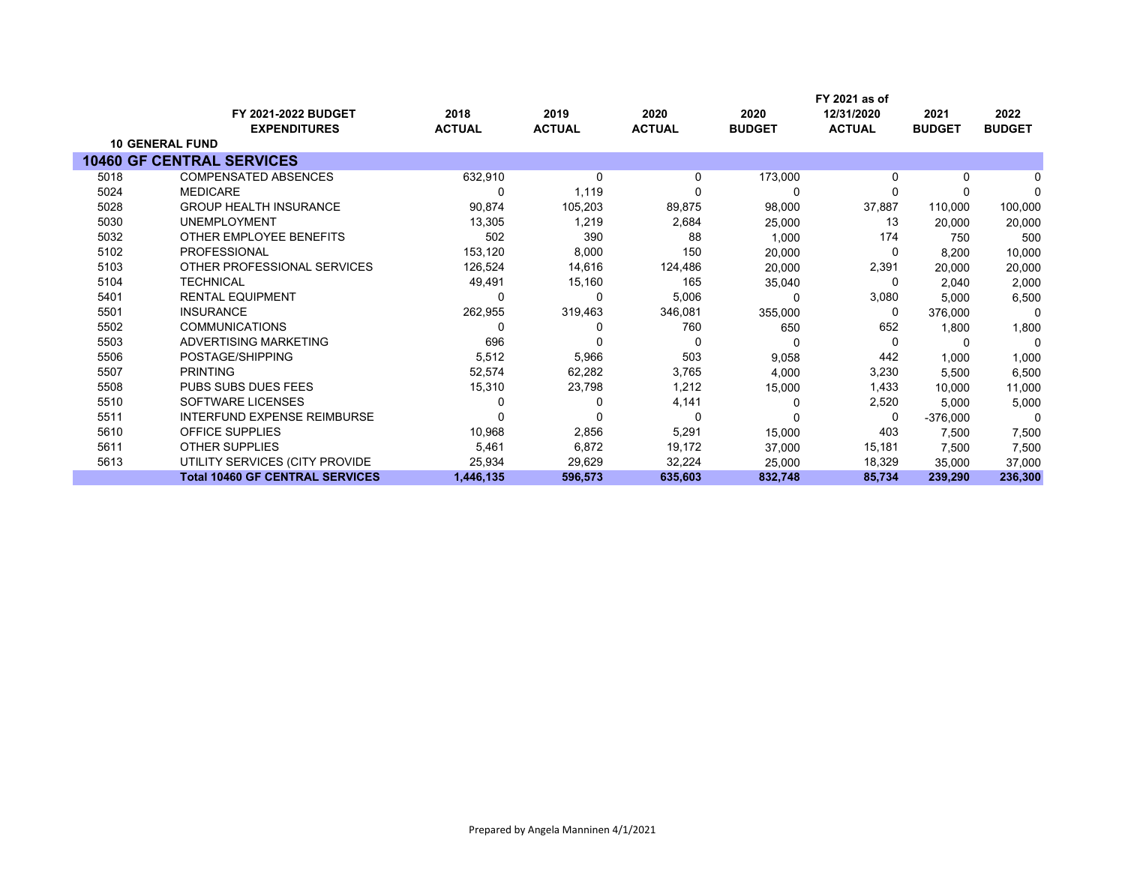|      |                                        |               |               |               | FY 2021 as of |               |               |               |
|------|----------------------------------------|---------------|---------------|---------------|---------------|---------------|---------------|---------------|
|      | <b>FY 2021-2022 BUDGET</b>             | 2018          | 2019          | 2020          | 2020          | 12/31/2020    | 2021          | 2022          |
|      | <b>EXPENDITURES</b>                    | <b>ACTUAL</b> | <b>ACTUAL</b> | <b>ACTUAL</b> | <b>BUDGET</b> | <b>ACTUAL</b> | <b>BUDGET</b> | <b>BUDGET</b> |
|      | <b>10 GENERAL FUND</b>                 |               |               |               |               |               |               |               |
|      | <b>10460 GF CENTRAL SERVICES</b>       |               |               |               |               |               |               |               |
| 5018 | <b>COMPENSATED ABSENCES</b>            | 632,910       | 0             | 0             | 173,000       | $\Omega$      | 0             |               |
| 5024 | <b>MEDICARE</b>                        |               | 1,119         |               | 0             | $\Omega$      |               | $\Omega$      |
| 5028 | <b>GROUP HEALTH INSURANCE</b>          | 90,874        | 105,203       | 89,875        | 98,000        | 37,887        | 110,000       | 100,000       |
| 5030 | <b>UNEMPLOYMENT</b>                    | 13,305        | 1,219         | 2,684         | 25,000        | 13            | 20,000        | 20,000        |
| 5032 | OTHER EMPLOYEE BENEFITS                | 502           | 390           | 88            | 1,000         | 174           | 750           | 500           |
| 5102 | <b>PROFESSIONAL</b>                    | 153,120       | 8,000         | 150           | 20,000        | 0             | 8,200         | 10,000        |
| 5103 | OTHER PROFESSIONAL SERVICES            | 126,524       | 14,616        | 124,486       | 20,000        | 2,391         | 20,000        | 20,000        |
| 5104 | <b>TECHNICAL</b>                       | 49,491        | 15,160        | 165           | 35,040        | 0             | 2.040         | 2,000         |
| 5401 | <b>RENTAL EQUIPMENT</b>                |               | 0             | 5,006         |               | 3,080         | 5,000         | 6,500         |
| 5501 | <b>INSURANCE</b>                       | 262,955       | 319,463       | 346,081       | 355,000       | 0             | 376,000       | 0             |
| 5502 | <b>COMMUNICATIONS</b>                  |               |               | 760           | 650           | 652           | 1,800         | 1,800         |
| 5503 | ADVERTISING MARKETING                  | 696           | 0             | 0             | 0             | $\Omega$      | 0             | 0             |
| 5506 | POSTAGE/SHIPPING                       | 5,512         | 5,966         | 503           | 9,058         | 442           | 1,000         | 1,000         |
| 5507 | <b>PRINTING</b>                        | 52,574        | 62,282        | 3,765         | 4,000         | 3,230         | 5,500         | 6,500         |
| 5508 | <b>PUBS SUBS DUES FEES</b>             | 15,310        | 23,798        | 1,212         | 15,000        | 1,433         | 10,000        | 11,000        |
| 5510 | SOFTWARE LICENSES                      |               |               | 4,141         |               | 2,520         | 5,000         | 5,000         |
| 5511 | <b>INTERFUND EXPENSE REIMBURSE</b>     |               | 0             | 0             |               | 0             | $-376,000$    | 0             |
| 5610 | <b>OFFICE SUPPLIES</b>                 | 10,968        | 2,856         | 5,291         | 15,000        | 403           | 7,500         | 7,500         |
| 5611 | <b>OTHER SUPPLIES</b>                  | 5,461         | 6,872         | 19,172        | 37,000        | 15,181        | 7,500         | 7,500         |
| 5613 | UTILITY SERVICES (CITY PROVIDE         | 25,934        | 29,629        | 32,224        | 25,000        | 18,329        | 35,000        | 37,000        |
|      | <b>Total 10460 GF CENTRAL SERVICES</b> | 1,446,135     | 596,573       | 635,603       | 832,748       | 85,734        | 239,290       | 236,300       |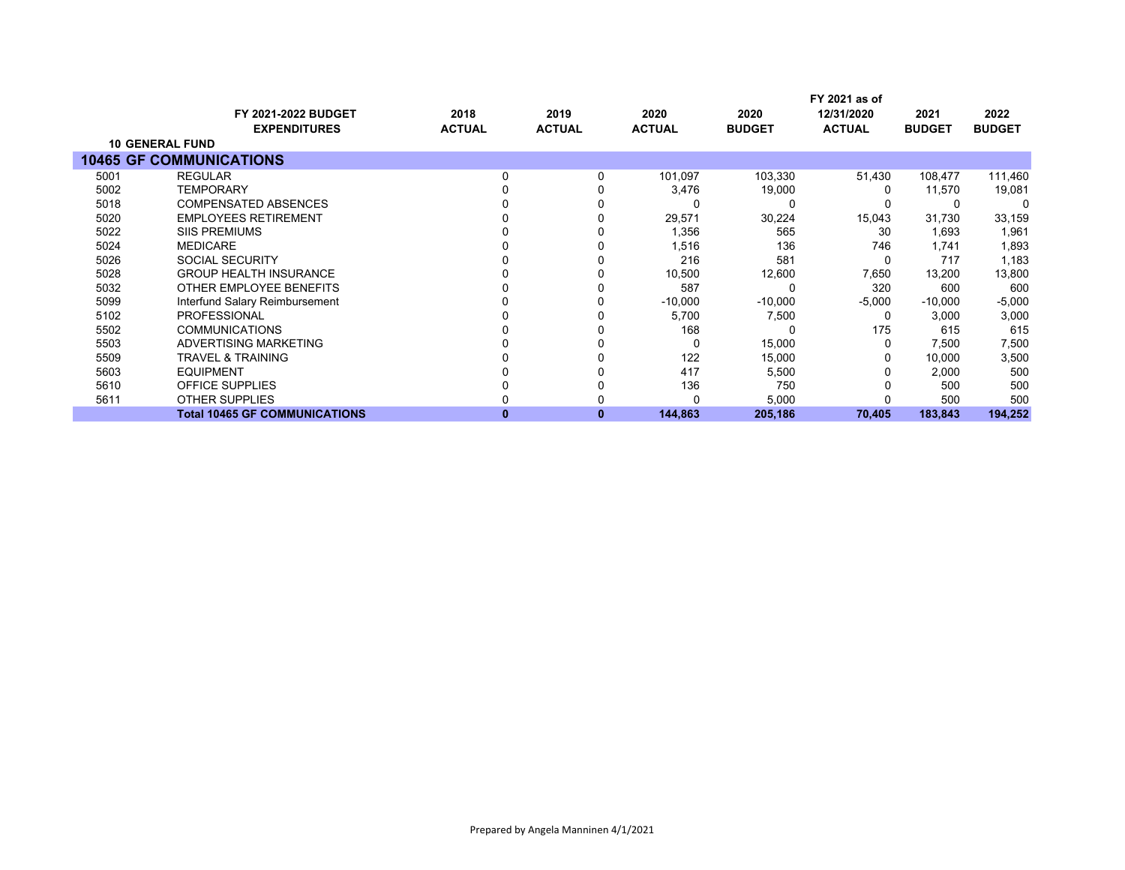|      |                                      |               |               |               |               | FY 2021 as of |               |               |
|------|--------------------------------------|---------------|---------------|---------------|---------------|---------------|---------------|---------------|
|      | <b>FY 2021-2022 BUDGET</b>           | 2018          | 2019          | 2020          | 2020          | 12/31/2020    | 2021          | 2022          |
|      | <b>EXPENDITURES</b>                  | <b>ACTUAL</b> | <b>ACTUAL</b> | <b>ACTUAL</b> | <b>BUDGET</b> | <b>ACTUAL</b> | <b>BUDGET</b> | <b>BUDGET</b> |
|      | <b>10 GENERAL FUND</b>               |               |               |               |               |               |               |               |
|      | <b>10465 GF COMMUNICATIONS</b>       |               |               |               |               |               |               |               |
| 5001 | <b>REGULAR</b>                       | 0             |               | 101,097       | 103,330       | 51,430        | 108,477       | 111,460       |
| 5002 | <b>TEMPORARY</b>                     |               |               | 3,476         | 19,000        |               | 11,570        | 19,081        |
| 5018 | <b>COMPENSATED ABSENCES</b>          |               |               | 0             |               |               |               |               |
| 5020 | <b>EMPLOYEES RETIREMENT</b>          |               |               | 29,571        | 30,224        | 15,043        | 31,730        | 33,159        |
| 5022 | <b>SIIS PREMIUMS</b>                 |               |               | 1,356         | 565           | 30            | 1,693         | 1,961         |
| 5024 | <b>MEDICARE</b>                      |               |               | 1,516         | 136           | 746           | 1,741         | 1,893         |
| 5026 | <b>SOCIAL SECURITY</b>               |               |               | 216           | 581           |               | 717           | 1,183         |
| 5028 | <b>GROUP HEALTH INSURANCE</b>        |               |               | 10,500        | 12,600        | 7,650         | 13,200        | 13,800        |
| 5032 | OTHER EMPLOYEE BENEFITS              |               |               | 587           |               | 320           | 600           | 600           |
| 5099 | Interfund Salary Reimbursement       |               |               | $-10,000$     | $-10,000$     | $-5,000$      | $-10,000$     | $-5,000$      |
| 5102 | <b>PROFESSIONAL</b>                  |               |               | 5,700         | 7,500         | 0             | 3,000         | 3,000         |
| 5502 | <b>COMMUNICATIONS</b>                |               |               | 168           |               | 175           | 615           | 615           |
| 5503 | ADVERTISING MARKETING                |               |               | 0             | 15,000        |               | 7,500         | 7,500         |
| 5509 | <b>TRAVEL &amp; TRAINING</b>         |               |               | 122           | 15,000        |               | 10,000        | 3,500         |
| 5603 | <b>EQUIPMENT</b>                     |               |               | 417           | 5,500         |               | 2,000         | 500           |
| 5610 | <b>OFFICE SUPPLIES</b>               |               |               | 136           | 750           |               | 500           | 500           |
| 5611 | <b>OTHER SUPPLIES</b>                |               |               | 0             | 5,000         |               | 500           | 500           |
|      | <b>Total 10465 GF COMMUNICATIONS</b> | o             | 0             | 144,863       | 205,186       | 70,405        | 183,843       | 194,252       |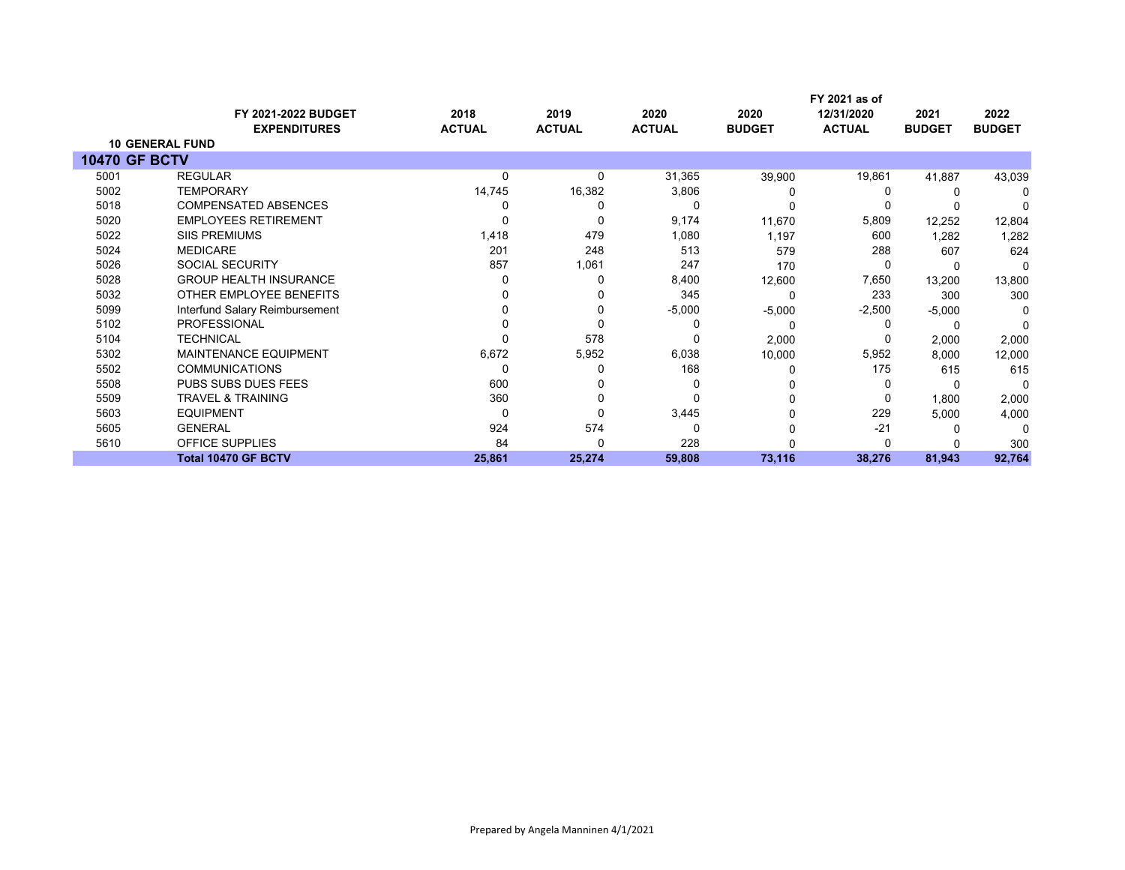|                      | <b>FY 2021-2022 BUDGET</b>     | 2018          | 2019          | 2020          | 2020          | FY 2021 as of<br>12/31/2020 | 2021          | 2022          |
|----------------------|--------------------------------|---------------|---------------|---------------|---------------|-----------------------------|---------------|---------------|
|                      | <b>EXPENDITURES</b>            | <b>ACTUAL</b> | <b>ACTUAL</b> | <b>ACTUAL</b> | <b>BUDGET</b> | <b>ACTUAL</b>               | <b>BUDGET</b> | <b>BUDGET</b> |
|                      | <b>10 GENERAL FUND</b>         |               |               |               |               |                             |               |               |
| <b>10470 GF BCTV</b> |                                |               |               |               |               |                             |               |               |
| 5001                 | <b>REGULAR</b>                 | 0             | 0             | 31,365        | 39,900        | 19,861                      | 41,887        | 43,039        |
| 5002                 | <b>TEMPORARY</b>               | 14,745        | 16,382        | 3,806         |               |                             |               |               |
| 5018                 | <b>COMPENSATED ABSENCES</b>    |               |               | 0             |               |                             |               |               |
| 5020                 | <b>EMPLOYEES RETIREMENT</b>    |               | 0             | 9,174         | 11,670        | 5,809                       | 12,252        | 12,804        |
| 5022                 | <b>SIIS PREMIUMS</b>           | 1,418         | 479           | 1,080         | 1,197         | 600                         | 1,282         | 1,282         |
| 5024                 | <b>MEDICARE</b>                | 201           | 248           | 513           | 579           | 288                         | 607           | 624           |
| 5026                 | <b>SOCIAL SECURITY</b>         | 857           | 1,061         | 247           | 170           |                             | 0             |               |
| 5028                 | <b>GROUP HEALTH INSURANCE</b>  |               | ი             | 8,400         | 12,600        | 7,650                       | 13,200        | 13,800        |
| 5032                 | OTHER EMPLOYEE BENEFITS        |               |               | 345           |               | 233                         | 300           | 300           |
| 5099                 | Interfund Salary Reimbursement |               |               | $-5,000$      | $-5,000$      | $-2,500$                    | $-5,000$      |               |
| 5102                 | <b>PROFESSIONAL</b>            |               |               |               |               |                             |               |               |
| 5104                 | TECHNICAL                      |               | 578           | 0             | 2,000         |                             | 2,000         | 2,000         |
| 5302                 | <b>MAINTENANCE EQUIPMENT</b>   | 6,672         | 5,952         | 6,038         | 10,000        | 5,952                       | 8,000         | 12,000        |
| 5502                 | <b>COMMUNICATIONS</b>          | 0             | o             | 168           |               | 175                         | 615           | 615           |
| 5508                 | PUBS SUBS DUES FEES            | 600           |               | $\Omega$      |               |                             |               |               |
| 5509                 | <b>TRAVEL &amp; TRAINING</b>   | 360           |               | 0             |               |                             | 1,800         | 2,000         |
| 5603                 | <b>EQUIPMENT</b>               | 0             | 0             | 3,445         |               | 229                         | 5,000         | 4,000         |
| 5605                 | <b>GENERAL</b>                 | 924           | 574           | 0             |               | $-21$                       |               | ∩             |
| 5610                 | OFFICE SUPPLIES                | 84            | 0             | 228           |               |                             |               | 300           |
|                      | <b>Total 10470 GF BCTV</b>     | 25,861        | 25,274        | 59,808        | 73,116        | 38,276                      | 81,943        | 92,764        |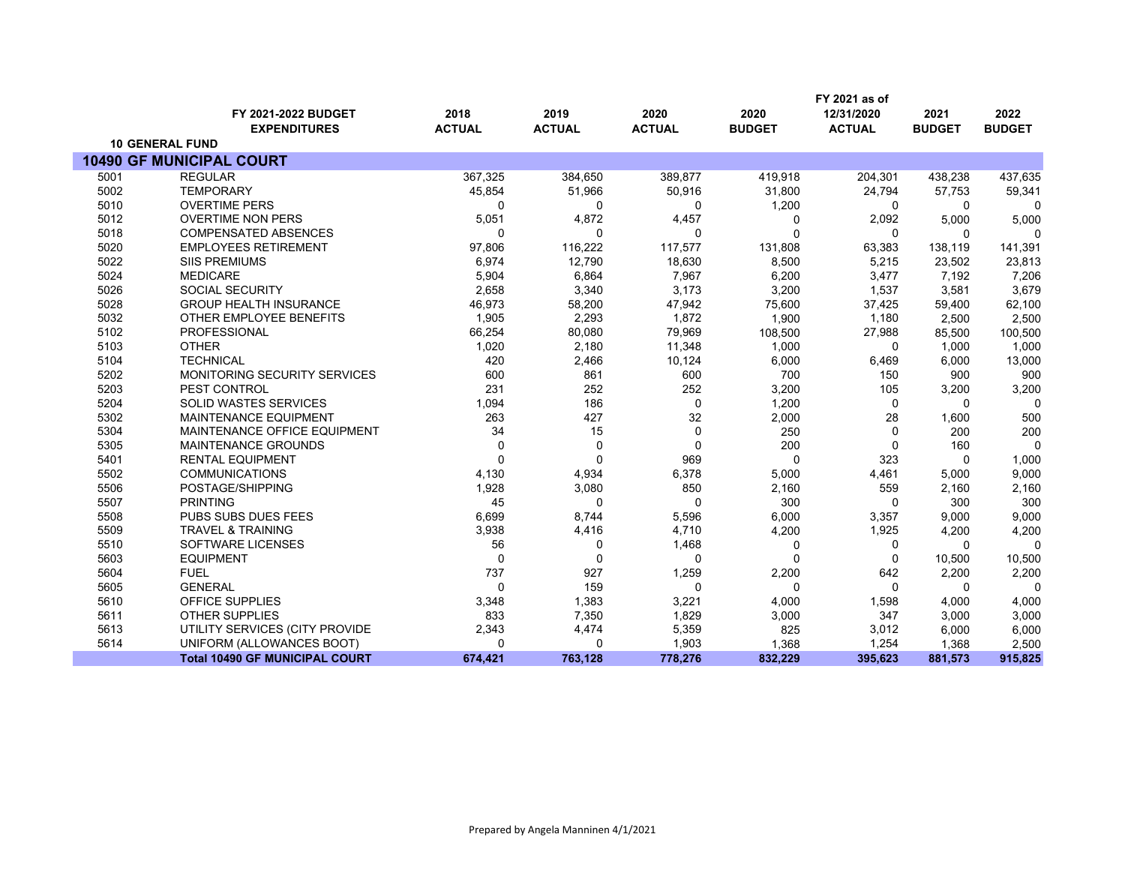|      |                                       |               |               |               |               | FY 2021 as of |               |               |
|------|---------------------------------------|---------------|---------------|---------------|---------------|---------------|---------------|---------------|
|      | FY 2021-2022 BUDGET                   | 2018          | 2019          | 2020          | 2020          | 12/31/2020    | 2021          | 2022          |
|      | <b>EXPENDITURES</b>                   | <b>ACTUAL</b> | <b>ACTUAL</b> | <b>ACTUAL</b> | <b>BUDGET</b> | <b>ACTUAL</b> | <b>BUDGET</b> | <b>BUDGET</b> |
|      | <b>10 GENERAL FUND</b>                |               |               |               |               |               |               |               |
|      | <b>10490 GF MUNICIPAL COURT</b>       |               |               |               |               |               |               |               |
| 5001 | <b>REGULAR</b>                        | 367,325       | 384,650       | 389,877       | 419,918       | 204,301       | 438,238       | 437,635       |
| 5002 | <b>TEMPORARY</b>                      | 45,854        | 51,966        | 50,916        | 31,800        | 24,794        | 57,753        | 59,341        |
| 5010 | <b>OVERTIME PERS</b>                  | 0             | 0             | 0             | 1,200         | 0             | 0             | $\Omega$      |
| 5012 | <b>OVERTIME NON PERS</b>              | 5,051         | 4,872         | 4,457         | 0             | 2,092         | 5,000         | 5,000         |
| 5018 | <b>COMPENSATED ABSENCES</b>           | 0             | $\Omega$      | 0             | $\Omega$      | 0             | $\Omega$      | n             |
| 5020 | <b>EMPLOYEES RETIREMENT</b>           | 97,806        | 116,222       | 117,577       | 131,808       | 63,383        | 138,119       | 141,391       |
| 5022 | <b>SIIS PREMIUMS</b>                  | 6,974         | 12,790        | 18,630        | 8,500         | 5,215         | 23,502        | 23,813        |
| 5024 | <b>MEDICARE</b>                       | 5,904         | 6,864         | 7,967         | 6,200         | 3,477         | 7,192         | 7,206         |
| 5026 | <b>SOCIAL SECURITY</b>                | 2,658         | 3,340         | 3,173         | 3,200         | 1,537         | 3.581         | 3,679         |
| 5028 | <b>GROUP HEALTH INSURANCE</b>         | 46,973        | 58,200        | 47,942        | 75,600        | 37,425        | 59,400        | 62,100        |
| 5032 | OTHER EMPLOYEE BENEFITS               | 1,905         | 2,293         | 1,872         | 1,900         | 1,180         | 2.500         | 2,500         |
| 5102 | <b>PROFESSIONAL</b>                   | 66,254        | 80,080        | 79,969        | 108,500       | 27,988        | 85,500        | 100,500       |
| 5103 | <b>OTHER</b>                          | 1,020         | 2,180         | 11,348        | 1,000         | $\mathbf 0$   | 1.000         | 1,000         |
| 5104 | <b>TECHNICAL</b>                      | 420           | 2,466         | 10,124        | 6,000         | 6,469         | 6,000         | 13,000        |
| 5202 | <b>MONITORING SECURITY SERVICES</b>   | 600           | 861           | 600           | 700           | 150           | 900           | 900           |
| 5203 | PEST CONTROL                          | 231           | 252           | 252           | 3,200         | 105           | 3,200         | 3,200         |
| 5204 | <b>SOLID WASTES SERVICES</b>          | 1,094         | 186           | $\mathbf 0$   | 1,200         | $\mathbf 0$   | $\Omega$      | $\Omega$      |
| 5302 | <b>MAINTENANCE EQUIPMENT</b>          | 263           | 427           | 32            | 2,000         | 28            | 1,600         | 500           |
| 5304 | MAINTENANCE OFFICE EQUIPMENT          | 34            | 15            | $\mathbf 0$   | 250           | $\mathbf 0$   | 200           | 200           |
| 5305 | <b>MAINTENANCE GROUNDS</b>            | $\mathbf 0$   | 0             | $\mathbf 0$   | 200           | $\mathbf 0$   | 160           | $\Omega$      |
| 5401 | <b>RENTAL EQUIPMENT</b>               | 0             | $\mathbf 0$   | 969           | $\Omega$      | 323           | 0             | 1,000         |
| 5502 | <b>COMMUNICATIONS</b>                 | 4,130         | 4,934         | 6,378         | 5,000         | 4,461         | 5,000         | 9,000         |
| 5506 | POSTAGE/SHIPPING                      | 1,928         | 3,080         | 850           | 2,160         | 559           | 2,160         | 2,160         |
| 5507 | <b>PRINTING</b>                       | 45            | $\mathbf{0}$  | $\mathbf{0}$  | 300           | $\mathbf 0$   | 300           | 300           |
| 5508 | PUBS SUBS DUES FEES                   | 6,699         | 8,744         | 5,596         | 6,000         | 3,357         | 9.000         | 9,000         |
| 5509 | <b>TRAVEL &amp; TRAINING</b>          | 3,938         | 4,416         | 4,710         | 4,200         | 1,925         | 4,200         | 4,200         |
| 5510 | SOFTWARE LICENSES                     | 56            | 0             | 1,468         | 0             | 0             | $\mathbf 0$   | $\Omega$      |
| 5603 | <b>EQUIPMENT</b>                      | $\mathbf 0$   | $\mathbf 0$   | $\mathbf 0$   | $\Omega$      | $\mathbf 0$   | 10,500        | 10,500        |
| 5604 | <b>FUEL</b>                           | 737           | 927           | 1,259         | 2,200         | 642           | 2,200         | 2,200         |
| 5605 | <b>GENERAL</b>                        | 0             | 159           | $\Omega$      | $\Omega$      | $\Omega$      | $\Omega$      | $\Omega$      |
| 5610 | <b>OFFICE SUPPLIES</b>                | 3,348         | 1,383         | 3,221         | 4,000         | 1,598         | 4,000         | 4,000         |
| 5611 | <b>OTHER SUPPLIES</b>                 | 833           | 7,350         | 1,829         | 3,000         | 347           | 3,000         | 3,000         |
| 5613 | UTILITY SERVICES (CITY PROVIDE        | 2,343         | 4,474         | 5,359         | 825           | 3,012         | 6,000         | 6,000         |
| 5614 | UNIFORM (ALLOWANCES BOOT)             | 0             | $\mathbf 0$   | 1,903         | 1,368         | 1,254         | 1,368         | 2,500         |
|      | <b>Total 10490 GF MUNICIPAL COURT</b> | 674,421       | 763,128       | 778,276       | 832,229       | 395,623       | 881,573       | 915,825       |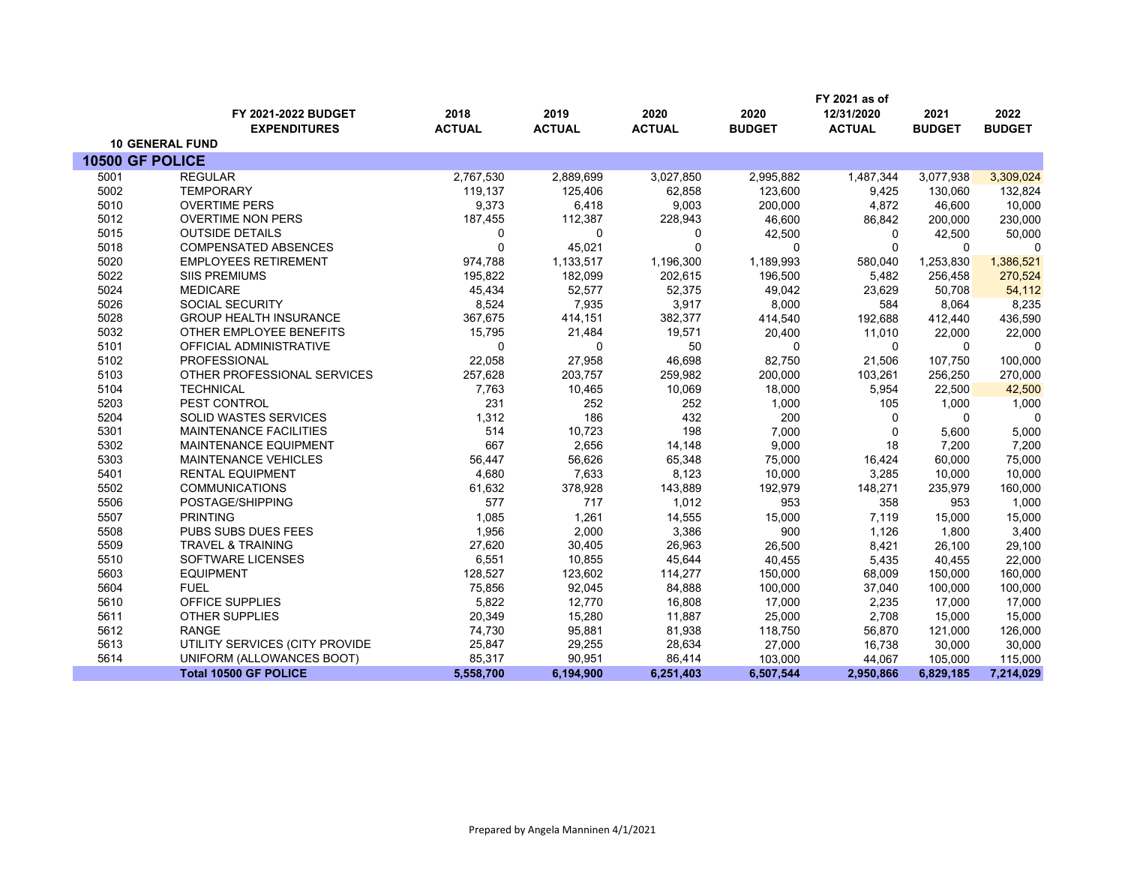|                 |                                |               |               |               |               | FY 2021 as of |               |               |
|-----------------|--------------------------------|---------------|---------------|---------------|---------------|---------------|---------------|---------------|
|                 | FY 2021-2022 BUDGET            | 2018          | 2019          | 2020          | 2020          | 12/31/2020    | 2021          | 2022          |
|                 | <b>EXPENDITURES</b>            | <b>ACTUAL</b> | <b>ACTUAL</b> | <b>ACTUAL</b> | <b>BUDGET</b> | <b>ACTUAL</b> | <b>BUDGET</b> | <b>BUDGET</b> |
|                 | <b>10 GENERAL FUND</b>         |               |               |               |               |               |               |               |
| 10500 GF POLICE |                                |               |               |               |               |               |               |               |
| 5001            | <b>REGULAR</b>                 | 2,767,530     | 2,889,699     | 3,027,850     | 2,995,882     | 1,487,344     | 3,077,938     | 3,309,024     |
| 5002            | <b>TEMPORARY</b>               | 119,137       | 125,406       | 62,858        | 123,600       | 9,425         | 130,060       | 132,824       |
| 5010            | <b>OVERTIME PERS</b>           | 9,373         | 6,418         | 9,003         | 200,000       | 4,872         | 46,600        | 10,000        |
| 5012            | <b>OVERTIME NON PERS</b>       | 187,455       | 112,387       | 228,943       | 46,600        | 86,842        | 200,000       | 230,000       |
| 5015            | <b>OUTSIDE DETAILS</b>         | 0             | 0             | 0             | 42,500        | 0             | 42,500        | 50,000        |
| 5018            | <b>COMPENSATED ABSENCES</b>    | 0             | 45,021        | $\mathbf 0$   | $\Omega$      | $\mathbf 0$   | $\Omega$      | $\mathbf 0$   |
| 5020            | <b>EMPLOYEES RETIREMENT</b>    | 974,788       | 1,133,517     | 1,196,300     | 1,189,993     | 580,040       | 1,253,830     | 1,386,521     |
| 5022            | <b>SIIS PREMIUMS</b>           | 195,822       | 182,099       | 202,615       | 196,500       | 5,482         | 256,458       | 270,524       |
| 5024            | <b>MEDICARE</b>                | 45,434        | 52,577        | 52,375        | 49,042        | 23,629        | 50,708        | 54,112        |
| 5026            | <b>SOCIAL SECURITY</b>         | 8,524         | 7,935         | 3,917         | 8,000         | 584           | 8,064         | 8,235         |
| 5028            | <b>GROUP HEALTH INSURANCE</b>  | 367,675       | 414,151       | 382,377       | 414,540       | 192,688       | 412,440       | 436,590       |
| 5032            | OTHER EMPLOYEE BENEFITS        | 15,795        | 21,484        | 19,571        | 20,400        | 11,010        | 22,000        | 22,000        |
| 5101            | OFFICIAL ADMINISTRATIVE        | $\Omega$      | $\Omega$      | 50            | $\Omega$      | $\Omega$      | $\Omega$      | 0             |
| 5102            | PROFESSIONAL                   | 22,058        | 27,958        | 46,698        | 82,750        | 21,506        | 107,750       | 100,000       |
| 5103            | OTHER PROFESSIONAL SERVICES    | 257,628       | 203,757       | 259,982       | 200,000       | 103,261       | 256,250       | 270,000       |
| 5104            | <b>TECHNICAL</b>               | 7,763         | 10,465        | 10,069        | 18,000        | 5,954         | 22,500        | 42,500        |
| 5203            | PEST CONTROL                   | 231           | 252           | 252           | 1,000         | 105           | 1,000         | 1,000         |
| 5204            | SOLID WASTES SERVICES          | 1,312         | 186           | 432           | 200           | $\Omega$      | $\Omega$      | $\Omega$      |
| 5301            | <b>MAINTENANCE FACILITIES</b>  | 514           | 10,723        | 198           | 7,000         | $\mathbf 0$   | 5,600         | 5,000         |
| 5302            | MAINTENANCE EQUIPMENT          | 667           | 2,656         | 14,148        | 9,000         | 18            | 7,200         | 7,200         |
| 5303            | MAINTENANCE VEHICLES           | 56,447        | 56,626        | 65,348        | 75,000        | 16,424        | 60,000        | 75,000        |
| 5401            | <b>RENTAL EQUIPMENT</b>        | 4,680         | 7,633         | 8,123         | 10,000        | 3,285         | 10,000        | 10,000        |
| 5502            | <b>COMMUNICATIONS</b>          | 61,632        | 378,928       | 143,889       | 192,979       | 148,271       | 235,979       | 160,000       |
| 5506            | POSTAGE/SHIPPING               | 577           | 717           | 1,012         | 953           | 358           | 953           | 1,000         |
| 5507            | <b>PRINTING</b>                | 1,085         | 1,261         | 14,555        | 15,000        | 7,119         | 15,000        | 15,000        |
| 5508            | PUBS SUBS DUES FEES            | 1,956         | 2,000         | 3,386         | 900           | 1,126         | 1,800         | 3,400         |
| 5509            | <b>TRAVEL &amp; TRAINING</b>   | 27,620        | 30,405        | 26,963        | 26,500        | 8,421         | 26,100        | 29,100        |
| 5510            | <b>SOFTWARE LICENSES</b>       | 6,551         | 10,855        | 45,644        | 40.455        | 5,435         | 40.455        | 22,000        |
| 5603            | <b>EQUIPMENT</b>               | 128,527       | 123,602       | 114,277       | 150,000       | 68,009        | 150,000       | 160,000       |
| 5604            | <b>FUEL</b>                    | 75,856        | 92,045        | 84,888        | 100,000       | 37,040        | 100,000       | 100,000       |
| 5610            | OFFICE SUPPLIES                | 5,822         | 12,770        | 16,808        | 17,000        | 2,235         | 17,000        | 17,000        |
| 5611            | <b>OTHER SUPPLIES</b>          | 20,349        | 15,280        | 11,887        | 25,000        | 2,708         | 15,000        | 15,000        |
| 5612            | <b>RANGE</b>                   | 74,730        | 95,881        | 81,938        | 118,750       | 56,870        | 121,000       | 126,000       |
| 5613            | UTILITY SERVICES (CITY PROVIDE | 25,847        | 29,255        | 28,634        | 27,000        | 16,738        | 30,000        | 30,000        |
| 5614            | UNIFORM (ALLOWANCES BOOT)      | 85,317        | 90,951        | 86,414        | 103,000       | 44,067        | 105,000       | 115,000       |
|                 | <b>Total 10500 GF POLICE</b>   | 5,558,700     | 6,194,900     | 6,251,403     | 6,507,544     | 2,950,866     | 6,829,185     | 7,214,029     |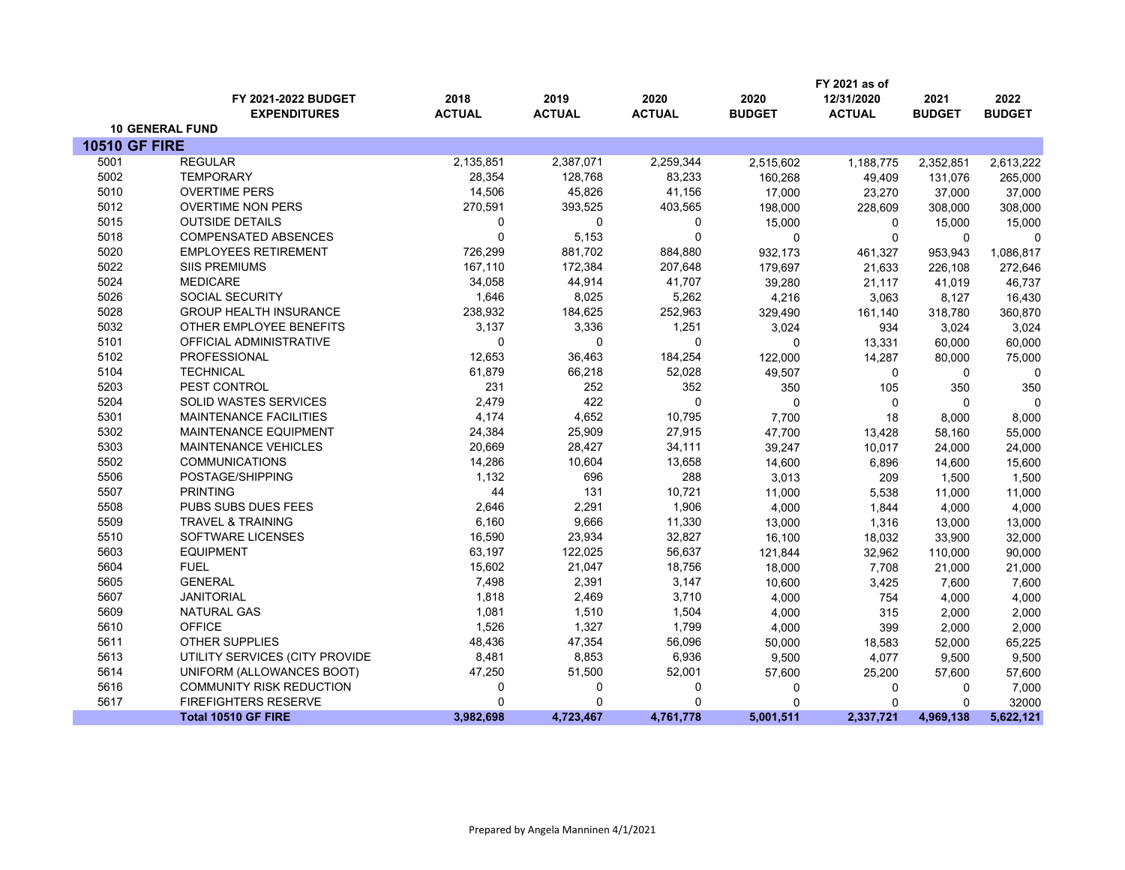|                      |                                 |               |               |               |               | FY 2021 as of |               |               |
|----------------------|---------------------------------|---------------|---------------|---------------|---------------|---------------|---------------|---------------|
|                      | FY 2021-2022 BUDGET             | 2018          | 2019          | 2020          | 2020          | 12/31/2020    | 2021          | 2022          |
|                      | <b>EXPENDITURES</b>             | <b>ACTUAL</b> | <b>ACTUAL</b> | <b>ACTUAL</b> | <b>BUDGET</b> | <b>ACTUAL</b> | <b>BUDGET</b> | <b>BUDGET</b> |
|                      | <b>10 GENERAL FUND</b>          |               |               |               |               |               |               |               |
| <b>10510 GF FIRE</b> |                                 |               |               |               |               |               |               |               |
| 5001                 | <b>REGULAR</b>                  | 2,135,851     | 2,387,071     | 2,259,344     | 2,515,602     | 1,188,775     | 2,352,851     | 2,613,222     |
| 5002                 | <b>TEMPORARY</b>                | 28,354        | 128,768       | 83,233        | 160,268       | 49,409        | 131,076       | 265,000       |
| 5010                 | <b>OVERTIME PERS</b>            | 14,506        | 45,826        | 41,156        | 17,000        | 23,270        | 37,000        | 37,000        |
| 5012                 | <b>OVERTIME NON PERS</b>        | 270,591       | 393,525       | 403,565       | 198,000       | 228,609       | 308,000       | 308,000       |
| 5015                 | <b>OUTSIDE DETAILS</b>          | 0             | 0             | 0             | 15,000        | 0             | 15,000        | 15,000        |
| 5018                 | <b>COMPENSATED ABSENCES</b>     | $\Omega$      | 5,153         | 0             | $\mathbf 0$   | $\mathbf 0$   | $\Omega$      | $\Omega$      |
| 5020                 | <b>EMPLOYEES RETIREMENT</b>     | 726,299       | 881,702       | 884,880       | 932,173       | 461,327       | 953,943       | 1,086,817     |
| 5022                 | <b>SIIS PREMIUMS</b>            | 167,110       | 172,384       | 207,648       | 179,697       | 21,633        | 226,108       | 272,646       |
| 5024                 | <b>MEDICARE</b>                 | 34,058        | 44,914        | 41,707        | 39,280        | 21,117        | 41,019        | 46,737        |
| 5026                 | <b>SOCIAL SECURITY</b>          | 1,646         | 8,025         | 5,262         | 4,216         | 3,063         | 8,127         | 16,430        |
| 5028                 | <b>GROUP HEALTH INSURANCE</b>   | 238,932       | 184,625       | 252,963       | 329,490       | 161,140       | 318,780       | 360,870       |
| 5032                 | OTHER EMPLOYEE BENEFITS         | 3,137         | 3,336         | 1,251         | 3,024         | 934           | 3,024         | 3,024         |
| 5101                 | OFFICIAL ADMINISTRATIVE         | $\Omega$      | $\Omega$      | 0             | $\mathbf 0$   | 13,331        | 60,000        | 60,000        |
| 5102                 | PROFESSIONAL                    | 12,653        | 36,463        | 184,254       | 122,000       | 14,287        | 80,000        | 75,000        |
| 5104                 | <b>TECHNICAL</b>                | 61,879        | 66,218        | 52,028        | 49,507        | 0             | $\mathbf 0$   | $\mathbf 0$   |
| 5203                 | PEST CONTROL                    | 231           | 252           | 352           | 350           | 105           | 350           | 350           |
| 5204                 | <b>SOLID WASTES SERVICES</b>    | 2,479         | 422           | 0             | $\mathbf 0$   | 0             | $\Omega$      | $\mathbf 0$   |
| 5301                 | <b>MAINTENANCE FACILITIES</b>   | 4,174         | 4,652         | 10,795        | 7,700         | 18            | 8,000         | 8,000         |
| 5302                 | MAINTENANCE EQUIPMENT           | 24,384        | 25,909        | 27,915        | 47,700        | 13,428        | 58,160        | 55,000        |
| 5303                 | <b>MAINTENANCE VEHICLES</b>     | 20,669        | 28,427        | 34,111        | 39,247        | 10,017        | 24,000        | 24,000        |
| 5502                 | <b>COMMUNICATIONS</b>           | 14,286        | 10,604        | 13,658        | 14,600        | 6,896         | 14,600        | 15,600        |
| 5506                 | POSTAGE/SHIPPING                | 1,132         | 696           | 288           | 3,013         | 209           | 1,500         | 1,500         |
| 5507                 | <b>PRINTING</b>                 | 44            | 131           | 10,721        | 11,000        | 5,538         | 11,000        | 11,000        |
| 5508                 | PUBS SUBS DUES FEES             | 2,646         | 2,291         | 1,906         | 4,000         | 1,844         | 4,000         | 4,000         |
| 5509                 | <b>TRAVEL &amp; TRAINING</b>    | 6,160         | 9,666         | 11,330        | 13,000        | 1,316         | 13,000        | 13,000        |
| 5510                 | <b>SOFTWARE LICENSES</b>        | 16,590        | 23,934        | 32,827        | 16,100        | 18,032        | 33,900        | 32,000        |
| 5603                 | <b>EQUIPMENT</b>                | 63,197        | 122,025       | 56,637        | 121,844       | 32,962        | 110,000       | 90,000        |
| 5604                 | <b>FUEL</b>                     | 15,602        | 21,047        | 18,756        | 18,000        | 7,708         | 21,000        | 21,000        |
| 5605                 | <b>GENERAL</b>                  | 7,498         | 2,391         | 3,147         | 10,600        | 3,425         | 7,600         | 7,600         |
| 5607                 | <b>JANITORIAL</b>               | 1,818         | 2,469         | 3,710         | 4,000         | 754           | 4,000         | 4,000         |
| 5609                 | <b>NATURAL GAS</b>              | 1,081         | 1,510         | 1,504         | 4,000         | 315           | 2,000         | 2,000         |
| 5610                 | <b>OFFICE</b>                   | 1,526         | 1,327         | 1,799         | 4,000         | 399           | 2,000         | 2,000         |
| 5611                 | <b>OTHER SUPPLIES</b>           | 48,436        | 47,354        | 56,096        | 50,000        | 18,583        | 52,000        | 65,225        |
| 5613                 | UTILITY SERVICES (CITY PROVIDE  | 8,481         | 8,853         | 6,936         | 9,500         | 4,077         | 9,500         | 9,500         |
| 5614                 | UNIFORM (ALLOWANCES BOOT)       | 47,250        | 51,500        | 52,001        | 57,600        | 25,200        | 57,600        | 57,600        |
| 5616                 | <b>COMMUNITY RISK REDUCTION</b> | 0             | 0             | 0             | 0             | $\Omega$      | 0             | 7,000         |
| 5617                 | <b>FIREFIGHTERS RESERVE</b>     | $\Omega$      | $\Omega$      | 0             | $\mathbf{0}$  | $\Omega$      | $\mathbf{0}$  | 32000         |
|                      | <b>Total 10510 GF FIRE</b>      | 3,982,698     | 4,723,467     | 4,761,778     | 5,001,511     | 2,337,721     | 4,969,138     | 5,622,121     |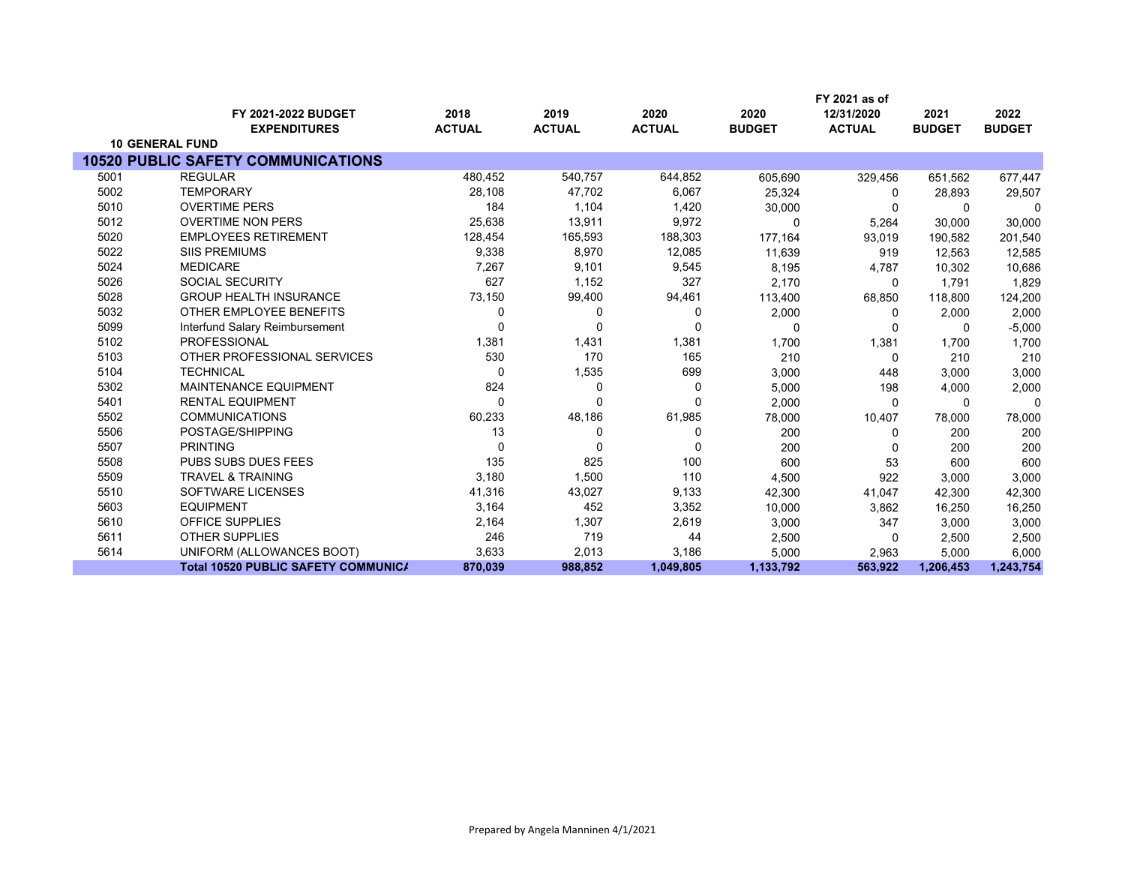|      |                                            |               |               |               |               | FY 2021 as of |               |               |
|------|--------------------------------------------|---------------|---------------|---------------|---------------|---------------|---------------|---------------|
|      | FY 2021-2022 BUDGET                        | 2018          | 2019          | 2020          | 2020          | 12/31/2020    | 2021          | 2022          |
|      | <b>EXPENDITURES</b>                        | <b>ACTUAL</b> | <b>ACTUAL</b> | <b>ACTUAL</b> | <b>BUDGET</b> | <b>ACTUAL</b> | <b>BUDGET</b> | <b>BUDGET</b> |
|      | <b>10 GENERAL FUND</b>                     |               |               |               |               |               |               |               |
|      | <b>10520 PUBLIC SAFETY COMMUNICATIONS</b>  |               |               |               |               |               |               |               |
| 5001 | <b>REGULAR</b>                             | 480,452       | 540,757       | 644,852       | 605,690       | 329,456       | 651,562       | 677,447       |
| 5002 | <b>TEMPORARY</b>                           | 28,108        | 47,702        | 6,067         | 25,324        | $\Omega$      | 28,893        | 29,507        |
| 5010 | <b>OVERTIME PERS</b>                       | 184           | 1,104         | 1,420         | 30,000        | $\Omega$      | $\Omega$      | $\Omega$      |
| 5012 | <b>OVERTIME NON PERS</b>                   | 25,638        | 13,911        | 9,972         | $\Omega$      | 5,264         | 30,000        | 30,000        |
| 5020 | <b>EMPLOYEES RETIREMENT</b>                | 128,454       | 165,593       | 188,303       | 177,164       | 93,019        | 190,582       | 201,540       |
| 5022 | <b>SIIS PREMIUMS</b>                       | 9,338         | 8,970         | 12,085        | 11,639        | 919           | 12,563        | 12,585        |
| 5024 | <b>MEDICARE</b>                            | 7,267         | 9,101         | 9,545         | 8,195         | 4,787         | 10,302        | 10,686        |
| 5026 | <b>SOCIAL SECURITY</b>                     | 627           | 1,152         | 327           | 2,170         | 0             | 1.791         | 1,829         |
| 5028 | <b>GROUP HEALTH INSURANCE</b>              | 73,150        | 99,400        | 94,461        | 113,400       | 68,850        | 118,800       | 124,200       |
| 5032 | OTHER EMPLOYEE BENEFITS                    | $\Omega$      | 0             | 0             | 2,000         | 0             | 2,000         | 2,000         |
| 5099 | Interfund Salary Reimbursement             |               | $\Omega$      | $\Omega$      | $\Omega$      | 0             | 0             | $-5,000$      |
| 5102 | <b>PROFESSIONAL</b>                        | 1,381         | 1,431         | 1,381         | 1,700         | 1,381         | 1,700         | 1,700         |
| 5103 | OTHER PROFESSIONAL SERVICES                | 530           | 170           | 165           | 210           | $\Omega$      | 210           | 210           |
| 5104 | <b>TECHNICAL</b>                           | $\Omega$      | 1,535         | 699           | 3,000         | 448           | 3.000         | 3,000         |
| 5302 | <b>MAINTENANCE EQUIPMENT</b>               | 824           | 0             | 0             | 5,000         | 198           | 4,000         | 2,000         |
| 5401 | <b>RENTAL EQUIPMENT</b>                    | $\Omega$      | 0             | $\Omega$      | 2,000         | $\Omega$      | $\Omega$      | 0             |
| 5502 | <b>COMMUNICATIONS</b>                      | 60,233        | 48,186        | 61,985        | 78,000        | 10,407        | 78,000        | 78,000        |
| 5506 | POSTAGE/SHIPPING                           | 13            | 0             | 0             | 200           | 0             | 200           | 200           |
| 5507 | <b>PRINTING</b>                            | $\Omega$      | $\Omega$      | $\Omega$      | 200           | $\Omega$      | 200           | 200           |
| 5508 | PUBS SUBS DUES FEES                        | 135           | 825           | 100           | 600           | 53            | 600           | 600           |
| 5509 | <b>TRAVEL &amp; TRAINING</b>               | 3,180         | 1,500         | 110           | 4,500         | 922           | 3,000         | 3,000         |
| 5510 | SOFTWARE LICENSES                          | 41,316        | 43,027        | 9,133         | 42,300        | 41,047        | 42,300        | 42,300        |
| 5603 | <b>EQUIPMENT</b>                           | 3,164         | 452           | 3,352         | 10,000        | 3,862         | 16,250        | 16,250        |
| 5610 | <b>OFFICE SUPPLIES</b>                     | 2,164         | 1,307         | 2,619         | 3,000         | 347           | 3,000         | 3,000         |
| 5611 | <b>OTHER SUPPLIES</b>                      | 246           | 719           | 44            | 2,500         | 0             | 2,500         | 2,500         |
| 5614 | UNIFORM (ALLOWANCES BOOT)                  | 3,633         | 2,013         | 3,186         | 5,000         | 2,963         | 5,000         | 6,000         |
|      | <b>Total 10520 PUBLIC SAFETY COMMUNICA</b> | 870,039       | 988,852       | 1,049,805     | 1,133,792     | 563,922       | 1,206,453     | 1,243,754     |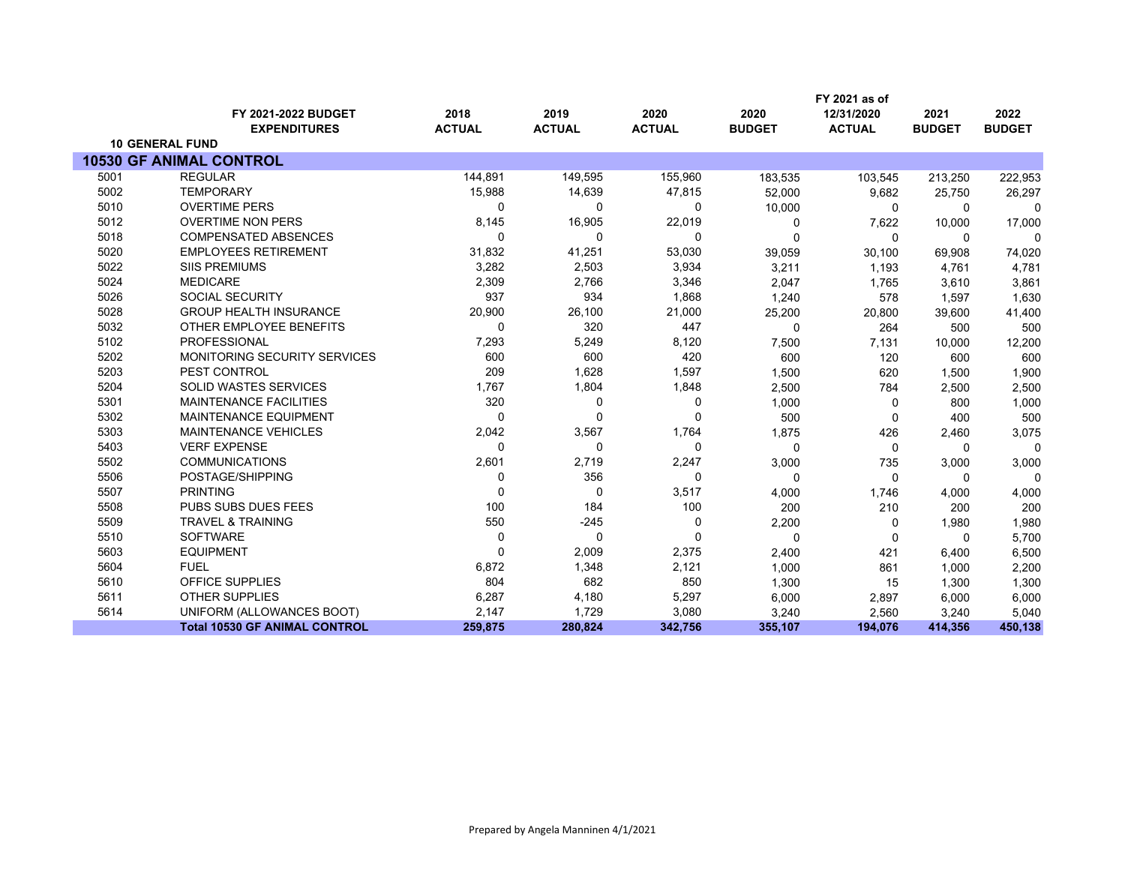|      |                                      |               |               |               |               | FY 2021 as of |               |               |
|------|--------------------------------------|---------------|---------------|---------------|---------------|---------------|---------------|---------------|
|      | FY 2021-2022 BUDGET                  | 2018          | 2019          | 2020          | 2020          | 12/31/2020    | 2021          | 2022          |
|      | <b>EXPENDITURES</b>                  | <b>ACTUAL</b> | <b>ACTUAL</b> | <b>ACTUAL</b> | <b>BUDGET</b> | <b>ACTUAL</b> | <b>BUDGET</b> | <b>BUDGET</b> |
|      | <b>10 GENERAL FUND</b>               |               |               |               |               |               |               |               |
|      | <b>10530 GF ANIMAL CONTROL</b>       |               |               |               |               |               |               |               |
| 5001 | <b>REGULAR</b>                       | 144,891       | 149,595       | 155,960       | 183,535       | 103,545       | 213,250       | 222,953       |
| 5002 | <b>TEMPORARY</b>                     | 15,988        | 14,639        | 47,815        | 52,000        | 9,682         | 25,750        | 26,297        |
| 5010 | <b>OVERTIME PERS</b>                 | 0             | 0             | 0             | 10,000        | 0             | $\Omega$      | 0             |
| 5012 | <b>OVERTIME NON PERS</b>             | 8,145         | 16,905        | 22,019        | 0             | 7,622         | 10,000        | 17,000        |
| 5018 | <b>COMPENSATED ABSENCES</b>          | 0             | 0             | 0             | $\Omega$      | $\mathbf{0}$  | $\Omega$      | $\Omega$      |
| 5020 | <b>EMPLOYEES RETIREMENT</b>          | 31,832        | 41,251        | 53,030        | 39,059        | 30,100        | 69,908        | 74,020        |
| 5022 | <b>SIIS PREMIUMS</b>                 | 3,282         | 2,503         | 3,934         | 3,211         | 1,193         | 4,761         | 4,781         |
| 5024 | <b>MEDICARE</b>                      | 2,309         | 2,766         | 3,346         | 2,047         | 1,765         | 3,610         | 3,861         |
| 5026 | <b>SOCIAL SECURITY</b>               | 937           | 934           | 1,868         | 1,240         | 578           | 1,597         | 1,630         |
| 5028 | <b>GROUP HEALTH INSURANCE</b>        | 20,900        | 26,100        | 21,000        | 25,200        | 20,800        | 39,600        | 41,400        |
| 5032 | OTHER EMPLOYEE BENEFITS              | 0             | 320           | 447           | 0             | 264           | 500           | 500           |
| 5102 | <b>PROFESSIONAL</b>                  | 7,293         | 5,249         | 8,120         | 7,500         | 7,131         | 10,000        | 12,200        |
| 5202 | <b>MONITORING SECURITY SERVICES</b>  | 600           | 600           | 420           | 600           | 120           | 600           | 600           |
| 5203 | PEST CONTROL                         | 209           | 1,628         | 1,597         | 1,500         | 620           | 1,500         | 1,900         |
| 5204 | <b>SOLID WASTES SERVICES</b>         | 1,767         | 1,804         | 1,848         | 2,500         | 784           | 2,500         | 2,500         |
| 5301 | <b>MAINTENANCE FACILITIES</b>        | 320           | 0             | 0             | 1,000         | 0             | 800           | 1,000         |
| 5302 | <b>MAINTENANCE EQUIPMENT</b>         | 0             | $\Omega$      | $\Omega$      | 500           | $\Omega$      | 400           | 500           |
| 5303 | <b>MAINTENANCE VEHICLES</b>          | 2,042         | 3,567         | 1,764         | 1,875         | 426           | 2,460         | 3,075         |
| 5403 | <b>VERF EXPENSE</b>                  | 0             | 0             | 0             | $\Omega$      | $\mathbf 0$   | $\Omega$      | $\Omega$      |
| 5502 | <b>COMMUNICATIONS</b>                | 2,601         | 2,719         | 2,247         | 3,000         | 735           | 3,000         | 3,000         |
| 5506 | POSTAGE/SHIPPING                     | 0             | 356           | 0             | $\Omega$      | $\Omega$      | $\Omega$      | $\Omega$      |
| 5507 | <b>PRINTING</b>                      | $\Omega$      | 0             | 3,517         | 4,000         | 1,746         | 4,000         | 4,000         |
| 5508 | PUBS SUBS DUES FEES                  | 100           | 184           | 100           | 200           | 210           | 200           | 200           |
| 5509 | <b>TRAVEL &amp; TRAINING</b>         | 550           | $-245$        | $\mathbf 0$   | 2,200         | 0             | 1,980         | 1,980         |
| 5510 | <b>SOFTWARE</b>                      | $\Omega$      | $\Omega$      | $\Omega$      | $\Omega$      | $\Omega$      | $\Omega$      | 5,700         |
| 5603 | <b>EQUIPMENT</b>                     | $\Omega$      | 2,009         | 2,375         | 2,400         | 421           | 6,400         | 6,500         |
| 5604 | <b>FUEL</b>                          | 6,872         | 1,348         | 2,121         | 1,000         | 861           | 1,000         | 2,200         |
| 5610 | OFFICE SUPPLIES                      | 804           | 682           | 850           | 1,300         | 15            | 1,300         | 1,300         |
| 5611 | <b>OTHER SUPPLIES</b>                | 6,287         | 4,180         | 5,297         | 6,000         | 2,897         | 6,000         | 6,000         |
| 5614 | UNIFORM (ALLOWANCES BOOT)            | 2,147         | 1,729         | 3,080         | 3,240         | 2,560         | 3,240         | 5,040         |
|      | <b>Total 10530 GF ANIMAL CONTROL</b> | 259,875       | 280,824       | 342,756       | 355,107       | 194,076       | 414,356       | 450,138       |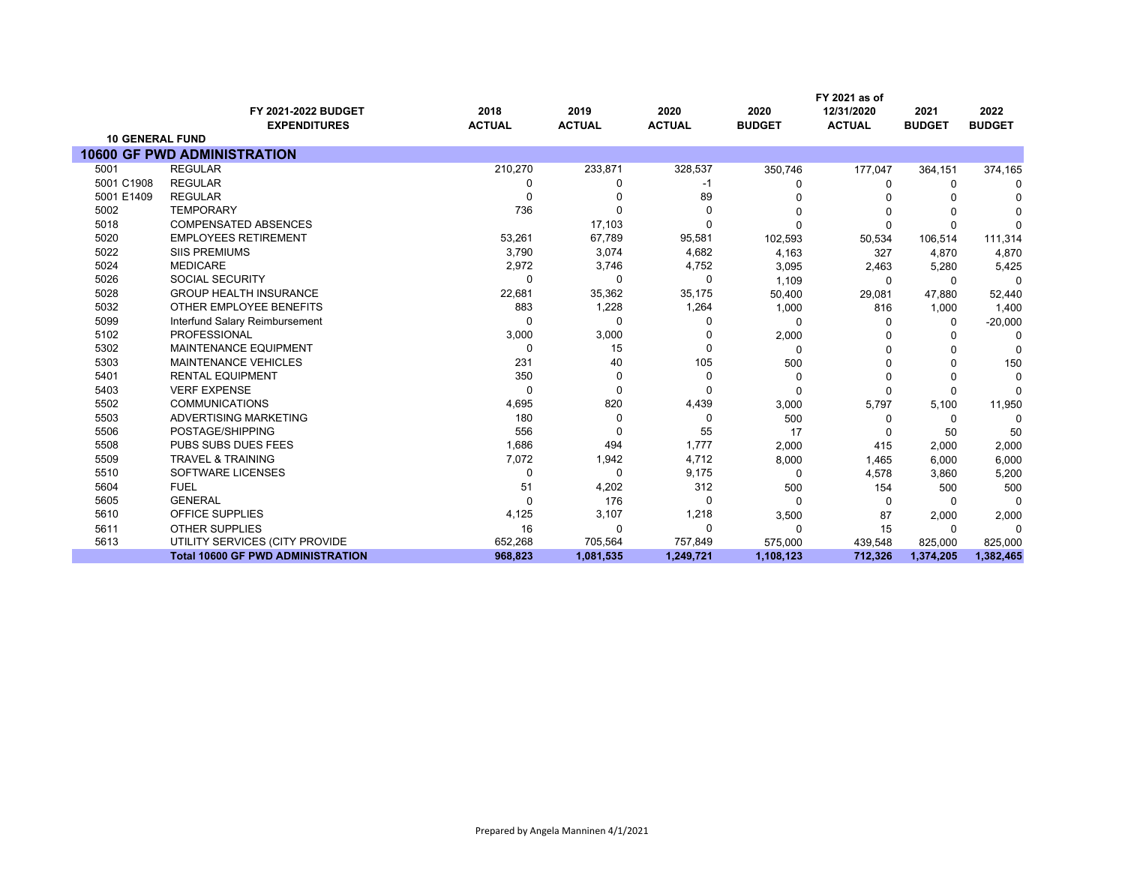|                        |                                            |                       |                       |                       |                       | FY 2021 as of               |                       |                       |
|------------------------|--------------------------------------------|-----------------------|-----------------------|-----------------------|-----------------------|-----------------------------|-----------------------|-----------------------|
|                        | FY 2021-2022 BUDGET<br><b>EXPENDITURES</b> | 2018<br><b>ACTUAL</b> | 2019<br><b>ACTUAL</b> | 2020<br><b>ACTUAL</b> | 2020<br><b>BUDGET</b> | 12/31/2020<br><b>ACTUAL</b> | 2021<br><b>BUDGET</b> | 2022<br><b>BUDGET</b> |
| <b>10 GENERAL FUND</b> |                                            |                       |                       |                       |                       |                             |                       |                       |
|                        | <b>10600 GF PWD ADMINISTRATION</b>         |                       |                       |                       |                       |                             |                       |                       |
| 5001                   | <b>REGULAR</b>                             | 210,270               | 233,871               | 328,537               | 350,746               | 177,047                     | 364,151               | 374,165               |
| 5001 C1908             | <b>REGULAR</b>                             | 0                     | 0                     | -1                    | O                     | 0                           | 0                     | <sup>0</sup>          |
| 5001 E1409             | <b>REGULAR</b>                             | 0                     |                       | 89                    |                       |                             |                       |                       |
| 5002                   | <b>TEMPORARY</b>                           | 736                   |                       | 0                     | 0                     | $\Omega$                    |                       |                       |
| 5018                   | <b>COMPENSATED ABSENCES</b>                |                       | 17,103                | 0                     | O                     | $\Omega$                    | $\Omega$              | C                     |
| 5020                   | <b>EMPLOYEES RETIREMENT</b>                | 53,261                | 67,789                | 95,581                | 102,593               | 50,534                      | 106,514               | 111,314               |
| 5022                   | <b>SIIS PREMIUMS</b>                       | 3,790                 | 3,074                 | 4,682                 | 4,163                 | 327                         | 4,870                 | 4,870                 |
| 5024                   | <b>MEDICARE</b>                            | 2,972                 | 3,746                 | 4,752                 | 3,095                 | 2,463                       | 5,280                 | 5,425                 |
| 5026                   | <b>SOCIAL SECURITY</b>                     | 0                     | 0                     | 0                     | 1,109                 | 0                           | $\Omega$              | 0                     |
| 5028                   | <b>GROUP HEALTH INSURANCE</b>              | 22,681                | 35,362                | 35,175                | 50,400                | 29,081                      | 47,880                | 52,440                |
| 5032                   | OTHER EMPLOYEE BENEFITS                    | 883                   | 1,228                 | 1,264                 | 1,000                 | 816                         | 1,000                 | 1,400                 |
| 5099                   | Interfund Salary Reimbursement             | $\Omega$              | 0                     | 0                     | 0                     | $\Omega$                    | 0                     | $-20,000$             |
| 5102                   | <b>PROFESSIONAL</b>                        | 3,000                 | 3,000                 | U                     | 2,000                 |                             | O                     | $\Omega$              |
| 5302                   | <b>MAINTENANCE EQUIPMENT</b>               | 0                     | 15                    | $\Omega$              | 0                     | $\Omega$                    |                       | $\Omega$              |
| 5303                   | MAINTENANCE VEHICLES                       | 231                   | 40                    | 105                   | 500                   | 0                           | ∩                     | 150                   |
| 5401                   | <b>RENTAL EQUIPMENT</b>                    | 350                   | 0                     | $\Omega$              | 0                     | $\Omega$                    | $\Omega$              | $\Omega$              |
| 5403                   | <b>VERF EXPENSE</b>                        | $\Omega$              | 0                     | 0                     | 0                     | $\Omega$                    | 0                     | $\Omega$              |
| 5502                   | <b>COMMUNICATIONS</b>                      | 4,695                 | 820                   | 4,439                 | 3,000                 | 5,797                       | 5,100                 | 11,950                |
| 5503                   | ADVERTISING MARKETING                      | 180                   | 0                     | 0                     | 500                   | 0                           | 0                     | $\Omega$              |
| 5506                   | POSTAGE/SHIPPING                           | 556                   | 0                     | 55                    | 17                    | $\Omega$                    | 50                    | 50                    |
| 5508                   | <b>PUBS SUBS DUES FEES</b>                 | 1,686                 | 494                   | 1,777                 | 2,000                 | 415                         | 2,000                 | 2,000                 |
| 5509                   | <b>TRAVEL &amp; TRAINING</b>               | 7,072                 | 1,942                 | 4,712                 | 8,000                 | 1,465                       | 6,000                 | 6,000                 |
| 5510                   | SOFTWARE LICENSES                          | 0                     | 0                     | 9,175                 | 0                     | 4,578                       | 3,860                 | 5,200                 |
| 5604                   | <b>FUEL</b>                                | 51                    | 4,202                 | 312                   | 500                   | 154                         | 500                   | 500                   |
| 5605                   | <b>GENERAL</b>                             | $\Omega$              | 176                   | 0                     | $\Omega$              | $\Omega$                    | $\Omega$              | $\Omega$              |
| 5610                   | OFFICE SUPPLIES                            | 4,125                 | 3,107                 | 1,218                 | 3,500                 | 87                          | 2,000                 | 2,000                 |
| 5611                   | <b>OTHER SUPPLIES</b>                      | 16                    | 0                     | 0                     | 0                     | 15                          | 0                     | $\Omega$              |
| 5613                   | UTILITY SERVICES (CITY PROVIDE             | 652,268               | 705,564               | 757,849               | 575,000               | 439,548                     | 825,000               | 825,000               |
|                        | <b>Total 10600 GF PWD ADMINISTRATION</b>   | 968,823               | 1,081,535             | 1,249,721             | 1,108,123             | 712,326                     | 1,374,205             | 1,382,465             |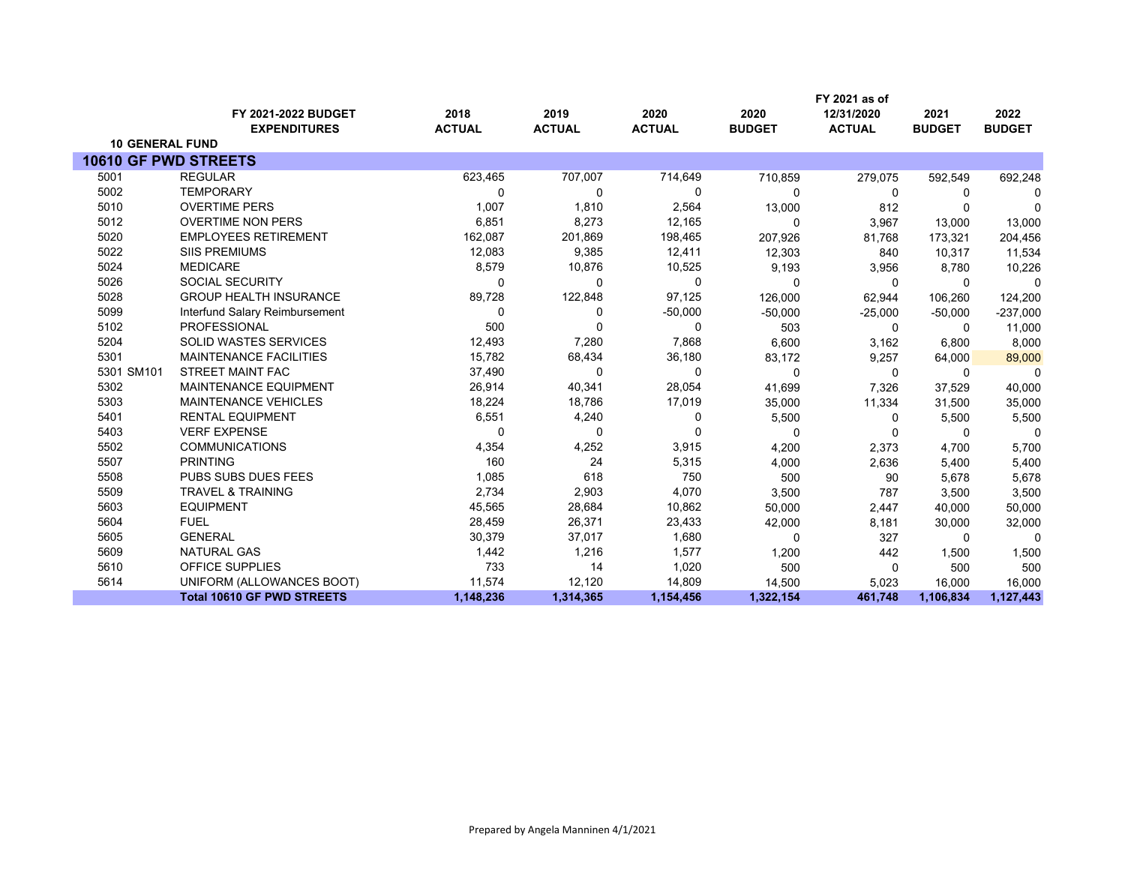|                             |                                   |               |               |               |               | FY 2021 as of |               |               |
|-----------------------------|-----------------------------------|---------------|---------------|---------------|---------------|---------------|---------------|---------------|
|                             | FY 2021-2022 BUDGET               | 2018          | 2019          | 2020          | 2020          | 12/31/2020    | 2021          | 2022          |
|                             | <b>EXPENDITURES</b>               | <b>ACTUAL</b> | <b>ACTUAL</b> | <b>ACTUAL</b> | <b>BUDGET</b> | <b>ACTUAL</b> | <b>BUDGET</b> | <b>BUDGET</b> |
| <b>10 GENERAL FUND</b>      |                                   |               |               |               |               |               |               |               |
| <b>10610 GF PWD STREETS</b> |                                   |               |               |               |               |               |               |               |
| 5001                        | <b>REGULAR</b>                    | 623,465       | 707,007       | 714,649       | 710,859       | 279,075       | 592,549       | 692,248       |
| 5002                        | <b>TEMPORARY</b>                  | O             | 0             | $\Omega$      | $\Omega$      | 0             | $\Omega$      | 0             |
| 5010                        | <b>OVERTIME PERS</b>              | 1,007         | 1,810         | 2,564         | 13,000        | 812           |               | 0             |
| 5012                        | <b>OVERTIME NON PERS</b>          | 6,851         | 8,273         | 12,165        | $\Omega$      | 3,967         | 13,000        | 13,000        |
| 5020                        | <b>EMPLOYEES RETIREMENT</b>       | 162,087       | 201,869       | 198,465       | 207,926       | 81,768        | 173,321       | 204,456       |
| 5022                        | <b>SIIS PREMIUMS</b>              | 12,083        | 9,385         | 12,411        | 12,303        | 840           | 10,317        | 11,534        |
| 5024                        | <b>MEDICARE</b>                   | 8,579         | 10,876        | 10,525        | 9,193         | 3,956         | 8,780         | 10,226        |
| 5026                        | <b>SOCIAL SECURITY</b>            | $\Omega$      | 0             | 0             | $\Omega$      | $\mathbf 0$   | 0             | 0             |
| 5028                        | <b>GROUP HEALTH INSURANCE</b>     | 89,728        | 122,848       | 97,125        | 126,000       | 62,944        | 106,260       | 124,200       |
| 5099                        | Interfund Salary Reimbursement    | $\Omega$      | 0             | $-50,000$     | $-50,000$     | $-25,000$     | $-50,000$     | $-237,000$    |
| 5102                        | PROFESSIONAL                      | 500           | 0             | 0             | 503           | 0             | $\Omega$      | 11,000        |
| 5204                        | SOLID WASTES SERVICES             | 12,493        | 7,280         | 7,868         | 6,600         | 3,162         | 6,800         | 8,000         |
| 5301                        | <b>MAINTENANCE FACILITIES</b>     | 15,782        | 68,434        | 36,180        | 83,172        | 9,257         | 64,000        | 89,000        |
| 5301 SM101                  | <b>STREET MAINT FAC</b>           | 37,490        | 0             | 0             | $\Omega$      | $\Omega$      | $\Omega$      | $\Omega$      |
| 5302                        | MAINTENANCE EQUIPMENT             | 26,914        | 40,341        | 28,054        | 41,699        | 7,326         | 37,529        | 40,000        |
| 5303                        | <b>MAINTENANCE VEHICLES</b>       | 18,224        | 18,786        | 17,019        | 35,000        | 11,334        | 31,500        | 35,000        |
| 5401                        | <b>RENTAL EQUIPMENT</b>           | 6,551         | 4,240         | 0             | 5,500         | 0             | 5,500         | 5,500         |
| 5403                        | <b>VERF EXPENSE</b>               | 0             | 0             | 0             | $\Omega$      | $\Omega$      | $\Omega$      | $\mathbf 0$   |
| 5502                        | <b>COMMUNICATIONS</b>             | 4,354         | 4,252         | 3,915         | 4,200         | 2,373         | 4,700         | 5,700         |
| 5507                        | <b>PRINTING</b>                   | 160           | 24            | 5,315         | 4,000         | 2,636         | 5,400         | 5,400         |
| 5508                        | PUBS SUBS DUES FEES               | 1,085         | 618           | 750           | 500           | 90            | 5,678         | 5,678         |
| 5509                        | <b>TRAVEL &amp; TRAINING</b>      | 2,734         | 2,903         | 4,070         | 3,500         | 787           | 3,500         | 3,500         |
| 5603                        | <b>EQUIPMENT</b>                  | 45,565        | 28,684        | 10,862        | 50,000        | 2,447         | 40,000        | 50,000        |
| 5604                        | <b>FUEL</b>                       | 28,459        | 26,371        | 23,433        | 42,000        | 8,181         | 30,000        | 32,000        |
| 5605                        | <b>GENERAL</b>                    | 30,379        | 37,017        | 1,680         | $\Omega$      | 327           | $\Omega$      | $\Omega$      |
| 5609                        | <b>NATURAL GAS</b>                | 1,442         | 1,216         | 1,577         | 1,200         | 442           | 1,500         | 1,500         |
| 5610                        | OFFICE SUPPLIES                   | 733           | 14            | 1,020         | 500           | $\Omega$      | 500           | 500           |
| 5614                        | UNIFORM (ALLOWANCES BOOT)         | 11,574        | 12,120        | 14,809        | 14,500        | 5,023         | 16,000        | 16,000        |
|                             | <b>Total 10610 GF PWD STREETS</b> | 1,148,236     | 1,314,365     | 1,154,456     | 1,322,154     | 461,748       | 1,106,834     | 1,127,443     |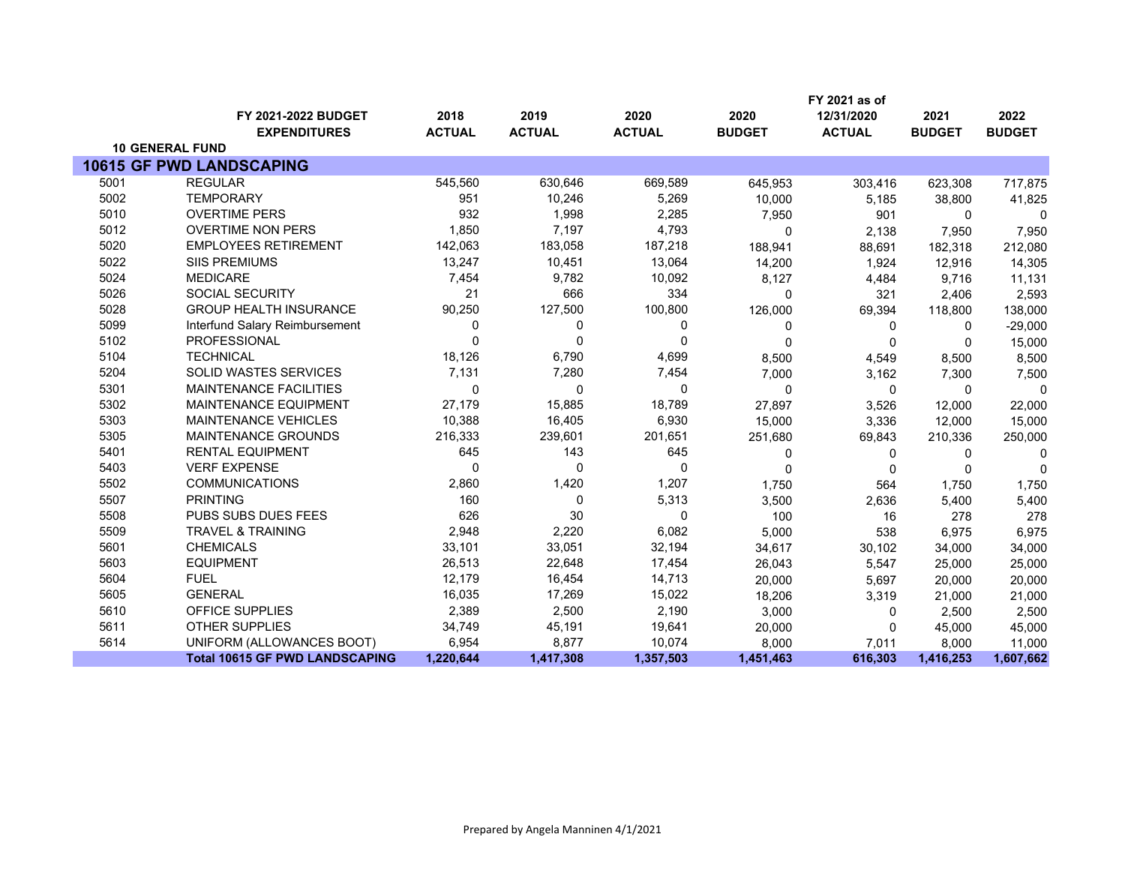|      |                                            |                       |                       |                       |                       | FY 2021 as of               |                       |                       |
|------|--------------------------------------------|-----------------------|-----------------------|-----------------------|-----------------------|-----------------------------|-----------------------|-----------------------|
|      | FY 2021-2022 BUDGET<br><b>EXPENDITURES</b> | 2018<br><b>ACTUAL</b> | 2019<br><b>ACTUAL</b> | 2020<br><b>ACTUAL</b> | 2020<br><b>BUDGET</b> | 12/31/2020<br><b>ACTUAL</b> | 2021<br><b>BUDGET</b> | 2022<br><b>BUDGET</b> |
|      | <b>10 GENERAL FUND</b>                     |                       |                       |                       |                       |                             |                       |                       |
|      | <b>10615 GF PWD LANDSCAPING</b>            |                       |                       |                       |                       |                             |                       |                       |
| 5001 | <b>REGULAR</b>                             | 545,560               | 630,646               | 669,589               | 645,953               | 303,416                     | 623,308               | 717,875               |
| 5002 | <b>TEMPORARY</b>                           | 951                   | 10,246                | 5,269                 | 10,000                | 5,185                       | 38,800                | 41,825                |
| 5010 | <b>OVERTIME PERS</b>                       | 932                   | 1,998                 | 2,285                 | 7,950                 | 901                         | $\mathbf 0$           | $\Omega$              |
| 5012 | <b>OVERTIME NON PERS</b>                   | 1,850                 | 7,197                 | 4,793                 | 0                     | 2,138                       | 7,950                 | 7,950                 |
| 5020 | <b>EMPLOYEES RETIREMENT</b>                | 142,063               | 183,058               | 187,218               | 188,941               | 88,691                      | 182,318               | 212,080               |
| 5022 | <b>SIIS PREMIUMS</b>                       | 13,247                | 10,451                | 13,064                | 14,200                | 1,924                       | 12,916                | 14,305                |
| 5024 | <b>MEDICARE</b>                            | 7,454                 | 9,782                 | 10,092                | 8,127                 | 4,484                       | 9,716                 | 11,131                |
| 5026 | SOCIAL SECURITY                            | 21                    | 666                   | 334                   | $\Omega$              | 321                         | 2,406                 | 2,593                 |
| 5028 | <b>GROUP HEALTH INSURANCE</b>              | 90,250                | 127,500               | 100,800               | 126,000               | 69,394                      | 118,800               | 138,000               |
| 5099 | Interfund Salary Reimbursement             | $\Omega$              | 0                     | 0                     | 0                     | 0                           | $\Omega$              | $-29,000$             |
| 5102 | <b>PROFESSIONAL</b>                        | $\Omega$              | $\Omega$              | $\Omega$              | $\Omega$              | $\Omega$                    | 0                     | 15,000                |
| 5104 | <b>TECHNICAL</b>                           | 18,126                | 6,790                 | 4,699                 | 8,500                 | 4,549                       | 8,500                 | 8,500                 |
| 5204 | <b>SOLID WASTES SERVICES</b>               | 7,131                 | 7,280                 | 7,454                 | 7,000                 | 3,162                       | 7,300                 | 7,500                 |
| 5301 | <b>MAINTENANCE FACILITIES</b>              | $\mathbf 0$           | $\mathbf 0$           | $\Omega$              | $\Omega$              | 0                           | $\mathbf 0$           | 0                     |
| 5302 | <b>MAINTENANCE EQUIPMENT</b>               | 27,179                | 15,885                | 18,789                | 27,897                | 3,526                       | 12,000                | 22,000                |
| 5303 | MAINTENANCE VEHICLES                       | 10,388                | 16,405                | 6,930                 | 15,000                | 3,336                       | 12,000                | 15,000                |
| 5305 | <b>MAINTENANCE GROUNDS</b>                 | 216,333               | 239,601               | 201,651               | 251,680               | 69,843                      | 210,336               | 250,000               |
| 5401 | <b>RENTAL EQUIPMENT</b>                    | 645                   | 143                   | 645                   | 0                     | 0                           | 0                     | 0                     |
| 5403 | <b>VERF EXPENSE</b>                        | $\Omega$              | $\Omega$              | $\Omega$              | $\Omega$              | $\Omega$                    | $\Omega$              | $\Omega$              |
| 5502 | <b>COMMUNICATIONS</b>                      | 2,860                 | 1,420                 | 1,207                 | 1,750                 | 564                         | 1,750                 | 1,750                 |
| 5507 | <b>PRINTING</b>                            | 160                   | $\mathbf 0$           | 5,313                 | 3,500                 | 2,636                       | 5,400                 | 5,400                 |
| 5508 | PUBS SUBS DUES FEES                        | 626                   | 30                    | $\Omega$              | 100                   | 16                          | 278                   | 278                   |
| 5509 | <b>TRAVEL &amp; TRAINING</b>               | 2,948                 | 2,220                 | 6,082                 | 5,000                 | 538                         | 6,975                 | 6,975                 |
| 5601 | <b>CHEMICALS</b>                           | 33,101                | 33,051                | 32,194                | 34,617                | 30,102                      | 34,000                | 34,000                |
| 5603 | <b>EQUIPMENT</b>                           | 26,513                | 22,648                | 17,454                | 26,043                | 5,547                       | 25,000                | 25,000                |
| 5604 | <b>FUEL</b>                                | 12,179                | 16,454                | 14,713                | 20,000                | 5,697                       | 20,000                | 20,000                |
| 5605 | <b>GENERAL</b>                             | 16,035                | 17,269                | 15,022                | 18,206                | 3,319                       | 21,000                | 21,000                |
| 5610 | OFFICE SUPPLIES                            | 2,389                 | 2,500                 | 2,190                 | 3,000                 | 0                           | 2,500                 | 2,500                 |
| 5611 | <b>OTHER SUPPLIES</b>                      | 34,749                | 45,191                | 19,641                | 20,000                | $\mathbf{0}$                | 45,000                | 45,000                |
| 5614 | UNIFORM (ALLOWANCES BOOT)                  | 6,954                 | 8,877                 | 10,074                | 8,000                 | 7,011                       | 8,000                 | 11,000                |
|      | <b>Total 10615 GF PWD LANDSCAPING</b>      | 1,220,644             | 1,417,308             | 1,357,503             | 1,451,463             | 616,303                     | 1,416,253             | 1,607,662             |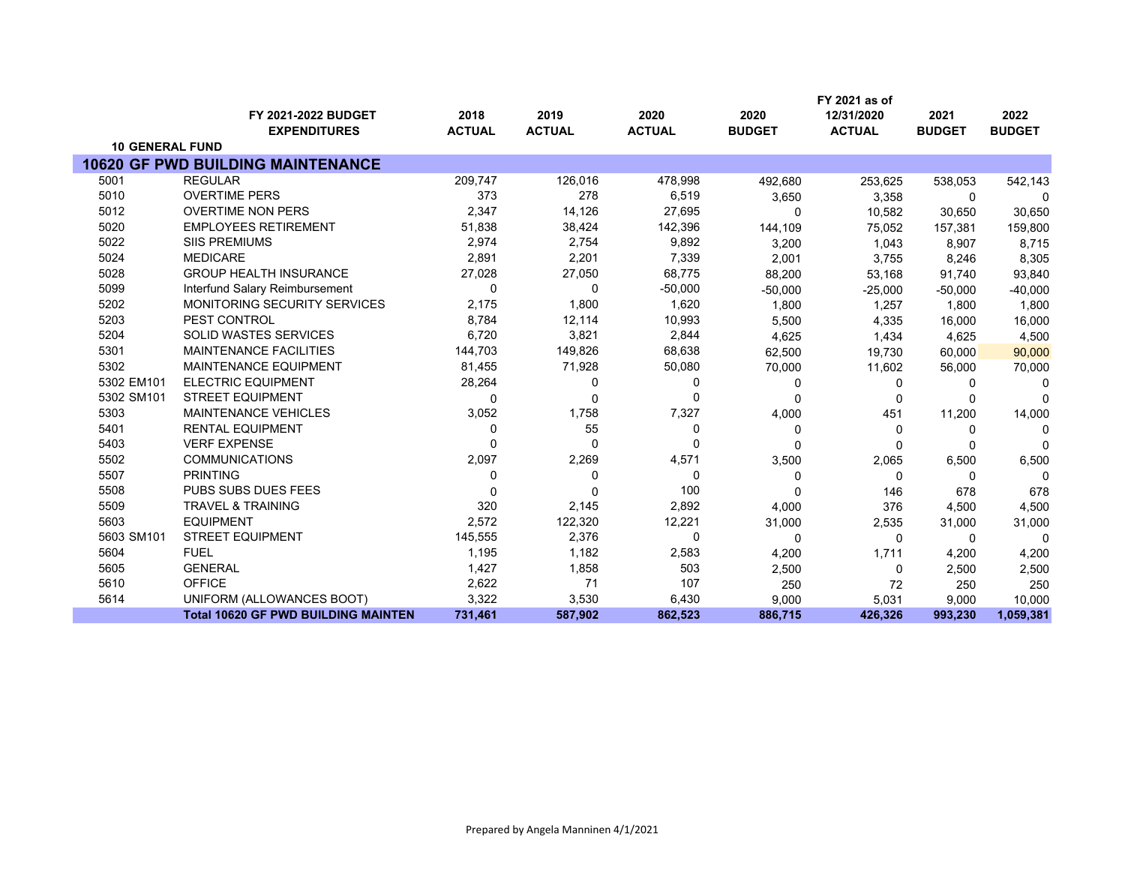|                        |                                                   |                       |                       |                       |                       | FY 2021 as of               |                       |                       |
|------------------------|---------------------------------------------------|-----------------------|-----------------------|-----------------------|-----------------------|-----------------------------|-----------------------|-----------------------|
|                        | <b>FY 2021-2022 BUDGET</b><br><b>EXPENDITURES</b> | 2018<br><b>ACTUAL</b> | 2019<br><b>ACTUAL</b> | 2020<br><b>ACTUAL</b> | 2020<br><b>BUDGET</b> | 12/31/2020<br><b>ACTUAL</b> | 2021<br><b>BUDGET</b> | 2022<br><b>BUDGET</b> |
| <b>10 GENERAL FUND</b> |                                                   |                       |                       |                       |                       |                             |                       |                       |
|                        | <b>10620 GF PWD BUILDING MAINTENANCE</b>          |                       |                       |                       |                       |                             |                       |                       |
| 5001                   | <b>REGULAR</b>                                    | 209,747               | 126,016               | 478,998               | 492,680               | 253,625                     | 538,053               | 542,143               |
| 5010                   | <b>OVERTIME PERS</b>                              | 373                   | 278                   | 6,519                 | 3,650                 | 3,358                       | 0                     | 0                     |
| 5012                   | <b>OVERTIME NON PERS</b>                          | 2,347                 | 14,126                | 27,695                | 0                     | 10,582                      | 30,650                | 30,650                |
| 5020                   | <b>EMPLOYEES RETIREMENT</b>                       | 51,838                | 38,424                | 142,396               | 144,109               | 75,052                      | 157,381               | 159,800               |
| 5022                   | <b>SIIS PREMIUMS</b>                              | 2,974                 | 2,754                 | 9,892                 | 3,200                 | 1,043                       | 8,907                 | 8,715                 |
| 5024                   | <b>MEDICARE</b>                                   | 2,891                 | 2,201                 | 7,339                 | 2,001                 | 3,755                       | 8,246                 | 8,305                 |
| 5028                   | <b>GROUP HEALTH INSURANCE</b>                     | 27,028                | 27,050                | 68,775                | 88,200                | 53,168                      | 91,740                | 93,840                |
| 5099                   | Interfund Salary Reimbursement                    | 0                     | 0                     | $-50,000$             | $-50,000$             | $-25,000$                   | $-50,000$             | $-40,000$             |
| 5202                   | MONITORING SECURITY SERVICES                      | 2,175                 | 1,800                 | 1,620                 | 1,800                 | 1,257                       | 1,800                 | 1,800                 |
| 5203                   | PEST CONTROL                                      | 8,784                 | 12,114                | 10,993                | 5,500                 | 4,335                       | 16,000                | 16,000                |
| 5204                   | <b>SOLID WASTES SERVICES</b>                      | 6,720                 | 3,821                 | 2,844                 | 4,625                 | 1,434                       | 4,625                 | 4,500                 |
| 5301                   | <b>MAINTENANCE FACILITIES</b>                     | 144,703               | 149,826               | 68,638                | 62,500                | 19,730                      | 60,000                | 90,000                |
| 5302                   | <b>MAINTENANCE EQUIPMENT</b>                      | 81,455                | 71,928                | 50,080                | 70,000                | 11,602                      | 56,000                | 70,000                |
| 5302 EM101             | <b>ELECTRIC EQUIPMENT</b>                         | 28,264                | 0                     | 0                     | 0                     | 0                           | n                     | 0                     |
| 5302 SM101             | <b>STREET EQUIPMENT</b>                           | $\Omega$              | $\Omega$              | 0                     | 0                     | 0                           |                       | $\Omega$              |
| 5303                   | <b>MAINTENANCE VEHICLES</b>                       | 3,052                 | 1,758                 | 7,327                 | 4,000                 | 451                         | 11,200                | 14,000                |
| 5401                   | <b>RENTAL EQUIPMENT</b>                           | 0                     | 55                    | 0                     | 0                     | 0                           | 0                     | U                     |
| 5403                   | <b>VERF EXPENSE</b>                               | $\Omega$              | $\Omega$              | 0                     | <sup>0</sup>          | 0                           | n                     | $\Omega$              |
| 5502                   | <b>COMMUNICATIONS</b>                             | 2,097                 | 2,269                 | 4,571                 | 3,500                 | 2,065                       | 6,500                 | 6,500                 |
| 5507                   | <b>PRINTING</b>                                   | 0                     | 0                     | 0                     | 0                     | 0                           | 0                     | $\Omega$              |
| 5508                   | PUBS SUBS DUES FEES                               | $\Omega$              | $\Omega$              | 100                   | 0                     | 146                         | 678                   | 678                   |
| 5509                   | <b>TRAVEL &amp; TRAINING</b>                      | 320                   | 2,145                 | 2,892                 | 4,000                 | 376                         | 4,500                 | 4,500                 |
| 5603                   | <b>EQUIPMENT</b>                                  | 2,572                 | 122,320               | 12,221                | 31,000                | 2,535                       | 31,000                | 31,000                |
| 5603 SM101             | <b>STREET EQUIPMENT</b>                           | 145,555               | 2,376                 | 0                     | 0                     | 0                           | 0                     | $\Omega$              |
| 5604                   | <b>FUEL</b>                                       | 1,195                 | 1,182                 | 2,583                 | 4,200                 | 1,711                       | 4,200                 | 4,200                 |
| 5605                   | <b>GENERAL</b>                                    | 1,427                 | 1,858                 | 503                   | 2,500                 | 0                           | 2,500                 | 2,500                 |
| 5610                   | <b>OFFICE</b>                                     | 2,622                 | 71                    | 107                   | 250                   | 72                          | 250                   | 250                   |
| 5614                   | UNIFORM (ALLOWANCES BOOT)                         | 3,322                 | 3,530                 | 6,430                 | 9,000                 | 5,031                       | 9,000                 | 10,000                |
|                        | <b>Total 10620 GF PWD BUILDING MAINTEN</b>        | 731,461               | 587,902               | 862,523               | 886,715               | 426,326                     | 993,230               | 1,059,381             |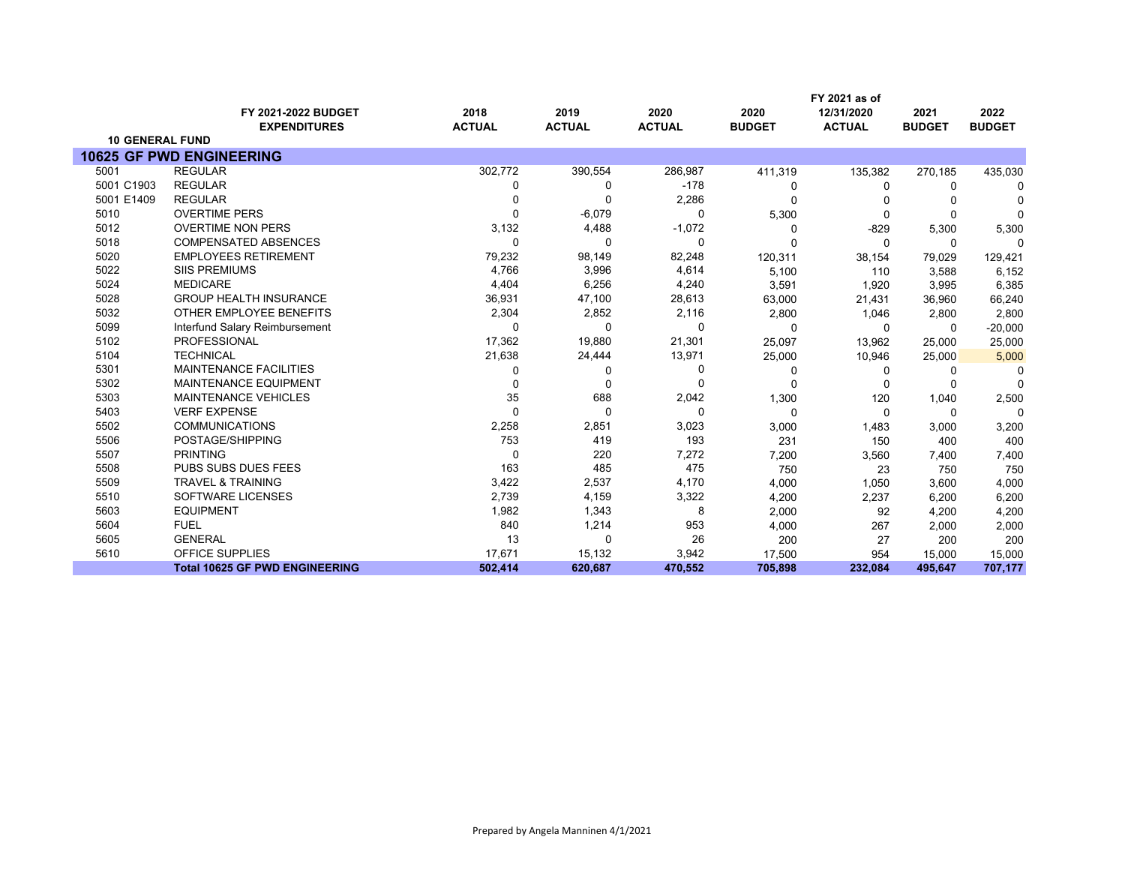|                        |                                            |                       |                       |                       |                       | FY 2021 as of               |                       |                       |
|------------------------|--------------------------------------------|-----------------------|-----------------------|-----------------------|-----------------------|-----------------------------|-----------------------|-----------------------|
|                        | FY 2021-2022 BUDGET<br><b>EXPENDITURES</b> | 2018<br><b>ACTUAL</b> | 2019<br><b>ACTUAL</b> | 2020<br><b>ACTUAL</b> | 2020<br><b>BUDGET</b> | 12/31/2020<br><b>ACTUAL</b> | 2021<br><b>BUDGET</b> | 2022<br><b>BUDGET</b> |
| <b>10 GENERAL FUND</b> |                                            |                       |                       |                       |                       |                             |                       |                       |
|                        | <b>10625 GF PWD ENGINEERING</b>            |                       |                       |                       |                       |                             |                       |                       |
| 5001                   | <b>REGULAR</b>                             | 302,772               | 390,554               | 286,987               | 411,319               | 135,382                     | 270,185               | 435,030               |
| 5001 C1903             | <b>REGULAR</b>                             | 0                     | $\Omega$              | $-178$                | 0                     | 0                           | 0                     | 0                     |
| 5001 E1409             | <b>REGULAR</b>                             | 0                     | $\Omega$              | 2,286                 | $\Omega$              | n                           |                       |                       |
| 5010                   | <b>OVERTIME PERS</b>                       | $\Omega$              | $-6,079$              | $\Omega$              | 5,300                 | $\mathbf 0$                 | O                     | $\Omega$              |
| 5012                   | <b>OVERTIME NON PERS</b>                   | 3,132                 | 4,488                 | $-1,072$              | $\Omega$              | $-829$                      | 5,300                 | 5,300                 |
| 5018                   | <b>COMPENSATED ABSENCES</b>                | $\Omega$              | $\Omega$              | $\Omega$              | U                     | $\Omega$                    | 0                     | U                     |
| 5020                   | <b>EMPLOYEES RETIREMENT</b>                | 79,232                | 98,149                | 82,248                | 120,311               | 38,154                      | 79,029                | 129,421               |
| 5022                   | <b>SIIS PREMIUMS</b>                       | 4,766                 | 3,996                 | 4,614                 | 5,100                 | 110                         | 3,588                 | 6,152                 |
| 5024                   | <b>MEDICARE</b>                            | 4,404                 | 6,256                 | 4,240                 | 3,591                 | 1,920                       | 3,995                 | 6,385                 |
| 5028                   | <b>GROUP HEALTH INSURANCE</b>              | 36,931                | 47,100                | 28,613                | 63,000                | 21,431                      | 36,960                | 66,240                |
| 5032                   | OTHER EMPLOYEE BENEFITS                    | 2,304                 | 2,852                 | 2,116                 | 2,800                 | 1,046                       | 2,800                 | 2,800                 |
| 5099                   | Interfund Salary Reimbursement             | $\Omega$              | $\Omega$              | $\Omega$              | $\Omega$              | $\Omega$                    | 0                     | $-20,000$             |
| 5102                   | PROFESSIONAL                               | 17,362                | 19,880                | 21,301                | 25,097                | 13,962                      | 25,000                | 25,000                |
| 5104                   | <b>TECHNICAL</b>                           | 21,638                | 24,444                | 13,971                | 25,000                | 10,946                      | 25,000                | 5,000                 |
| 5301                   | <b>MAINTENANCE FACILITIES</b>              | 0                     | O                     | $\Omega$              | 0                     | 0                           | 0                     |                       |
| 5302                   | <b>MAINTENANCE EQUIPMENT</b>               | 0                     | $\Omega$              | $\Omega$              | 0                     | $\Omega$                    | 0                     | $\Omega$              |
| 5303                   | <b>MAINTENANCE VEHICLES</b>                | 35                    | 688                   | 2,042                 | 1,300                 | 120                         | 1,040                 | 2,500                 |
| 5403                   | <b>VERF EXPENSE</b>                        | $\Omega$              | $\Omega$              | $\Omega$              | $\mathbf 0$           | $\mathbf 0$                 | 0                     | $\Omega$              |
| 5502                   | <b>COMMUNICATIONS</b>                      | 2,258                 | 2,851                 | 3,023                 | 3,000                 | 1,483                       | 3,000                 | 3,200                 |
| 5506                   | POSTAGE/SHIPPING                           | 753                   | 419                   | 193                   | 231                   | 150                         | 400                   | 400                   |
| 5507                   | <b>PRINTING</b>                            | 0                     | 220                   | 7,272                 | 7,200                 | 3,560                       | 7,400                 | 7,400                 |
| 5508                   | PUBS SUBS DUES FEES                        | 163                   | 485                   | 475                   | 750                   | 23                          | 750                   | 750                   |
| 5509                   | <b>TRAVEL &amp; TRAINING</b>               | 3,422                 | 2,537                 | 4,170                 | 4,000                 | 1,050                       | 3,600                 | 4,000                 |
| 5510                   | SOFTWARE LICENSES                          | 2,739                 | 4,159                 | 3,322                 | 4,200                 | 2,237                       | 6,200                 | 6,200                 |
| 5603                   | <b>EQUIPMENT</b>                           | 1,982                 | 1,343                 | 8                     | 2,000                 | 92                          | 4,200                 | 4,200                 |
| 5604                   | <b>FUEL</b>                                | 840                   | 1,214                 | 953                   | 4,000                 | 267                         | 2,000                 | 2,000                 |
| 5605                   | <b>GENERAL</b>                             | 13                    | $\Omega$              | 26                    | 200                   | 27                          | 200                   | 200                   |
| 5610                   | <b>OFFICE SUPPLIES</b>                     | 17,671                | 15,132                | 3,942                 | 17,500                | 954                         | 15,000                | 15,000                |
|                        | <b>Total 10625 GF PWD ENGINEERING</b>      | 502.414               | 620,687               | 470,552               | 705,898               | 232,084                     | 495,647               | 707,177               |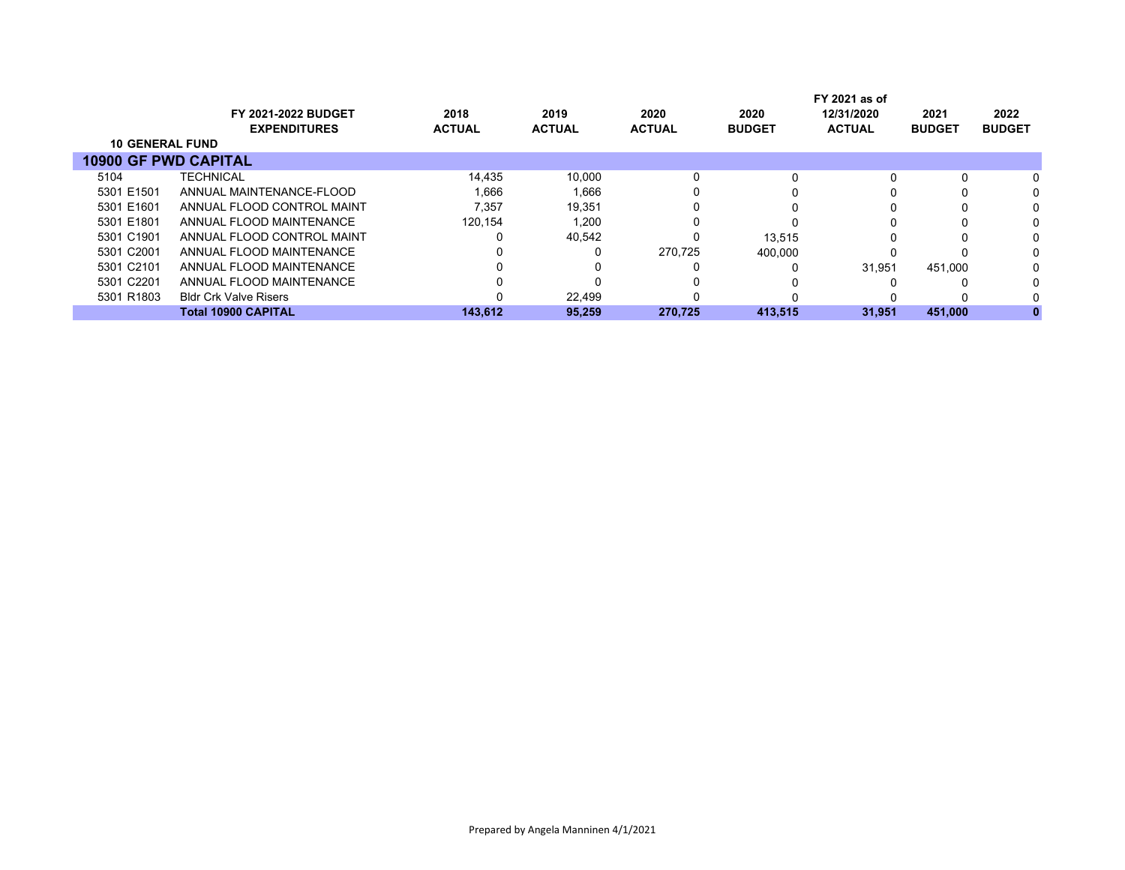|                             |                              |               |               |               |               | FY 2021 as of |               |               |
|-----------------------------|------------------------------|---------------|---------------|---------------|---------------|---------------|---------------|---------------|
|                             | <b>FY 2021-2022 BUDGET</b>   | 2018          | 2019          | 2020          | 2020          | 12/31/2020    | 2021          | 2022          |
|                             | <b>EXPENDITURES</b>          | <b>ACTUAL</b> | <b>ACTUAL</b> | <b>ACTUAL</b> | <b>BUDGET</b> | <b>ACTUAL</b> | <b>BUDGET</b> | <b>BUDGET</b> |
| <b>10 GENERAL FUND</b>      |                              |               |               |               |               |               |               |               |
| <b>10900 GF PWD CAPITAL</b> |                              |               |               |               |               |               |               |               |
| 5104                        | <b>TECHNICAL</b>             | 14,435        | 10.000        | 0             |               |               |               |               |
| 5301 E1501                  | ANNUAL MAINTENANCE-FLOOD     | 1.666         | 1.666         | 0             |               |               |               |               |
| 5301 E1601                  | ANNUAL FLOOD CONTROL MAINT   | 7.357         | 19,351        | 0             |               |               |               |               |
| 5301 E1801                  | ANNUAL FLOOD MAINTENANCE     | 120.154       | 1,200         |               |               |               |               |               |
| 5301 C1901                  | ANNUAL FLOOD CONTROL MAINT   |               | 40,542        | 0             | 13.515        |               |               |               |
| 5301 C2001                  | ANNUAL FLOOD MAINTENANCE     |               | 0             | 270.725       | 400.000       |               |               |               |
| 5301 C2101                  | ANNUAL FLOOD MAINTENANCE     |               |               |               |               | 31.951        | 451.000       |               |
| 5301 C2201                  | ANNUAL FLOOD MAINTENANCE     |               |               |               |               |               |               |               |
| 5301 R1803                  | <b>Bldr Crk Valve Risers</b> |               | 22.499        |               |               |               |               |               |
|                             | <b>Total 10900 CAPITAL</b>   | 143.612       | 95.259        | 270.725       | 413,515       | 31.951        | 451.000       |               |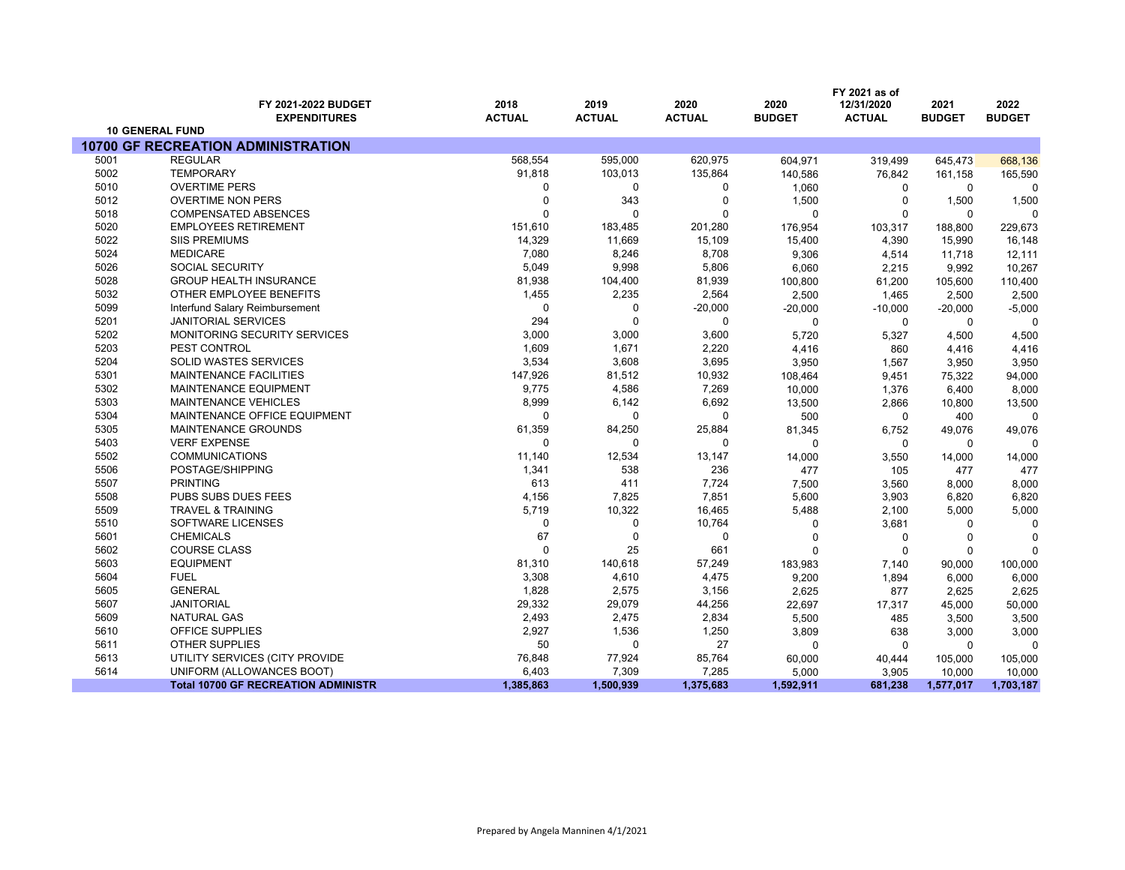|      |                                               |               |               |               |               | FY 2021 as of |               |               |
|------|-----------------------------------------------|---------------|---------------|---------------|---------------|---------------|---------------|---------------|
|      | FY 2021-2022 BUDGET                           | 2018          | 2019          | 2020          | 2020          | 12/31/2020    | 2021          | 2022          |
|      | <b>EXPENDITURES</b><br><b>10 GENERAL FUND</b> | <b>ACTUAL</b> | <b>ACTUAL</b> | <b>ACTUAL</b> | <b>BUDGET</b> | <b>ACTUAL</b> | <b>BUDGET</b> | <b>BUDGET</b> |
|      | <b>10700 GF RECREATION ADMINISTRATION</b>     |               |               |               |               |               |               |               |
| 5001 | <b>REGULAR</b>                                | 568,554       | 595,000       | 620,975       | 604,971       | 319,499       | 645,473       | 668,136       |
| 5002 | <b>TEMPORARY</b>                              | 91,818        | 103,013       | 135,864       | 140,586       | 76,842        | 161,158       | 165,590       |
| 5010 | <b>OVERTIME PERS</b>                          | $\Omega$      | 0             | 0             | 1,060         | 0             | 0             | O             |
| 5012 | <b>OVERTIME NON PERS</b>                      | $\Omega$      | 343           | $\mathbf 0$   | 1,500         | $\mathbf 0$   | 1,500         | 1,500         |
| 5018 | <b>COMPENSATED ABSENCES</b>                   | $\Omega$      | $\Omega$      | 0             | $\mathbf 0$   | $\mathbf 0$   | 0             | $\Omega$      |
| 5020 | <b>EMPLOYEES RETIREMENT</b>                   | 151,610       | 183,485       | 201,280       | 176,954       | 103,317       | 188,800       | 229,673       |
| 5022 | <b>SIIS PREMIUMS</b>                          | 14,329        | 11,669        | 15,109        | 15,400        | 4,390         | 15,990        | 16,148        |
| 5024 | <b>MEDICARE</b>                               | 7,080         | 8,246         | 8,708         | 9,306         | 4,514         | 11,718        | 12,111        |
| 5026 | <b>SOCIAL SECURITY</b>                        | 5,049         | 9,998         | 5,806         | 6,060         | 2,215         | 9,992         | 10,267        |
| 5028 | <b>GROUP HEALTH INSURANCE</b>                 | 81,938        | 104,400       | 81,939        | 100,800       | 61,200        | 105,600       | 110,400       |
| 5032 | OTHER EMPLOYEE BENEFITS                       | 1,455         | 2,235         | 2,564         | 2,500         | 1,465         | 2,500         | 2,500         |
| 5099 | Interfund Salary Reimbursement                | 0             | 0             | $-20,000$     | $-20,000$     | $-10,000$     | $-20,000$     | $-5,000$      |
| 5201 | <b>JANITORIAL SERVICES</b>                    | 294           | 0             | 0             | 0             | 0             | 0             | $\Omega$      |
| 5202 | MONITORING SECURITY SERVICES                  | 3,000         | 3,000         | 3,600         | 5,720         | 5,327         | 4,500         | 4,500         |
| 5203 | PEST CONTROL                                  | 1,609         | 1,671         | 2,220         | 4,416         | 860           | 4,416         | 4,416         |
| 5204 | <b>SOLID WASTES SERVICES</b>                  | 3,534         | 3,608         | 3,695         | 3,950         | 1,567         | 3,950         | 3,950         |
| 5301 | <b>MAINTENANCE FACILITIES</b>                 | 147,926       | 81,512        | 10,932        | 108,464       | 9,451         | 75,322        | 94,000        |
| 5302 | MAINTENANCE EQUIPMENT                         | 9,775         | 4,586         | 7,269         | 10,000        | 1,376         | 6,400         | 8,000         |
| 5303 | <b>MAINTENANCE VEHICLES</b>                   | 8,999         | 6,142         | 6,692         | 13,500        | 2,866         | 10,800        | 13,500        |
| 5304 | MAINTENANCE OFFICE EQUIPMENT                  | $\mathbf 0$   | 0             | $\mathbf 0$   | 500           | $\mathbf 0$   | 400           | $\Omega$      |
| 5305 | MAINTENANCE GROUNDS                           | 61,359        | 84,250        | 25,884        | 81,345        | 6,752         | 49,076        | 49,076        |
| 5403 | <b>VERF EXPENSE</b>                           | $\mathbf 0$   | 0             | 0             | 0             | 0             | 0             | $\Omega$      |
| 5502 | <b>COMMUNICATIONS</b>                         | 11,140        | 12,534        | 13,147        | 14,000        | 3,550         | 14,000        | 14,000        |
| 5506 | POSTAGE/SHIPPING                              | 1,341         | 538           | 236           | 477           | 105           | 477           | 477           |
| 5507 | <b>PRINTING</b>                               | 613           | 411           | 7,724         | 7,500         | 3,560         | 8,000         | 8,000         |
| 5508 | PUBS SUBS DUES FEES                           | 4,156         | 7,825         | 7,851         | 5,600         | 3,903         | 6,820         | 6,820         |
| 5509 | <b>TRAVEL &amp; TRAINING</b>                  | 5,719         | 10,322        | 16,465        | 5,488         | 2,100         | 5,000         | 5,000         |
| 5510 | SOFTWARE LICENSES                             | 0             | 0             | 10,764        | 0             | 3,681         | 0             | $\Omega$      |
| 5601 | <b>CHEMICALS</b>                              | 67            | $\Omega$      | $\Omega$      | $\Omega$      | $\Omega$      | $\mathbf 0$   | $\sqrt{ }$    |
| 5602 | <b>COURSE CLASS</b>                           | $\Omega$      | 25            | 661           | $\Omega$      | $\Omega$      | 0             | $\Omega$      |
| 5603 | <b>EQUIPMENT</b>                              | 81,310        | 140,618       | 57,249        | 183,983       | 7,140         | 90,000        | 100,000       |
| 5604 | <b>FUEL</b>                                   | 3,308         | 4,610         | 4,475         | 9,200         | 1,894         | 6,000         | 6,000         |
| 5605 | <b>GENERAL</b>                                | 1,828         | 2,575         | 3,156         | 2,625         | 877           | 2,625         | 2,625         |
| 5607 | <b>JANITORIAL</b>                             | 29,332        | 29,079        | 44,256        | 22,697        | 17,317        | 45,000        | 50,000        |
| 5609 | <b>NATURAL GAS</b>                            | 2,493         | 2,475         | 2,834         | 5,500         | 485           | 3,500         | 3,500         |
| 5610 | OFFICE SUPPLIES                               | 2,927         | 1,536         | 1,250         | 3,809         | 638           | 3,000         | 3,000         |
| 5611 | <b>OTHER SUPPLIES</b>                         | 50            | 0             | 27            | 0             | $\Omega$      | 0             |               |
| 5613 | UTILITY SERVICES (CITY PROVIDE                | 76,848        | 77,924        | 85,764        | 60,000        | 40,444        | 105,000       | 105,000       |
| 5614 | UNIFORM (ALLOWANCES BOOT)                     | 6,403         | 7,309         | 7,285         | 5,000         | 3,905         | 10,000        | 10,000        |
|      | <b>Total 10700 GF RECREATION ADMINISTR</b>    | 1,385,863     | 1,500,939     | 1,375,683     | 1,592,911     | 681,238       | 1,577,017     | 1,703,187     |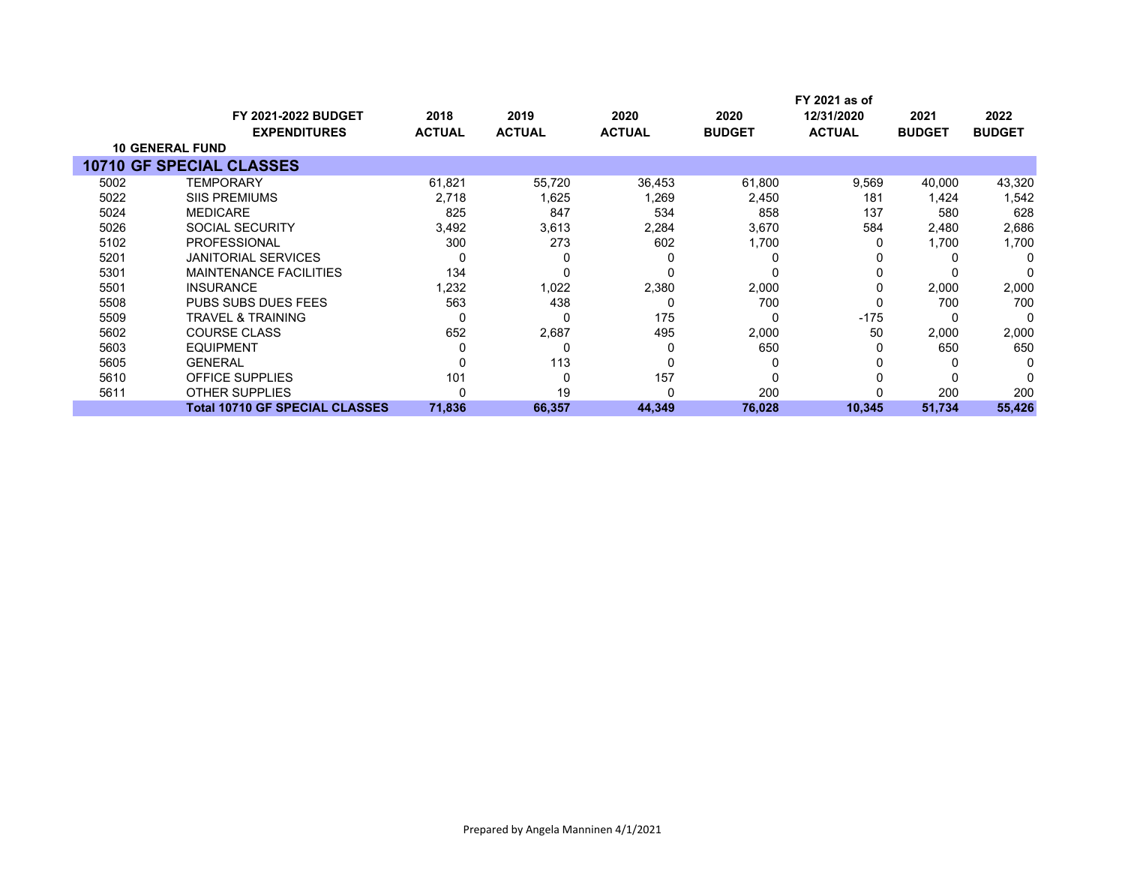|      |                                                   |                       |                       |                       |                       | FY 2021 as of               |                       |                       |
|------|---------------------------------------------------|-----------------------|-----------------------|-----------------------|-----------------------|-----------------------------|-----------------------|-----------------------|
|      | <b>FY 2021-2022 BUDGET</b><br><b>EXPENDITURES</b> | 2018<br><b>ACTUAL</b> | 2019<br><b>ACTUAL</b> | 2020<br><b>ACTUAL</b> | 2020<br><b>BUDGET</b> | 12/31/2020<br><b>ACTUAL</b> | 2021<br><b>BUDGET</b> | 2022<br><b>BUDGET</b> |
|      | <b>10 GENERAL FUND</b>                            |                       |                       |                       |                       |                             |                       |                       |
|      | <b>10710 GF SPECIAL CLASSES</b>                   |                       |                       |                       |                       |                             |                       |                       |
| 5002 | <b>TEMPORARY</b>                                  | 61,821                | 55,720                | 36,453                | 61,800                | 9,569                       | 40,000                | 43,320                |
| 5022 | <b>SIIS PREMIUMS</b>                              | 2,718                 | 1,625                 | 1,269                 | 2,450                 | 181                         | 1,424                 | 1,542                 |
| 5024 | <b>MEDICARE</b>                                   | 825                   | 847                   | 534                   | 858                   | 137                         | 580                   | 628                   |
| 5026 | SOCIAL SECURITY                                   | 3,492                 | 3,613                 | 2,284                 | 3,670                 | 584                         | 2,480                 | 2,686                 |
| 5102 | <b>PROFESSIONAL</b>                               | 300                   | 273                   | 602                   | 1,700                 |                             | 1,700                 | 1,700                 |
| 5201 | <b>JANITORIAL SERVICES</b>                        |                       |                       | C                     |                       |                             |                       | O                     |
| 5301 | <b>MAINTENANCE FACILITIES</b>                     | 134                   |                       | 0                     |                       |                             |                       |                       |
| 5501 | <b>INSURANCE</b>                                  | 1,232                 | 1,022                 | 2,380                 | 2,000                 | 0                           | 2,000                 | 2,000                 |
| 5508 | <b>PUBS SUBS DUES FEES</b>                        | 563                   | 438                   | 0                     | 700                   |                             | 700                   | 700                   |
| 5509 | <b>TRAVEL &amp; TRAINING</b>                      | 0                     |                       | 175                   | O                     | $-175$                      |                       | O                     |
| 5602 | <b>COURSE CLASS</b>                               | 652                   | 2,687                 | 495                   | 2,000                 | 50                          | 2,000                 | 2,000                 |
| 5603 | <b>EQUIPMENT</b>                                  |                       | 0                     | $\Omega$              | 650                   |                             | 650                   | 650                   |
| 5605 | <b>GENERAL</b>                                    |                       | 113                   | 0                     | 0                     |                             | 0                     |                       |
| 5610 | OFFICE SUPPLIES                                   | 101                   |                       | 157                   |                       |                             |                       |                       |
| 5611 | <b>OTHER SUPPLIES</b>                             |                       | 19                    | 0                     | 200                   |                             | 200                   | 200                   |
|      | <b>Total 10710 GF SPECIAL CLASSES</b>             | 71,836                | 66,357                | 44,349                | 76,028                | 10,345                      | 51,734                | 55,426                |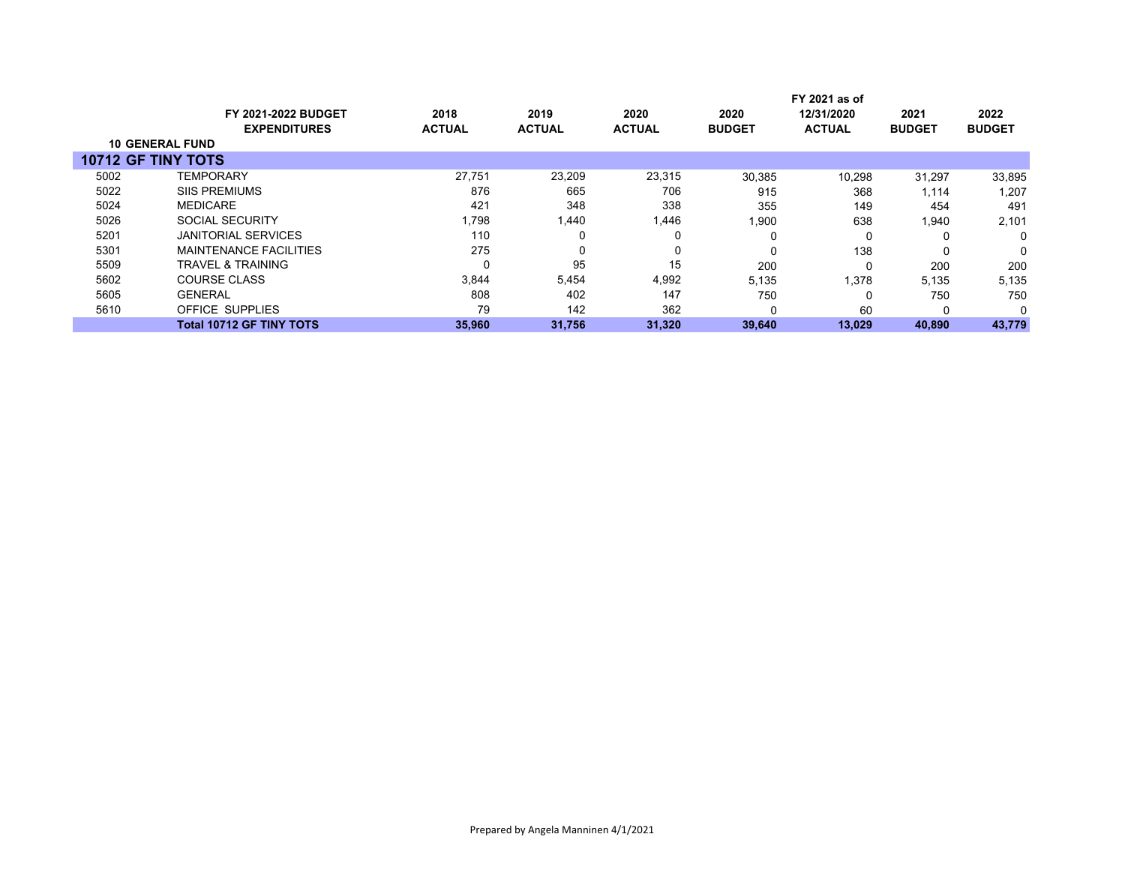|      | FY 2021 as of                   |               |               |               |               |               |               |               |
|------|---------------------------------|---------------|---------------|---------------|---------------|---------------|---------------|---------------|
|      | <b>FY 2021-2022 BUDGET</b>      | 2018          | 2019          | 2020          | 2020          | 12/31/2020    | 2021          | 2022          |
|      | <b>EXPENDITURES</b>             | <b>ACTUAL</b> | <b>ACTUAL</b> | <b>ACTUAL</b> | <b>BUDGET</b> | <b>ACTUAL</b> | <b>BUDGET</b> | <b>BUDGET</b> |
|      | <b>10 GENERAL FUND</b>          |               |               |               |               |               |               |               |
|      | <b>10712 GF TINY TOTS</b>       |               |               |               |               |               |               |               |
| 5002 | <b>TEMPORARY</b>                | 27.751        | 23.209        | 23,315        | 30,385        | 10,298        | 31,297        | 33,895        |
| 5022 | <b>SIIS PREMIUMS</b>            | 876           | 665           | 706           | 915           | 368           | 1,114         | 1,207         |
| 5024 | <b>MEDICARE</b>                 | 421           | 348           | 338           | 355           | 149           | 454           | 491           |
| 5026 | <b>SOCIAL SECURITY</b>          | 1,798         | 1,440         | 1,446         | 1,900         | 638           | 1,940         | 2,101         |
| 5201 | <b>JANITORIAL SERVICES</b>      | 110           |               |               | 0             | 0             |               | 0             |
| 5301 | <b>MAINTENANCE FACILITIES</b>   | 275           |               | 0             |               | 138           | 0             | 0             |
| 5509 | TRAVEL & TRAINING               | 0             | 95            | 15            | 200           | $\Omega$      | 200           | 200           |
| 5602 | <b>COURSE CLASS</b>             | 3,844         | 5,454         | 4,992         | 5,135         | 1.378         | 5,135         | 5,135         |
| 5605 | <b>GENERAL</b>                  | 808           | 402           | 147           | 750           | 0             | 750           | 750           |
| 5610 | OFFICE SUPPLIES                 | 79            | 142           | 362           | 0             | 60            | 0             | $\Omega$      |
|      | <b>Total 10712 GF TINY TOTS</b> | 35,960        | 31,756        | 31,320        | 39,640        | 13,029        | 40,890        | 43,779        |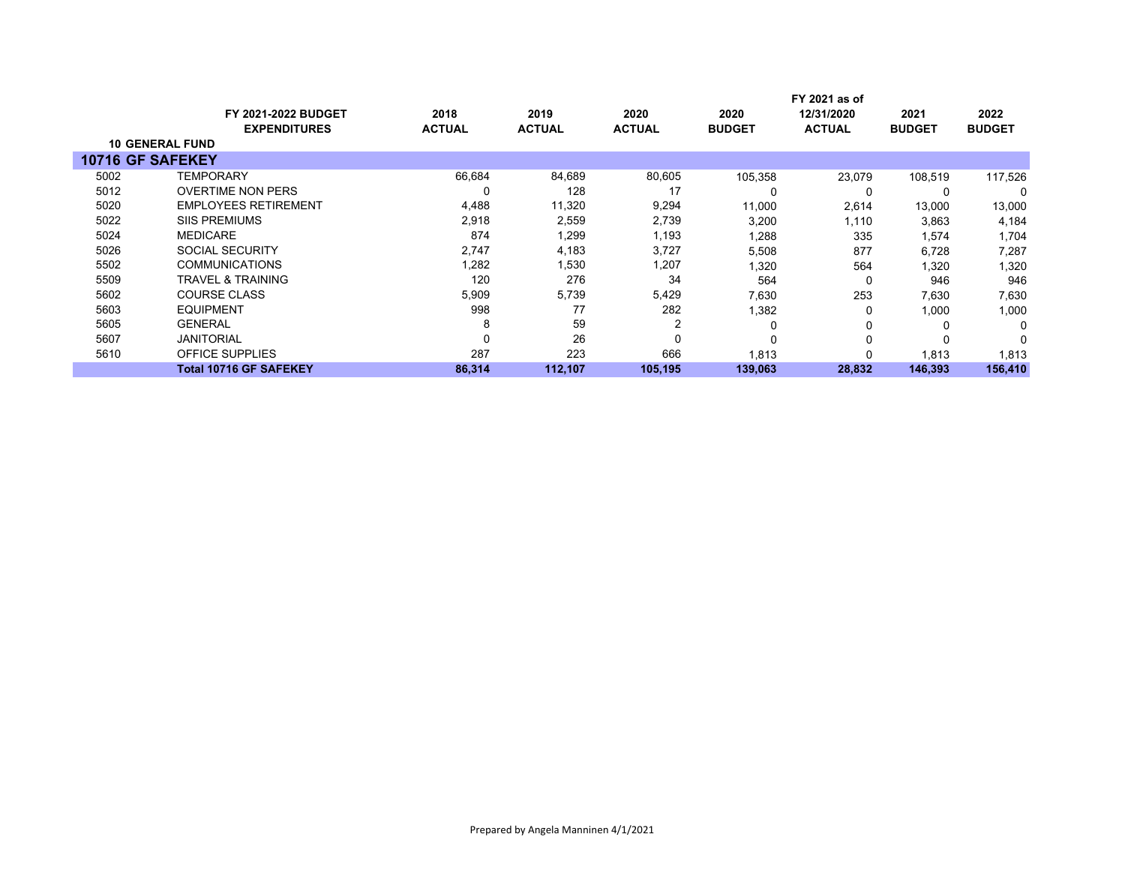|                        |                               | FY 2021 as of |               |               |               |               |               |               |
|------------------------|-------------------------------|---------------|---------------|---------------|---------------|---------------|---------------|---------------|
|                        | <b>FY 2021-2022 BUDGET</b>    | 2018          | 2019          | 2020          | 2020          | 12/31/2020    | 2021          | 2022          |
|                        | <b>EXPENDITURES</b>           | <b>ACTUAL</b> | <b>ACTUAL</b> | <b>ACTUAL</b> | <b>BUDGET</b> | <b>ACTUAL</b> | <b>BUDGET</b> | <b>BUDGET</b> |
| <b>10 GENERAL FUND</b> |                               |               |               |               |               |               |               |               |
| 10716 GF SAFEKEY       |                               |               |               |               |               |               |               |               |
| 5002                   | <b>TEMPORARY</b>              | 66,684        | 84,689        | 80,605        | 105,358       | 23,079        | 108,519       | 117,526       |
| 5012                   | <b>OVERTIME NON PERS</b>      | 0             | 128           | 17            | C             | 0             | 0             | 0             |
| 5020                   | <b>EMPLOYEES RETIREMENT</b>   | 4,488         | 11,320        | 9,294         | 11,000        | 2,614         | 13,000        | 13,000        |
| 5022                   | <b>SIIS PREMIUMS</b>          | 2,918         | 2,559         | 2,739         | 3,200         | 1,110         | 3,863         | 4,184         |
| 5024                   | <b>MEDICARE</b>               | 874           | 1,299         | 1,193         | 1,288         | 335           | 1,574         | 1,704         |
| 5026                   | <b>SOCIAL SECURITY</b>        | 2,747         | 4,183         | 3,727         | 5,508         | 877           | 6,728         | 7,287         |
| 5502                   | <b>COMMUNICATIONS</b>         | 1,282         | 1,530         | 1,207         | 1,320         | 564           | 1,320         | 1,320         |
| 5509                   | TRAVEL & TRAINING             | 120           | 276           | 34            | 564           | 0             | 946           | 946           |
| 5602                   | COURSE CLASS                  | 5,909         | 5,739         | 5,429         | 7,630         | 253           | 7,630         | 7,630         |
| 5603                   | EQUIPMENT                     | 998           | 77            | 282           | 1,382         | 0             | 1,000         | 1,000         |
| 5605                   | <b>GENERAL</b>                | 8             | 59            | 2             | $\Omega$      | 0             | $\Omega$      | 0             |
| 5607                   | <b>JANITORIAL</b>             | 0             | 26            | 0             | $\Omega$      | 0             | $\Omega$      | 0             |
| 5610                   | <b>OFFICE SUPPLIES</b>        | 287           | 223           | 666           | 1,813         | 0             | 1,813         | 1,813         |
|                        | <b>Total 10716 GF SAFEKEY</b> | 86,314        | 112,107       | 105.195       | 139,063       | 28,832        | 146,393       | 156,410       |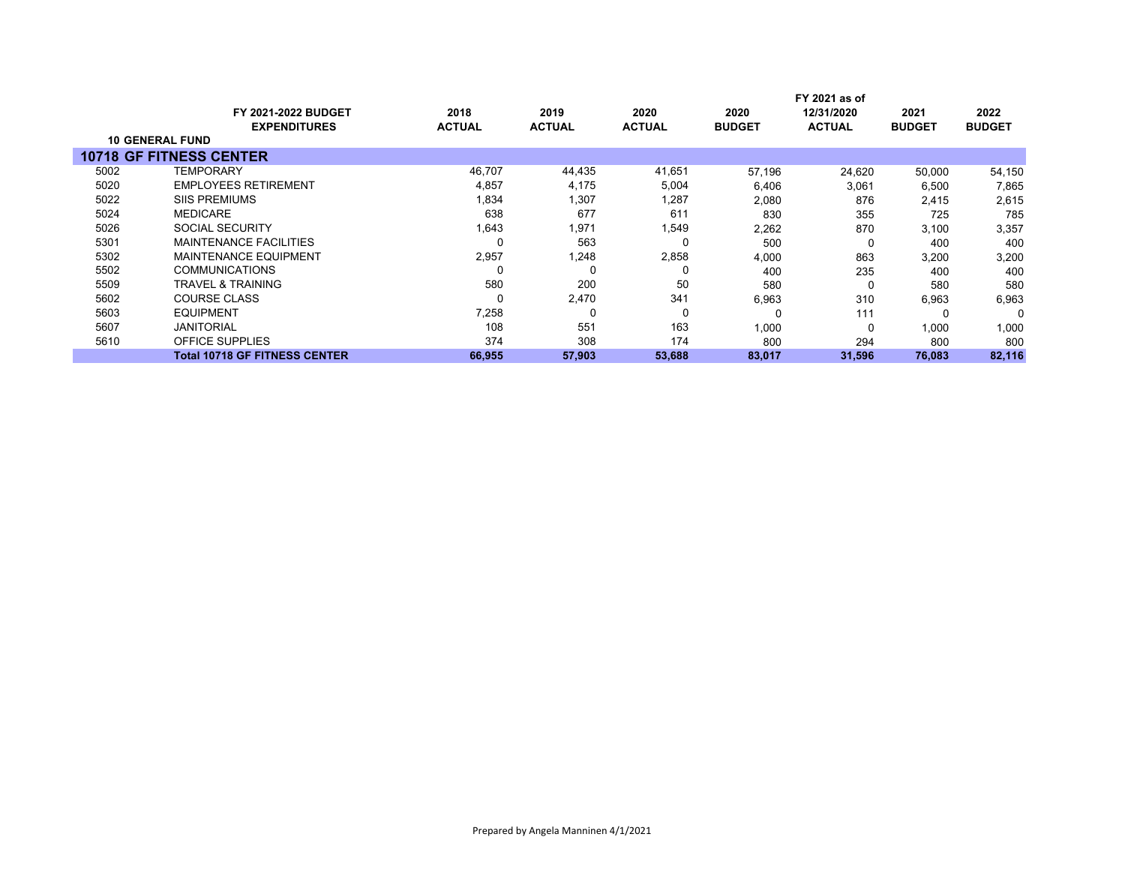|                        |                                                   |                       | FY 2021 as of         |                       |                       |                             |                       |                       |  |  |
|------------------------|---------------------------------------------------|-----------------------|-----------------------|-----------------------|-----------------------|-----------------------------|-----------------------|-----------------------|--|--|
|                        | <b>FY 2021-2022 BUDGET</b><br><b>EXPENDITURES</b> | 2018<br><b>ACTUAL</b> | 2019<br><b>ACTUAL</b> | 2020<br><b>ACTUAL</b> | 2020<br><b>BUDGET</b> | 12/31/2020<br><b>ACTUAL</b> | 2021<br><b>BUDGET</b> | 2022<br><b>BUDGET</b> |  |  |
| <b>10 GENERAL FUND</b> |                                                   |                       |                       |                       |                       |                             |                       |                       |  |  |
|                        | <b>10718 GF FITNESS CENTER</b>                    |                       |                       |                       |                       |                             |                       |                       |  |  |
| 5002                   | TEMPORARY                                         | 46,707                | 44,435                | 41,651                | 57.196                | 24.620                      | 50,000                | 54,150                |  |  |
| 5020                   | <b>EMPLOYEES RETIREMENT</b>                       | 4,857                 | 4.175                 | 5,004                 | 6,406                 | 3,061                       | 6,500                 | 7,865                 |  |  |
| 5022                   | <b>SIIS PREMIUMS</b>                              | 1,834                 | 1,307                 | 1,287                 | 2,080                 | 876                         | 2,415                 | 2,615                 |  |  |
| 5024                   | <b>MEDICARE</b>                                   | 638                   | 677                   | 611                   | 830                   | 355                         | 725                   | 785                   |  |  |
| 5026                   | <b>SOCIAL SECURITY</b>                            | 1,643                 | 1,971                 | 1,549                 | 2,262                 | 870                         | 3,100                 | 3,357                 |  |  |
| 5301                   | <b>MAINTENANCE FACILITIES</b>                     |                       | 563                   |                       | 500                   | 0                           | 400                   | 400                   |  |  |
| 5302                   | <b>MAINTENANCE EQUIPMENT</b>                      | 2,957                 | 1,248                 | 2,858                 | 4,000                 | 863                         | 3,200                 | 3,200                 |  |  |
| 5502                   | <b>COMMUNICATIONS</b>                             |                       | 0                     |                       | 400                   | 235                         | 400                   | 400                   |  |  |
| 5509                   | TRAVEL & TRAINING                                 | 580                   | 200                   | 50                    | 580                   | 0                           | 580                   | 580                   |  |  |
| 5602                   | <b>COURSE CLASS</b>                               |                       | 2,470                 | 341                   | 6,963                 | 310                         | 6,963                 | 6,963                 |  |  |
| 5603                   | EQUIPMENT                                         | 7,258                 | 0                     | $\Omega$              |                       | 111                         | O                     | 0                     |  |  |
| 5607                   | <b>JANITORIAL</b>                                 | 108                   | 551                   | 163                   | 1,000                 | 0                           | 1,000                 | 1,000                 |  |  |
| 5610                   | <b>OFFICE SUPPLIES</b>                            | 374                   | 308                   | 174                   | 800                   | 294                         | 800                   | 800                   |  |  |
|                        | <b>Total 10718 GF FITNESS CENTER</b>              | 66,955                | 57,903                | 53,688                | 83,017                | 31,596                      | 76,083                | 82,116                |  |  |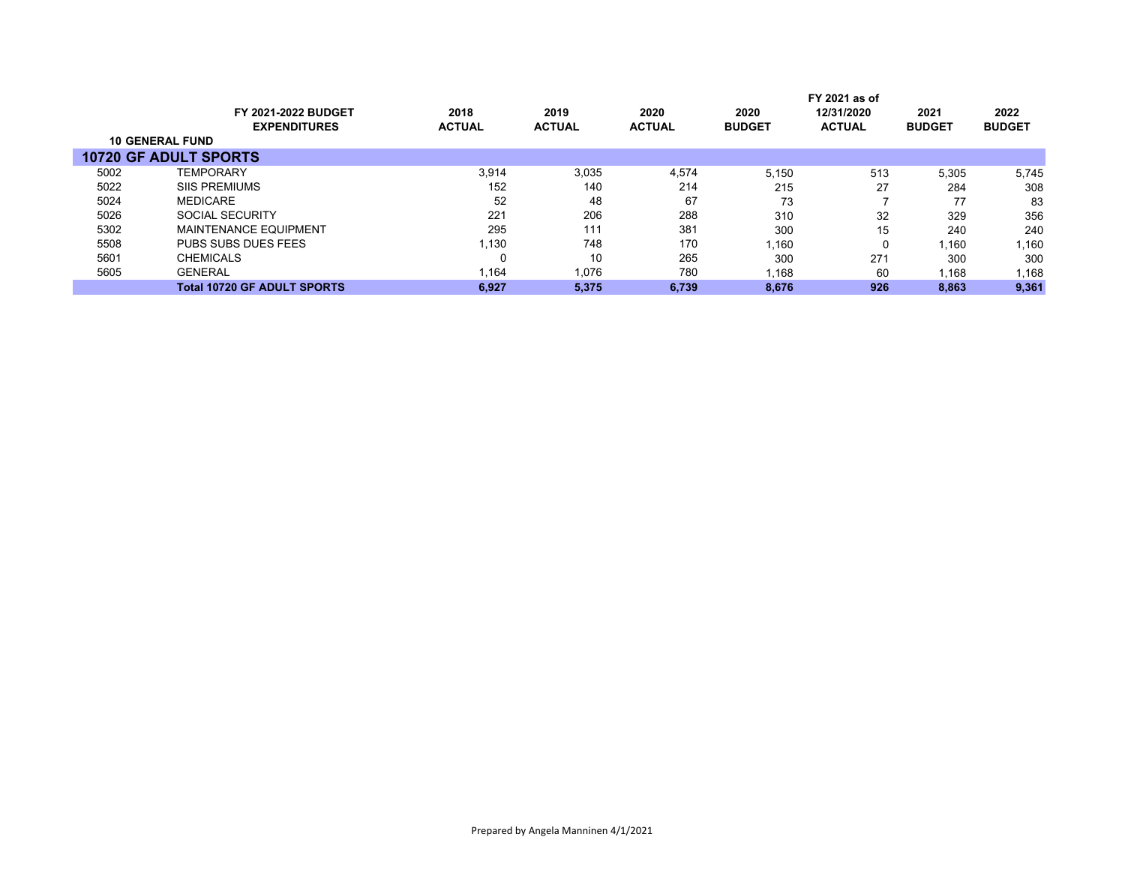|      |                                    |               |               |               |               | FY 2021 as of |               |               |
|------|------------------------------------|---------------|---------------|---------------|---------------|---------------|---------------|---------------|
|      | <b>FY 2021-2022 BUDGET</b>         | 2018          | 2019          | 2020          | 2020          | 12/31/2020    | 2021          | 2022          |
|      | <b>EXPENDITURES</b>                | <b>ACTUAL</b> | <b>ACTUAL</b> | <b>ACTUAL</b> | <b>BUDGET</b> | <b>ACTUAL</b> | <b>BUDGET</b> | <b>BUDGET</b> |
|      | <b>10 GENERAL FUND</b>             |               |               |               |               |               |               |               |
|      | <b>10720 GF ADULT SPORTS</b>       |               |               |               |               |               |               |               |
| 5002 | <b>TEMPORARY</b>                   | 3,914         | 3,035         | 4.574         | 5.150         | 513           | 5,305         | 5,745         |
| 5022 | <b>SIIS PREMIUMS</b>               | 152           | 140           | 214           | 215           | 27            | 284           | 308           |
| 5024 | <b>MEDICARE</b>                    | 52            | 48            | 67            | 73            |               | 77            | 83            |
| 5026 | <b>SOCIAL SECURITY</b>             | 221           | 206           | 288           | 310           | 32            | 329           | 356           |
| 5302 | <b>MAINTENANCE EQUIPMENT</b>       | 295           | 111           | 381           | 300           | 15            | 240           | 240           |
| 5508 | PUBS SUBS DUES FEES                | 1.130         | 748           | 170           | 1.160         | 0             | 1.160         | 1,160         |
| 5601 | <b>CHEMICALS</b>                   |               | 10            | 265           | 300           | 271           | 300           | 300           |
| 5605 | <b>GENERAL</b>                     | 1,164         | 1,076         | 780           | 1,168         | 60            | 1,168         | .168          |
|      | <b>Total 10720 GF ADULT SPORTS</b> | 6,927         | 5.375         | 6.739         | 8.676         | 926           | 8,863         | 9,361         |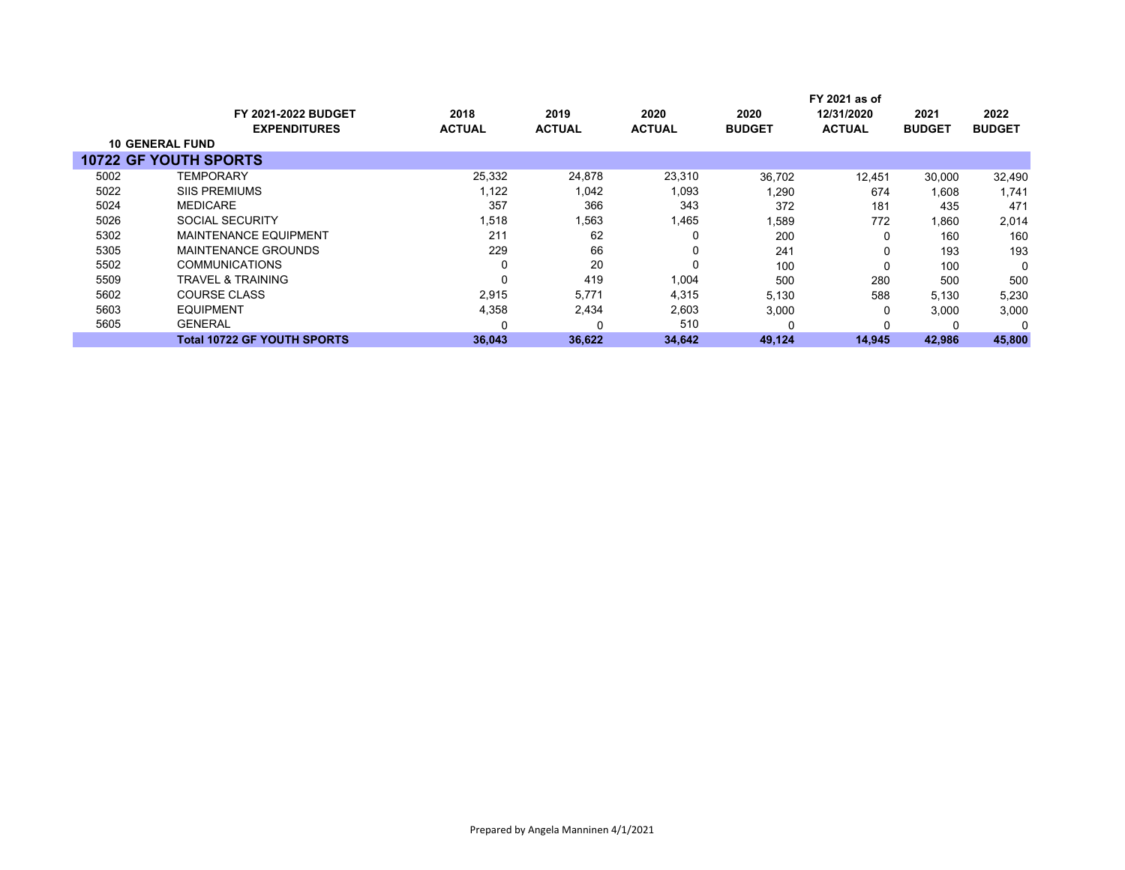|      |                              |               |               |               |               | FY 2021 as of |               |               |
|------|------------------------------|---------------|---------------|---------------|---------------|---------------|---------------|---------------|
|      | <b>FY 2021-2022 BUDGET</b>   | 2018          | 2019          | 2020          | 2020          | 12/31/2020    | 2021          | 2022          |
|      | <b>EXPENDITURES</b>          | <b>ACTUAL</b> | <b>ACTUAL</b> | <b>ACTUAL</b> | <b>BUDGET</b> | <b>ACTUAL</b> | <b>BUDGET</b> | <b>BUDGET</b> |
|      | <b>10 GENERAL FUND</b>       |               |               |               |               |               |               |               |
|      | <b>10722 GF YOUTH SPORTS</b> |               |               |               |               |               |               |               |
| 5002 | TEMPORARY                    | 25,332        | 24,878        | 23,310        | 36,702        | 12,451        | 30,000        | 32,490        |
| 5022 | <b>SIIS PREMIUMS</b>         | 1,122         | 1,042         | 1,093         | ,290          | 674           | 1.608         | 1.741         |
| 5024 | <b>MEDICARE</b>              | 357           | 366           | 343           | 372           | 181           | 435           | 471           |
| 5026 | SOCIAL SECURITY              | 1,518         | 1,563         | 1,465         | 1,589         | 772           | 1,860         | 2,014         |
| 5302 | <b>MAINTENANCE EQUIPMENT</b> | 211           | 62            | 0             | 200           | 0             | 160           | 160           |
| 5305 | MAINTENANCE GROUNDS          | 229           | 66            | 0             | 241           | 0             | 193           | 193           |
| 5502 | <b>COMMUNICATIONS</b>        | $\Omega$      | 20            | 0             | 100           | 0             | 100           | $\Omega$      |
| 5509 | TRAVEL & TRAINING            | $\Omega$      | 419           | 1,004         | 500           | 280           | 500           | 500           |
| 5602 | <b>COURSE CLASS</b>          | 2,915         | 5,771         | 4,315         | 5,130         | 588           | 5,130         | 5,230         |
| 5603 | <b>EQUIPMENT</b>             | 4,358         | 2,434         | 2,603         | 3,000         | 0             | 3,000         | 3,000         |
| 5605 | <b>GENERAL</b>               |               |               | 510           |               | 0             |               | $\Omega$      |
|      | Total 10722 GF YOUTH SPORTS  | 36,043        | 36,622        | 34,642        | 49,124        | 14,945        | 42,986        | 45,800        |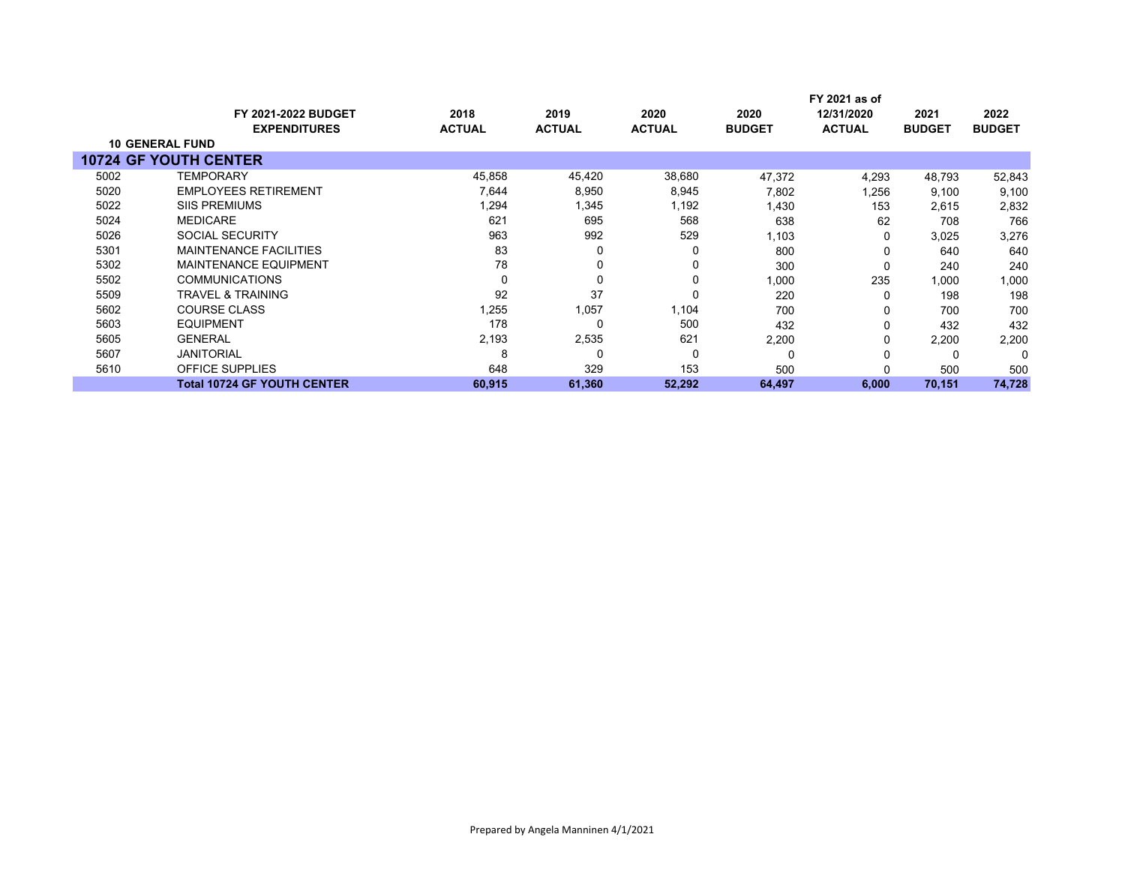|      |                                               |               |               |               |               | FY 2021 as of |               |               |
|------|-----------------------------------------------|---------------|---------------|---------------|---------------|---------------|---------------|---------------|
|      | <b>FY 2021-2022 BUDGET</b>                    | 2018          | 2019          | 2020          | 2020          | 12/31/2020    | 2021          | 2022          |
|      | <b>EXPENDITURES</b><br><b>10 GENERAL FUND</b> | <b>ACTUAL</b> | <b>ACTUAL</b> | <b>ACTUAL</b> | <b>BUDGET</b> | <b>ACTUAL</b> | <b>BUDGET</b> | <b>BUDGET</b> |
|      |                                               |               |               |               |               |               |               |               |
|      | <b>10724 GF YOUTH CENTER</b>                  |               |               |               |               |               |               |               |
| 5002 | <b>TEMPORARY</b>                              | 45,858        | 45,420        | 38,680        | 47,372        | 4,293         | 48,793        | 52,843        |
| 5020 | <b>EMPLOYEES RETIREMENT</b>                   | 7,644         | 8,950         | 8,945         | 7,802         | 1,256         | 9,100         | 9,100         |
| 5022 | <b>SIIS PREMIUMS</b>                          | 1,294         | 1,345         | 1,192         | 1,430         | 153           | 2,615         | 2,832         |
| 5024 | <b>MEDICARE</b>                               | 621           | 695           | 568           | 638           | 62            | 708           | 766           |
| 5026 | <b>SOCIAL SECURITY</b>                        | 963           | 992           | 529           | 1,103         | O             | 3,025         | 3,276         |
| 5301 | <b>MAINTENANCE FACILITIES</b>                 | 83            | 0             | 0             | 800           |               | 640           | 640           |
| 5302 | <b>MAINTENANCE EQUIPMENT</b>                  | 78            | 0             | 0             | 300           | O             | 240           | 240           |
| 5502 | <b>COMMUNICATIONS</b>                         | 0             | 0             | 0             | 1,000         | 235           | 1,000         | 1,000         |
| 5509 | <b>TRAVEL &amp; TRAINING</b>                  | 92            | 37            | 0             | 220           | O             | 198           | 198           |
| 5602 | <b>COURSE CLASS</b>                           | 1,255         | 1,057         | 1,104         | 700           |               | 700           | 700           |
| 5603 | <b>EQUIPMENT</b>                              | 178           | 0             | 500           | 432           | 0             | 432           | 432           |
| 5605 | <b>GENERAL</b>                                | 2,193         | 2,535         | 621           | 2,200         | 0             | 2,200         | 2,200         |
| 5607 | <b>JANITORIAL</b>                             | 8             | 0             | 0             | 0             |               |               | 0             |
| 5610 | <b>OFFICE SUPPLIES</b>                        | 648           | 329           | 153           | 500           |               | 500           | 500           |
|      | <b>Total 10724 GF YOUTH CENTER</b>            | 60,915        | 61,360        | 52,292        | 64,497        | 6,000         | 70,151        | 74,728        |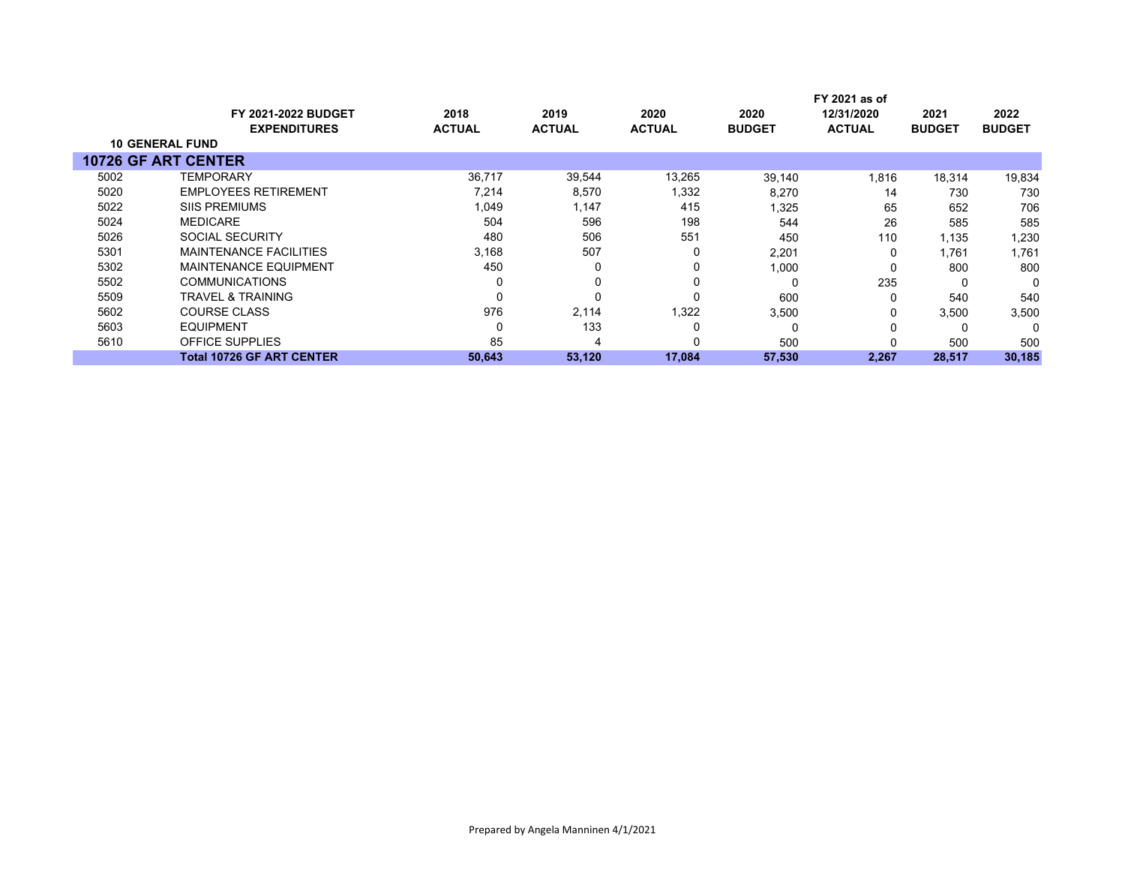|                            |                                  |               |               |               |               | FY 2021 as of |               |               |
|----------------------------|----------------------------------|---------------|---------------|---------------|---------------|---------------|---------------|---------------|
|                            | <b>FY 2021-2022 BUDGET</b>       | 2018          | 2019          | 2020          | 2020          | 12/31/2020    | 2021          | 2022          |
|                            | <b>EXPENDITURES</b>              | <b>ACTUAL</b> | <b>ACTUAL</b> | <b>ACTUAL</b> | <b>BUDGET</b> | <b>ACTUAL</b> | <b>BUDGET</b> | <b>BUDGET</b> |
| <b>10 GENERAL FUND</b>     |                                  |               |               |               |               |               |               |               |
| <b>10726 GF ART CENTER</b> |                                  |               |               |               |               |               |               |               |
| 5002                       | <b>TEMPORARY</b>                 | 36,717        | 39,544        | 13,265        | 39,140        | 1,816         | 18,314        | 19,834        |
| 5020                       | <b>EMPLOYEES RETIREMENT</b>      | 7,214         | 8,570         | 1,332         | 8,270         | 14            | 730           | 730           |
| 5022                       | <b>SIIS PREMIUMS</b>             | 1,049         | 1,147         | 415           | 1,325         | 65            | 652           | 706           |
| 5024                       | <b>MEDICARE</b>                  | 504           | 596           | 198           | 544           | 26            | 585           | 585           |
| 5026                       | SOCIAL SECURITY                  | 480           | 506           | 551           | 450           | 110           | 1,135         | 1,230         |
| 5301                       | <b>MAINTENANCE FACILITIES</b>    | 3,168         | 507           |               | 2,201         | 0             | 1,761         | 1,761         |
| 5302                       | <b>MAINTENANCE EQUIPMENT</b>     | 450           | 0             |               | 1,000         | 0             | 800           | 800           |
| 5502                       | <b>COMMUNICATIONS</b>            |               | 0             |               | $\Omega$      | 235           | 0             | 0             |
| 5509                       | <b>TRAVEL &amp; TRAINING</b>     |               | 0             |               | 600           | 0             | 540           | 540           |
| 5602                       | <b>COURSE CLASS</b>              | 976           | 2,114         | 1,322         | 3,500         | 0             | 3,500         | 3,500         |
| 5603                       | <b>EQUIPMENT</b>                 |               | 133           |               | $\Omega$      | 0             |               | $\Omega$      |
| 5610                       | OFFICE SUPPLIES                  | 85            | 4             |               | 500           |               | 500           | 500           |
|                            | <b>Total 10726 GF ART CENTER</b> | 50,643        | 53,120        | 17,084        | 57,530        | 2,267         | 28,517        | 30,185        |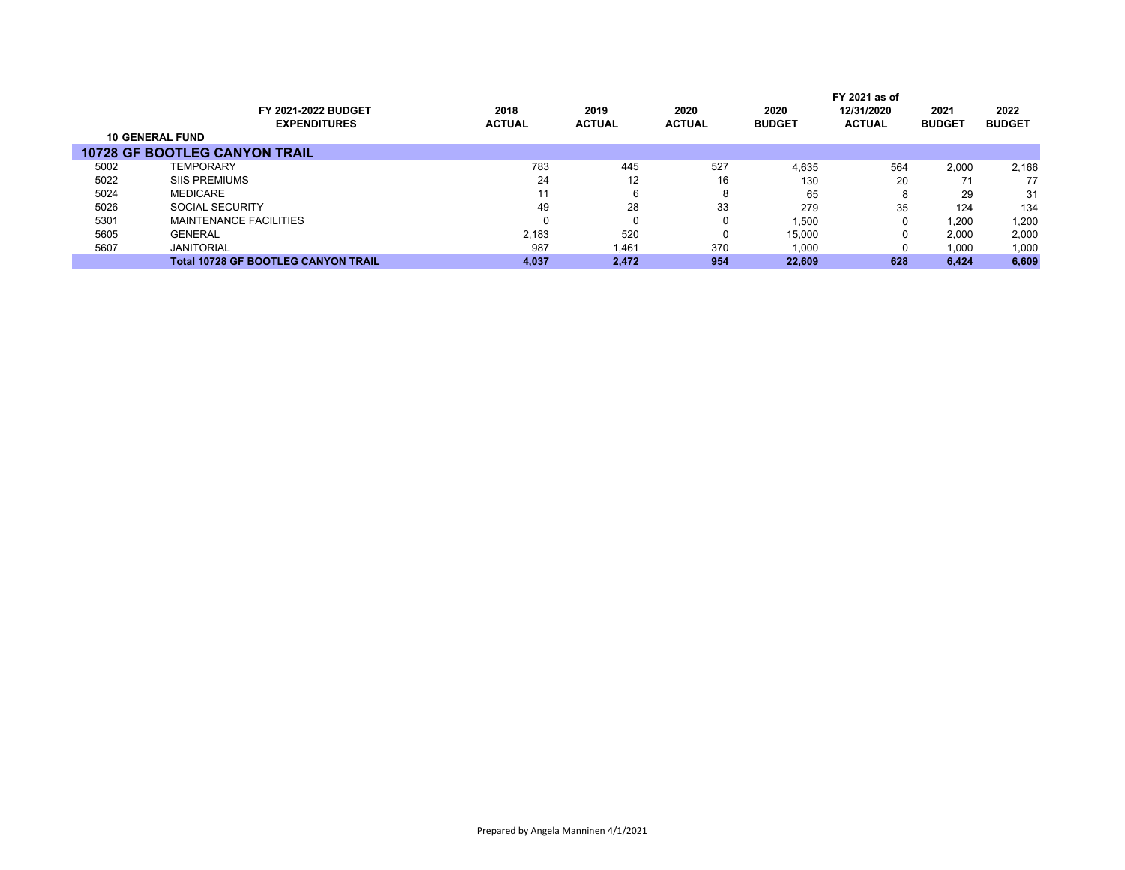|                        |                                            |               |               |               | FY 2021 as of |               |               |               |
|------------------------|--------------------------------------------|---------------|---------------|---------------|---------------|---------------|---------------|---------------|
|                        | FY 2021-2022 BUDGET                        | 2018          | 2019          | 2020          | 2020          | 12/31/2020    | 2021          | 2022          |
|                        | <b>EXPENDITURES</b>                        | <b>ACTUAL</b> | <b>ACTUAL</b> | <b>ACTUAL</b> | <b>BUDGET</b> | <b>ACTUAL</b> | <b>BUDGET</b> | <b>BUDGET</b> |
| <b>10 GENERAL FUND</b> |                                            |               |               |               |               |               |               |               |
|                        | <b>10728 GF BOOTLEG CANYON TRAIL</b>       |               |               |               |               |               |               |               |
| 5002                   | <b>TEMPORARY</b>                           | 783           | 445           | 527           | 4.635         | 564           | 2.000         | 2,166         |
| 5022                   | <b>SIIS PREMIUMS</b>                       | 24            | 12            | 16            | 130           | 20            |               | 77            |
| 5024                   | <b>MEDICARE</b>                            | 11            |               | 8             | 65            | 8             | 29            | 31            |
| 5026                   | SOCIAL SECURITY                            | 49            | 28            | 33            | 279           | 35            | 124           | 134           |
| 5301                   | MAINTENANCE FACILITIES                     | 0             |               | 0             | 1,500         | 0             | 1,200         | 1,200         |
| 5605                   | <b>GENERAL</b>                             | 2.183         | 520           | 0             | 15,000        | 0             | 2.000         | 2,000         |
| 5607                   | <b>JANITORIAL</b>                          | 987           | 1,461         | 370           | 1,000         | 0             | 1,000         | 1,000         |
|                        | <b>Total 10728 GF BOOTLEG CANYON TRAIL</b> | 4.037         | 2.472         | 954           | 22.609        | 628           | 6.424         | 6,609         |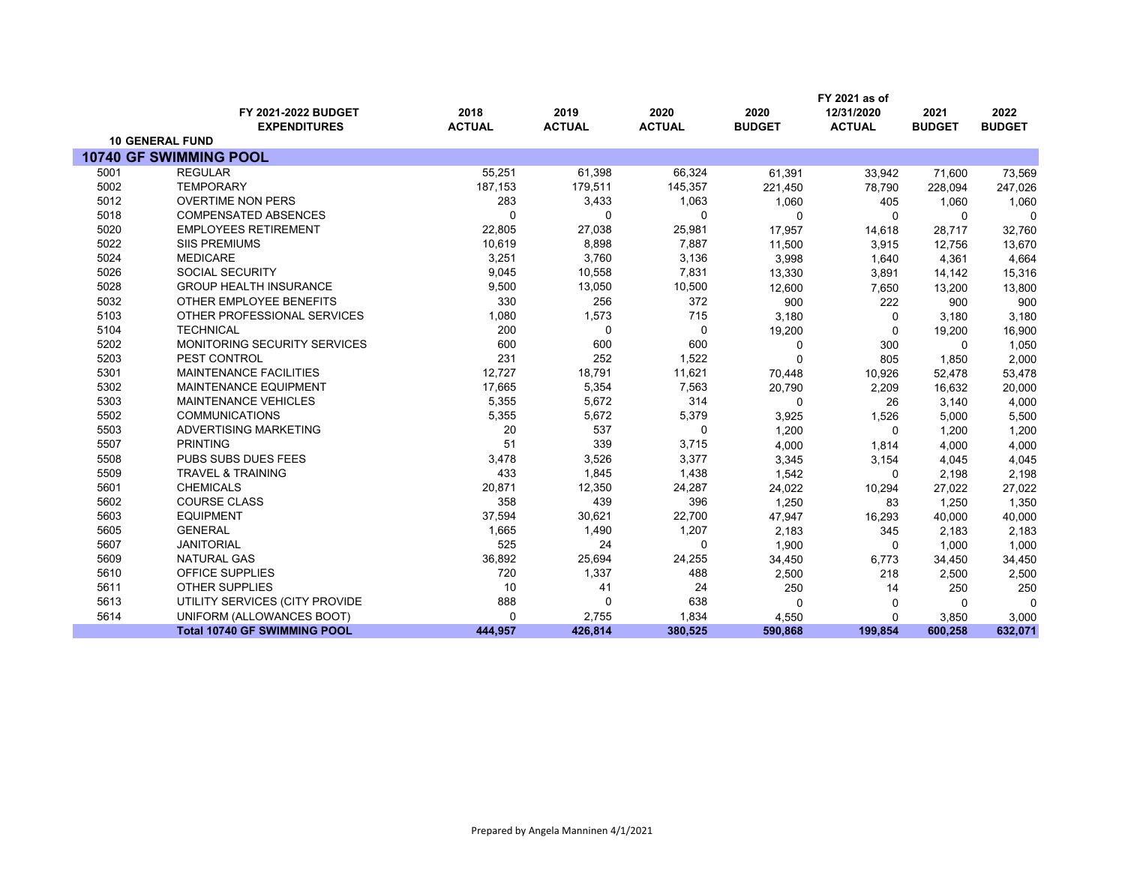|      |                                            |                       |                       |                       |                       | FY 2021 as of               |                       |                       |
|------|--------------------------------------------|-----------------------|-----------------------|-----------------------|-----------------------|-----------------------------|-----------------------|-----------------------|
|      | FY 2021-2022 BUDGET<br><b>EXPENDITURES</b> | 2018<br><b>ACTUAL</b> | 2019<br><b>ACTUAL</b> | 2020<br><b>ACTUAL</b> | 2020<br><b>BUDGET</b> | 12/31/2020<br><b>ACTUAL</b> | 2021<br><b>BUDGET</b> | 2022<br><b>BUDGET</b> |
|      | <b>10 GENERAL FUND</b>                     |                       |                       |                       |                       |                             |                       |                       |
|      | 10740 GF SWIMMING POOL                     |                       |                       |                       |                       |                             |                       |                       |
| 5001 | <b>REGULAR</b>                             | 55,251                | 61,398                | 66,324                | 61,391                | 33,942                      | 71,600                | 73,569                |
| 5002 | <b>TEMPORARY</b>                           | 187,153               | 179,511               | 145,357               | 221,450               | 78,790                      | 228,094               | 247,026               |
| 5012 | <b>OVERTIME NON PERS</b>                   | 283                   | 3,433                 | 1,063                 | 1,060                 | 405                         | 1,060                 | 1,060                 |
| 5018 | <b>COMPENSATED ABSENCES</b>                | ∩                     | 0                     | $\Omega$              | 0                     | 0                           | $\mathbf{0}$          | $\Omega$              |
| 5020 | <b>EMPLOYEES RETIREMENT</b>                | 22,805                | 27,038                | 25,981                | 17,957                | 14,618                      | 28,717                | 32,760                |
| 5022 | <b>SIIS PREMIUMS</b>                       | 10,619                | 8,898                 | 7,887                 | 11,500                | 3,915                       | 12,756                | 13,670                |
| 5024 | <b>MEDICARE</b>                            | 3,251                 | 3,760                 | 3,136                 | 3,998                 | 1,640                       | 4,361                 | 4,664                 |
| 5026 | <b>SOCIAL SECURITY</b>                     | 9,045                 | 10,558                | 7,831                 | 13,330                | 3,891                       | 14,142                | 15,316                |
| 5028 | <b>GROUP HEALTH INSURANCE</b>              | 9,500                 | 13,050                | 10,500                | 12,600                | 7,650                       | 13,200                | 13,800                |
| 5032 | OTHER EMPLOYEE BENEFITS                    | 330                   | 256                   | 372                   | 900                   | 222                         | 900                   | 900                   |
| 5103 | OTHER PROFESSIONAL SERVICES                | 1,080                 | 1,573                 | 715                   | 3,180                 | 0                           | 3,180                 | 3,180                 |
| 5104 | <b>TECHNICAL</b>                           | 200                   | 0                     | 0                     | 19,200                | 0                           | 19,200                | 16,900                |
| 5202 | <b>MONITORING SECURITY SERVICES</b>        | 600                   | 600                   | 600                   | 0                     | 300                         | $\Omega$              | 1,050                 |
| 5203 | PEST CONTROL                               | 231                   | 252                   | 1,522                 | 0                     | 805                         | 1,850                 | 2,000                 |
| 5301 | <b>MAINTENANCE FACILITIES</b>              | 12,727                | 18,791                | 11,621                | 70,448                | 10,926                      | 52,478                | 53,478                |
| 5302 | <b>MAINTENANCE EQUIPMENT</b>               | 17,665                | 5,354                 | 7,563                 | 20,790                | 2,209                       | 16,632                | 20,000                |
| 5303 | <b>MAINTENANCE VEHICLES</b>                | 5,355                 | 5,672                 | 314                   | 0                     | 26                          | 3,140                 | 4,000                 |
| 5502 | <b>COMMUNICATIONS</b>                      | 5,355                 | 5,672                 | 5,379                 | 3,925                 | 1,526                       | 5,000                 | 5,500                 |
| 5503 | ADVERTISING MARKETING                      | 20                    | 537                   | $\mathbf 0$           | 1,200                 | $\Omega$                    | 1,200                 | 1,200                 |
| 5507 | <b>PRINTING</b>                            | 51                    | 339                   | 3,715                 | 4,000                 | 1,814                       | 4,000                 | 4,000                 |
| 5508 | PUBS SUBS DUES FEES                        | 3,478                 | 3,526                 | 3,377                 | 3,345                 | 3,154                       | 4,045                 | 4,045                 |
| 5509 | <b>TRAVEL &amp; TRAINING</b>               | 433                   | 1,845                 | 1,438                 | 1,542                 | 0                           | 2,198                 | 2,198                 |
| 5601 | <b>CHEMICALS</b>                           | 20,871                | 12,350                | 24,287                | 24,022                | 10,294                      | 27,022                | 27,022                |
| 5602 | COURSE CLASS                               | 358                   | 439                   | 396                   | 1,250                 | 83                          | 1,250                 | 1,350                 |
| 5603 | <b>EQUIPMENT</b>                           | 37,594                | 30,621                | 22,700                | 47,947                | 16,293                      | 40,000                | 40,000                |
| 5605 | <b>GENERAL</b>                             | 1,665                 | 1,490                 | 1,207                 | 2,183                 | 345                         | 2,183                 | 2,183                 |
| 5607 | <b>JANITORIAL</b>                          | 525                   | 24                    | $\Omega$              | 1,900                 | $\mathbf{0}$                | 1,000                 | 1,000                 |
| 5609 | <b>NATURAL GAS</b>                         | 36,892                | 25,694                | 24,255                | 34,450                | 6,773                       | 34,450                | 34,450                |
| 5610 | OFFICE SUPPLIES                            | 720                   | 1,337                 | 488                   | 2,500                 | 218                         | 2,500                 | 2,500                 |
| 5611 | <b>OTHER SUPPLIES</b>                      | 10                    | 41                    | 24                    | 250                   | 14                          | 250                   | 250                   |
| 5613 | UTILITY SERVICES (CITY PROVIDE             | 888                   | $\mathbf 0$           | 638                   | 0                     | 0                           | $\Omega$              | $\Omega$              |
| 5614 | UNIFORM (ALLOWANCES BOOT)                  | $\Omega$              | 2,755                 | 1,834                 | 4,550                 | 0                           | 3,850                 | 3,000                 |
|      | <b>Total 10740 GF SWIMMING POOL</b>        | 444.957               | 426,814               | 380,525               | 590,868               | 199,854                     | 600,258               | 632,071               |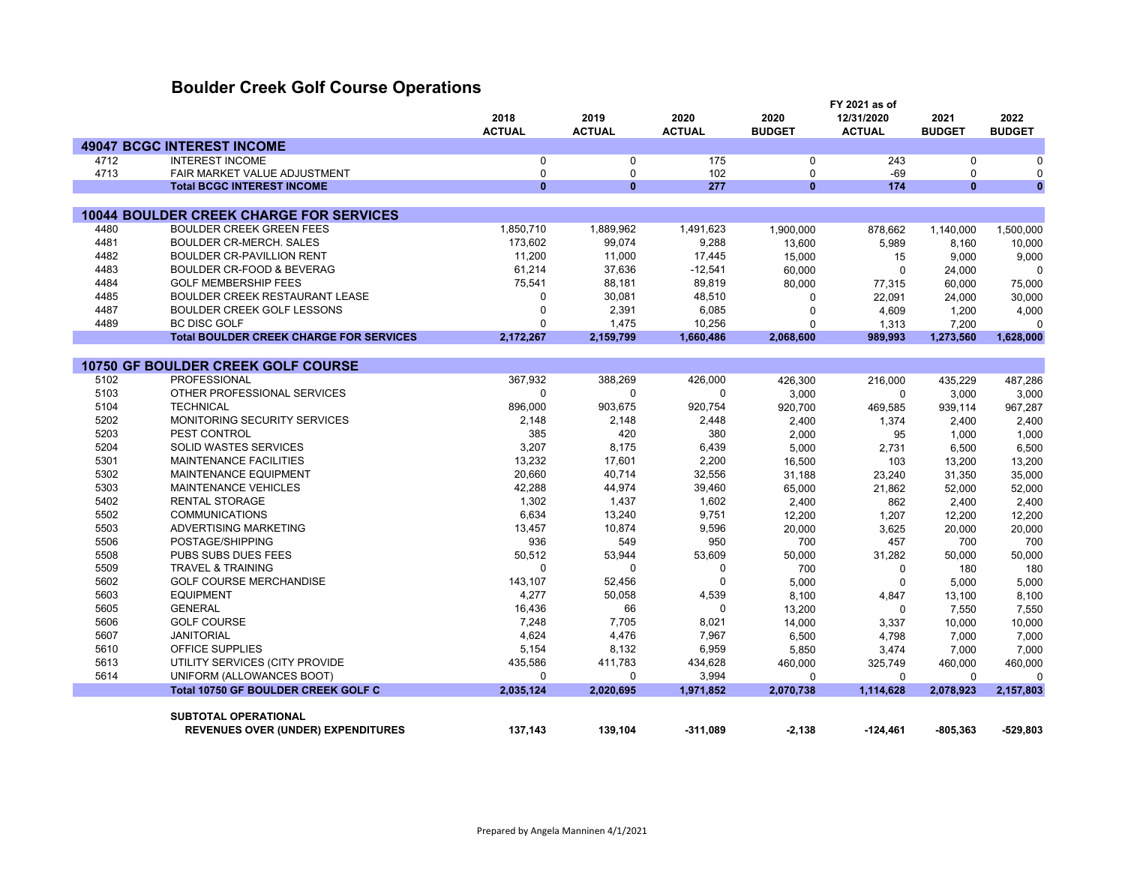## **Boulder Creek Golf Course Operations**

|      |                                                                                   | 2018          | 2019          | 2020          | 2020                | FY 2021 as of<br>12/31/2020 | 2021               | 2022                |
|------|-----------------------------------------------------------------------------------|---------------|---------------|---------------|---------------------|-----------------------------|--------------------|---------------------|
|      |                                                                                   | <b>ACTUAL</b> | <b>ACTUAL</b> | <b>ACTUAL</b> | <b>BUDGET</b>       | <b>ACTUAL</b>               | <b>BUDGET</b>      | <b>BUDGET</b>       |
|      | <b>49047 BCGC INTEREST INCOME</b>                                                 |               |               |               |                     |                             |                    |                     |
| 4712 | <b>INTEREST INCOME</b>                                                            | 0             | 0             | 175           | $\mathbf 0$         | 243                         | 0                  | $\mathbf 0$         |
| 4713 | FAIR MARKET VALUE ADJUSTMENT                                                      | 0             | 0             | 102           | 0                   | $-69$                       | 0                  | 0                   |
|      | <b>Total BCGC INTEREST INCOME</b>                                                 | $\mathbf{0}$  | $\mathbf{0}$  | 277           | $\bf{0}$            | 174                         | $\bf{0}$           | $\mathbf{0}$        |
|      |                                                                                   |               |               |               |                     |                             |                    |                     |
| 4480 | <b>10044 BOULDER CREEK CHARGE FOR SERVICES</b><br><b>BOULDER CREEK GREEN FEES</b> | 1,850,710     | 1,889,962     | 1,491,623     |                     |                             |                    |                     |
| 4481 | <b>BOULDER CR-MERCH, SALES</b>                                                    | 173,602       | 99,074        | 9,288         | 1,900,000<br>13,600 | 878,662<br>5,989            | 1,140,000<br>8,160 | 1,500,000<br>10,000 |
| 4482 | BOULDER CR-PAVILLION RENT                                                         | 11,200        | 11,000        | 17,445        | 15,000              | 15                          | 9,000              | 9,000               |
| 4483 | <b>BOULDER CR-FOOD &amp; BEVERAG</b>                                              | 61,214        | 37,636        | $-12,541$     | 60,000              | $\Omega$                    |                    | $\mathbf 0$         |
| 4484 | <b>GOLF MEMBERSHIP FEES</b>                                                       | 75,541        | 88,181        | 89,819        | 80,000              | 77,315                      | 24,000<br>60,000   | 75,000              |
| 4485 | <b>BOULDER CREEK RESTAURANT LEASE</b>                                             | $\Omega$      | 30,081        | 48,510        | $\Omega$            | 22,091                      | 24,000             | 30,000              |
| 4487 | BOULDER CREEK GOLF LESSONS                                                        | $\Omega$      | 2,391         | 6,085         | $\mathbf 0$         | 4,609                       | 1,200              | 4,000               |
| 4489 | <b>BC DISC GOLF</b>                                                               | $\Omega$      | 1,475         | 10,256        | 0                   |                             | 7,200              | $\mathbf 0$         |
|      | <b>Total BOULDER CREEK CHARGE FOR SERVICES</b>                                    | 2,172,267     | 2,159,799     | 1,660,486     | 2,068,600           | 1,313<br>989,993            | 1,273,560          | 1,628,000           |
|      |                                                                                   |               |               |               |                     |                             |                    |                     |
|      | 10750 GF BOULDER CREEK GOLF COURSE                                                |               |               |               |                     |                             |                    |                     |
| 5102 | <b>PROFESSIONAL</b>                                                               | 367,932       | 388,269       | 426,000       | 426,300             | 216,000                     | 435,229            | 487,286             |
| 5103 | OTHER PROFESSIONAL SERVICES                                                       | $\Omega$      | $\mathbf{0}$  | $\Omega$      | 3,000               | $\mathbf 0$                 | 3,000              | 3,000               |
| 5104 | <b>TECHNICAL</b>                                                                  | 896,000       | 903,675       | 920,754       | 920,700             | 469,585                     | 939,114            | 967,287             |
| 5202 | MONITORING SECURITY SERVICES                                                      | 2,148         | 2,148         | 2,448         | 2,400               | 1,374                       | 2,400              | 2,400               |
| 5203 | PEST CONTROL                                                                      | 385           | 420           | 380           | 2,000               | 95                          | 1,000              | 1,000               |
| 5204 | <b>SOLID WASTES SERVICES</b>                                                      | 3,207         | 8,175         | 6,439         | 5,000               | 2,731                       | 6,500              | 6,500               |
| 5301 | <b>MAINTENANCE FACILITIES</b>                                                     | 13,232        | 17,601        | 2,200         | 16,500              | 103                         | 13,200             | 13,200              |
| 5302 | MAINTENANCE EQUIPMENT                                                             | 20,660        | 40,714        | 32,556        | 31,188              | 23,240                      | 31,350             | 35,000              |
| 5303 | <b>MAINTENANCE VEHICLES</b>                                                       | 42,288        | 44,974        | 39,460        | 65,000              | 21,862                      | 52,000             | 52,000              |
| 5402 | <b>RENTAL STORAGE</b>                                                             | 1,302         | 1,437         | 1,602         | 2,400               | 862                         | 2,400              | 2,400               |
| 5502 | <b>COMMUNICATIONS</b>                                                             | 6,634         | 13,240        | 9,751         | 12,200              | 1,207                       | 12,200             | 12,200              |
| 5503 | ADVERTISING MARKETING                                                             | 13,457        | 10,874        | 9,596         | 20,000              | 3,625                       | 20,000             | 20,000              |
| 5506 | POSTAGE/SHIPPING                                                                  | 936           | 549           | 950           | 700                 | 457                         | 700                | 700                 |
| 5508 | PUBS SUBS DUES FEES                                                               | 50,512        | 53,944        | 53,609        | 50,000              | 31,282                      | 50,000             | 50,000              |
| 5509 | <b>TRAVEL &amp; TRAINING</b>                                                      | $\mathbf 0$   | 0             | $\Omega$      | 700                 | 0                           | 180                | 180                 |
| 5602 | <b>GOLF COURSE MERCHANDISE</b>                                                    | 143,107       | 52,456        | $\Omega$      | 5,000               | $\mathbf 0$                 | 5,000              | 5,000               |
| 5603 | <b>EQUIPMENT</b>                                                                  | 4,277         | 50,058        | 4,539         | 8,100               | 4,847                       | 13,100             | 8,100               |
| 5605 | <b>GENERAL</b>                                                                    | 16,436        | 66            | $\Omega$      | 13,200              | $\Omega$                    | 7,550              | 7,550               |
| 5606 | <b>GOLF COURSE</b>                                                                | 7,248         | 7,705         | 8,021         | 14,000              | 3,337                       | 10,000             | 10,000              |
| 5607 | <b>JANITORIAL</b>                                                                 | 4,624         | 4,476         | 7,967         | 6,500               | 4,798                       | 7,000              | 7,000               |
| 5610 | OFFICE SUPPLIES                                                                   | 5,154         | 8,132         | 6,959         | 5,850               | 3,474                       | 7,000              | 7,000               |
| 5613 | UTILITY SERVICES (CITY PROVIDE                                                    | 435,586       | 411,783       | 434,628       | 460,000             | 325,749                     | 460,000            | 460,000             |
| 5614 | UNIFORM (ALLOWANCES BOOT)                                                         | $\Omega$      | $\mathbf{0}$  | 3,994         | $\Omega$            | $\Omega$                    | $\Omega$           | $\mathbf 0$         |
|      | <b>Total 10750 GF BOULDER CREEK GOLF C</b>                                        | 2,035,124     | 2,020,695     | 1,971,852     | 2,070,738           | 1,114,628                   | 2,078,923          | 2,157,803           |
|      |                                                                                   |               |               |               |                     |                             |                    |                     |
|      | <b>SUBTOTAL OPERATIONAL</b>                                                       |               |               |               |                     |                             |                    |                     |
|      | <b>REVENUES OVER (UNDER) EXPENDITURES</b>                                         | 137,143       | 139,104       | -311,089      | $-2,138$            | -124,461                    | $-805,363$         | -529,803            |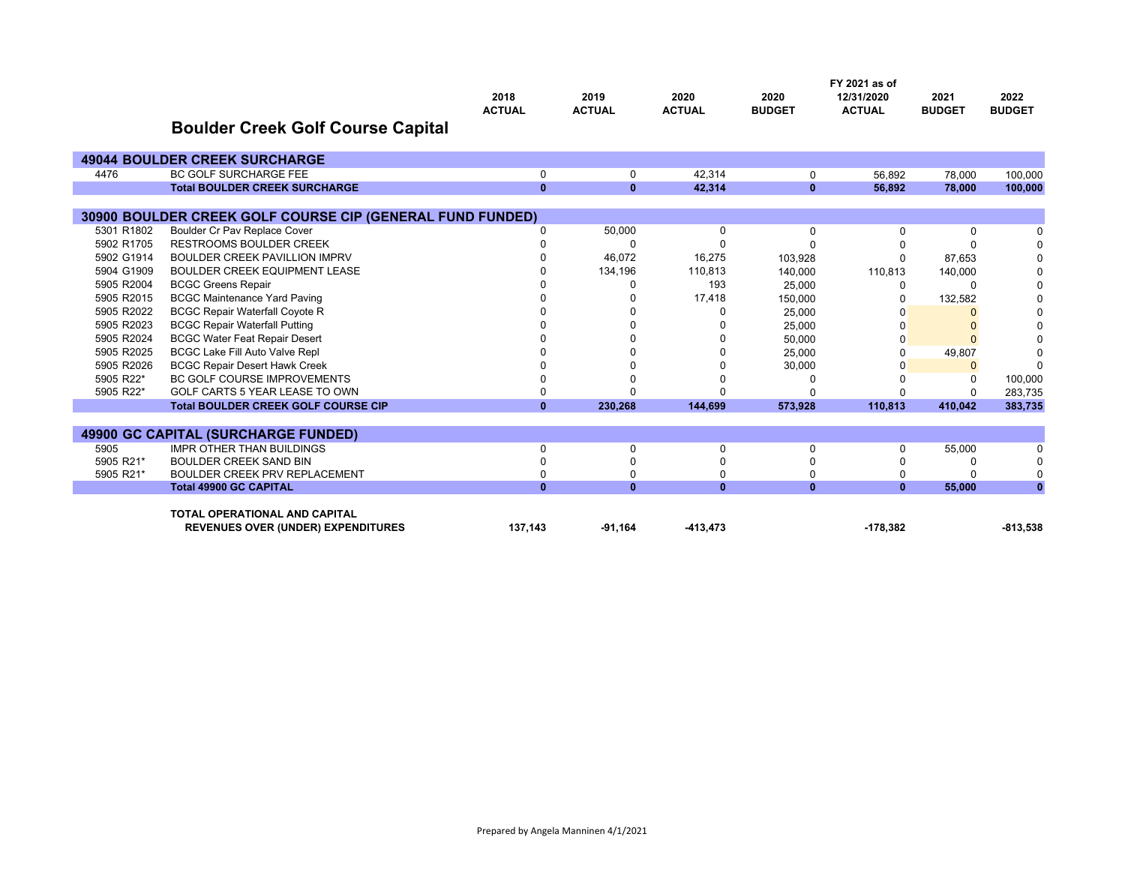|            |                                                           | 2018          | 2019          | 2020          | 2020          | FY 2021 as of<br>12/31/2020 | 2021          | 2022          |
|------------|-----------------------------------------------------------|---------------|---------------|---------------|---------------|-----------------------------|---------------|---------------|
|            |                                                           | <b>ACTUAL</b> | <b>ACTUAL</b> | <b>ACTUAL</b> | <b>BUDGET</b> | <b>ACTUAL</b>               | <b>BUDGET</b> | <b>BUDGET</b> |
|            | <b>Boulder Creek Golf Course Capital</b>                  |               |               |               |               |                             |               |               |
|            | <b>49044 BOULDER CREEK SURCHARGE</b>                      |               |               |               |               |                             |               |               |
| 4476       | <b>BC GOLF SURCHARGE FEE</b>                              | $\mathbf 0$   | 0             | 42.314        | 0             | 56,892                      | 78,000        | 100,000       |
|            | <b>Total BOULDER CREEK SURCHARGE</b>                      | $\mathbf{0}$  | $\mathbf{0}$  | 42,314        | $\mathbf{0}$  | 56,892                      | 78,000        | 100,000       |
|            |                                                           |               |               |               |               |                             |               |               |
|            | 30900 BOULDER CREEK GOLF COURSE CIP (GENERAL FUND FUNDED) |               |               |               |               |                             |               |               |
| 5301 R1802 | Boulder Cr Pav Replace Cover                              | 0             | 50,000        | 0             | 0             | $\Omega$                    | 0             |               |
| 5902 R1705 | <b>RESTROOMS BOULDER CREEK</b>                            |               | $\Omega$      | ŋ             | n             |                             | $\Omega$      | 0             |
| 5902 G1914 | <b>BOULDER CREEK PAVILLION IMPRV</b>                      |               | 46,072        | 16,275        | 103,928       | $\Omega$                    | 87,653        | $\Omega$      |
| 5904 G1909 | BOULDER CREEK EQUIPMENT LEASE                             |               | 134,196       | 110,813       | 140,000       | 110,813                     | 140,000       |               |
| 5905 R2004 | <b>BCGC Greens Repair</b>                                 |               | O             | 193           | 25,000        | 0                           | 0             | U             |
| 5905 R2015 | <b>BCGC Maintenance Yard Paving</b>                       |               | 0             | 17,418        | 150,000       | O                           | 132,582       |               |
| 5905 R2022 | <b>BCGC Repair Waterfall Coyote R</b>                     |               |               | 0             | 25.000        |                             | $\Omega$      |               |
| 5905 R2023 | <b>BCGC Repair Waterfall Putting</b>                      |               |               |               | 25,000        |                             | $\Omega$      |               |
| 5905 R2024 | <b>BCGC Water Feat Repair Desert</b>                      |               | U             | ŋ             | 50,000        | $\Omega$                    | $\Omega$      |               |
| 5905 R2025 | <b>BCGC Lake Fill Auto Valve Repl</b>                     |               |               | ŋ             | 25.000        | $\Omega$                    | 49,807        |               |
| 5905 R2026 | <b>BCGC Repair Desert Hawk Creek</b>                      |               |               |               | 30,000        |                             | $\mathbf{0}$  | $\Omega$      |
| 5905 R22*  | <b>BC GOLF COURSE IMPROVEMENTS</b>                        |               |               |               |               |                             | 0             | 100,000       |
| 5905 R22*  | GOLF CARTS 5 YEAR LEASE TO OWN                            | $\Omega$      | $\Omega$      | n             |               |                             | $\Omega$      | 283.735       |
|            | <b>Total BOULDER CREEK GOLF COURSE CIP</b>                | $\mathbf{0}$  | 230.268       | 144,699       | 573,928       | 110.813                     | 410.042       | 383,735       |
|            |                                                           |               |               |               |               |                             |               |               |
|            | 49900 GC CAPITAL (SURCHARGE FUNDED)                       |               |               |               |               |                             |               |               |
| 5905       | <b>IMPR OTHER THAN BUILDINGS</b>                          | 0             | 0             | $\Omega$      | 0             | $\Omega$                    | 55,000        |               |
| 5905 R21*  | <b>BOULDER CREEK SAND BIN</b>                             | $\Omega$      | U             | n             |               |                             | $\Omega$      |               |
| 5905 R21*  | <b>BOULDER CREEK PRV REPLACEMENT</b>                      | $\Omega$      | $\Omega$      | $\Omega$      |               |                             | $\Omega$      | 0             |
|            | <b>Total 49900 GC CAPITAL</b>                             | $\mathbf{0}$  | $\mathbf{0}$  | $\mathbf{0}$  | $\mathbf{0}$  | $\mathbf{0}$                | 55,000        | $\mathbf{0}$  |
|            | <b>TOTAL OPERATIONAL AND CAPITAL</b>                      |               |               |               |               |                             |               |               |
|            | <b>REVENUES OVER (UNDER) EXPENDITURES</b>                 | 137,143       | $-91.164$     | $-413,473$    |               | $-178.382$                  |               | $-813,538$    |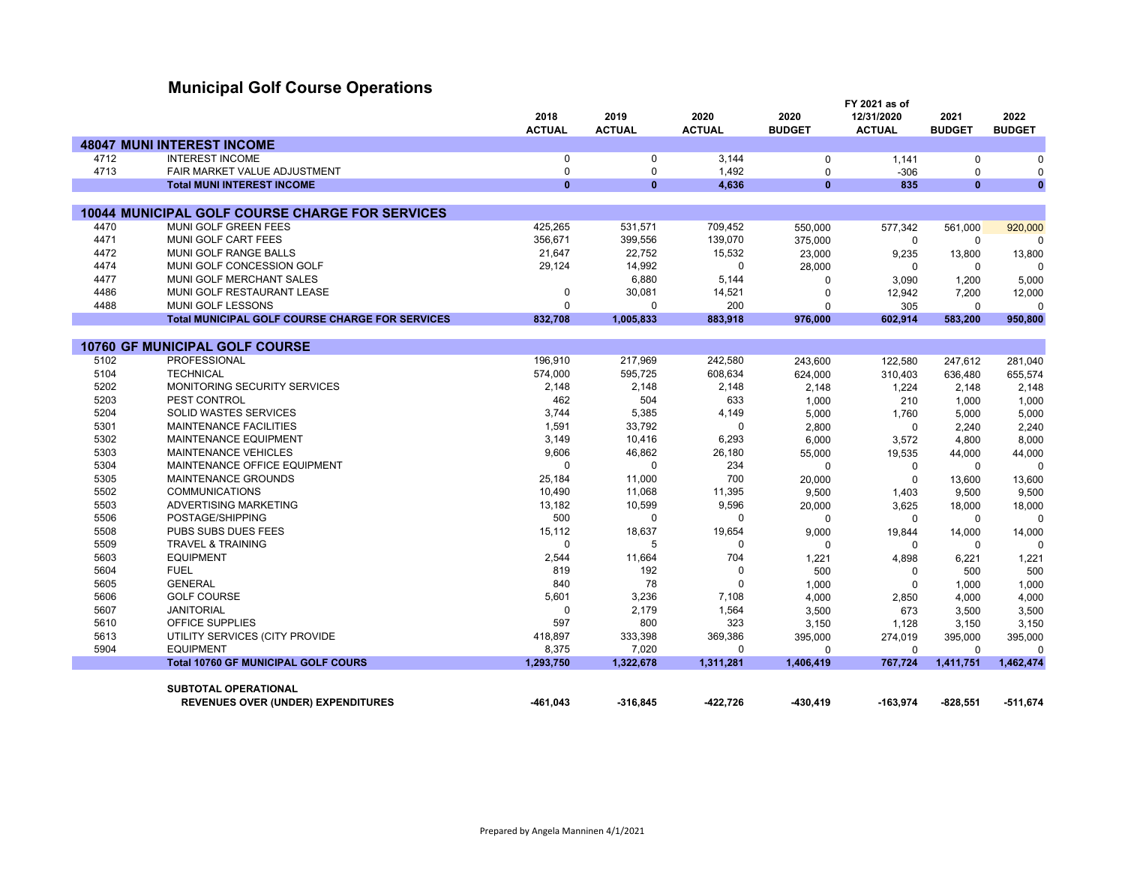## **Municipal Golf Course Operations**

|      |                                                        | 2018          | 2019          | 2020          | 2020          | FY 2021 as of<br>12/31/2020 | 2021          | 2022          |
|------|--------------------------------------------------------|---------------|---------------|---------------|---------------|-----------------------------|---------------|---------------|
|      |                                                        | <b>ACTUAL</b> | <b>ACTUAL</b> | <b>ACTUAL</b> | <b>BUDGET</b> | <b>ACTUAL</b>               | <b>BUDGET</b> | <b>BUDGET</b> |
|      | <b>48047 MUNI INTEREST INCOME</b>                      |               |               |               |               |                             |               |               |
| 4712 | <b>INTEREST INCOME</b>                                 | 0             | $\mathbf 0$   | 3.144         | $\mathbf 0$   | 1,141                       | $\mathbf 0$   | $\mathbf 0$   |
| 4713 | FAIR MARKET VALUE ADJUSTMENT                           | 0             | $\mathbf 0$   | 1,492         | $\Omega$      | $-306$                      | $\mathbf 0$   | 0             |
|      | <b>Total MUNI INTEREST INCOME</b>                      | $\mathbf{0}$  | $\mathbf{0}$  | 4.636         | $\mathbf{0}$  | 835                         | $\mathbf{0}$  | $\mathbf{0}$  |
|      |                                                        |               |               |               |               |                             |               |               |
|      | <b>10044 MUNICIPAL GOLF COURSE CHARGE FOR SERVICES</b> |               |               |               |               |                             |               |               |
| 4470 | <b>MUNI GOLF GREEN FEES</b>                            | 425,265       | 531,571       | 709,452       | 550,000       | 577,342                     | 561,000       | 920,000       |
| 4471 | MUNI GOLF CART FEES                                    | 356,671       | 399,556       | 139,070       | 375,000       | $\mathbf 0$                 | $\mathbf 0$   | $\Omega$      |
| 4472 | MUNI GOLF RANGE BALLS                                  | 21,647        | 22,752        | 15,532        | 23,000        | 9,235                       | 13,800        | 13,800        |
| 4474 | MUNI GOLF CONCESSION GOLF                              | 29,124        | 14,992        | $\mathbf 0$   | 28,000        | $\Omega$                    | $\mathbf 0$   | $\Omega$      |
| 4477 | MUNI GOLF MERCHANT SALES                               |               | 6,880         | 5,144         | 0             | 3,090                       | 1,200         | 5,000         |
| 4486 | MUNI GOLF RESTAURANT LEASE                             | 0             | 30,081        | 14,521        | $\mathbf 0$   | 12,942                      | 7,200         | 12,000        |
| 4488 | MUNI GOLF LESSONS                                      | 0             | $\mathbf 0$   | 200           | $\mathbf 0$   | 305                         | $\mathbf 0$   | $\mathbf 0$   |
|      | <b>Total MUNICIPAL GOLF COURSE CHARGE FOR SERVICES</b> | 832,708       | 1,005,833     | 883,918       | 976,000       | 602,914                     | 583,200       | 950,800       |
|      |                                                        |               |               |               |               |                             |               |               |
|      | <b>10760 GF MUNICIPAL GOLF COURSE</b>                  |               |               |               |               |                             |               |               |
| 5102 | <b>PROFESSIONAL</b>                                    | 196,910       | 217,969       | 242,580       | 243,600       | 122,580                     | 247,612       | 281,040       |
| 5104 | <b>TECHNICAL</b>                                       | 574,000       | 595,725       | 608,634       | 624,000       | 310,403                     | 636,480       | 655,574       |
| 5202 | <b>MONITORING SECURITY SERVICES</b>                    | 2,148         | 2,148         | 2,148         | 2,148         | 1,224                       | 2.148         | 2,148         |
| 5203 | PEST CONTROL                                           | 462           | 504           | 633           | 1,000         | 210                         | 1,000         | 1,000         |
| 5204 | SOLID WASTES SERVICES                                  | 3,744         | 5,385         | 4,149         | 5,000         | 1,760                       | 5,000         | 5,000         |
| 5301 | <b>MAINTENANCE FACILITIES</b>                          | 1,591         | 33,792        | $\Omega$      | 2,800         | $\Omega$                    | 2,240         | 2,240         |
| 5302 | <b>MAINTENANCE EQUIPMENT</b>                           | 3,149         | 10,416        | 6,293         | 6,000         | 3,572                       | 4,800         | 8,000         |
| 5303 | <b>MAINTENANCE VEHICLES</b>                            | 9,606         | 46,862        | 26,180        | 55,000        | 19,535                      | 44,000        | 44,000        |
| 5304 | MAINTENANCE OFFICE EQUIPMENT                           | $\Omega$      | $\mathbf 0$   | 234           | $\Omega$      | 0                           | $\mathbf 0$   | $\Omega$      |
| 5305 | <b>MAINTENANCE GROUNDS</b>                             | 25,184        | 11,000        | 700           | 20,000        | $\mathbf 0$                 | 13,600        | 13,600        |
| 5502 | <b>COMMUNICATIONS</b>                                  | 10,490        | 11,068        | 11,395        | 9,500         | 1,403                       | 9,500         | 9,500         |
| 5503 | ADVERTISING MARKETING                                  | 13,182        | 10,599        | 9,596         | 20,000        | 3,625                       | 18,000        | 18,000        |
| 5506 | POSTAGE/SHIPPING                                       | 500           | $\Omega$      | $\Omega$      | $\mathbf 0$   | $\Omega$                    | $\mathbf 0$   | $\Omega$      |
| 5508 | PUBS SUBS DUES FEES                                    | 15,112        | 18,637        | 19,654        | 9,000         | 19,844                      | 14,000        | 14,000        |
| 5509 | <b>TRAVEL &amp; TRAINING</b>                           | 0             | 5             | 0             | $\mathbf 0$   | $\Omega$                    | $\mathbf 0$   | $\Omega$      |
| 5603 | <b>EQUIPMENT</b>                                       | 2,544         | 11,664        | 704           | 1,221         | 4,898                       | 6,221         | 1,221         |
| 5604 | <b>FUEL</b>                                            | 819           | 192           | $\mathbf 0$   | 500           | $\Omega$                    | 500           | 500           |
| 5605 | <b>GENERAL</b>                                         | 840           | 78            | $\Omega$      | 1,000         | $\Omega$                    | 1.000         | 1,000         |
| 5606 | <b>GOLF COURSE</b>                                     | 5,601         | 3,236         | 7,108         | 4,000         | 2,850                       | 4,000         | 4,000         |
| 5607 | <b>JANITORIAL</b>                                      | 0             | 2,179         | 1,564         | 3,500         | 673                         | 3,500         | 3,500         |
| 5610 | OFFICE SUPPLIES                                        | 597           | 800           | 323           | 3,150         | 1,128                       | 3,150         | 3,150         |
| 5613 | UTILITY SERVICES (CITY PROVIDE                         | 418,897       | 333,398       | 369,386       | 395,000       | 274,019                     | 395,000       | 395,000       |
| 5904 | <b>EQUIPMENT</b>                                       | 8,375         | 7,020         | $\Omega$      | $\Omega$      | $\Omega$                    | $\Omega$      | $\Omega$      |
|      | <b>Total 10760 GF MUNICIPAL GOLF COURS</b>             | 1.293.750     | 1,322,678     | 1,311,281     | 1,406,419     | 767,724                     | 1,411,751     | 1,462,474     |
|      |                                                        |               |               |               |               |                             |               |               |
|      | <b>SUBTOTAL OPERATIONAL</b>                            |               |               |               |               |                             |               |               |
|      | <b>REVENUES OVER (UNDER) EXPENDITURES</b>              | $-461,043$    | $-316,845$    | -422,726      | -430,419      | $-163,974$                  | $-828,551$    | -511,674      |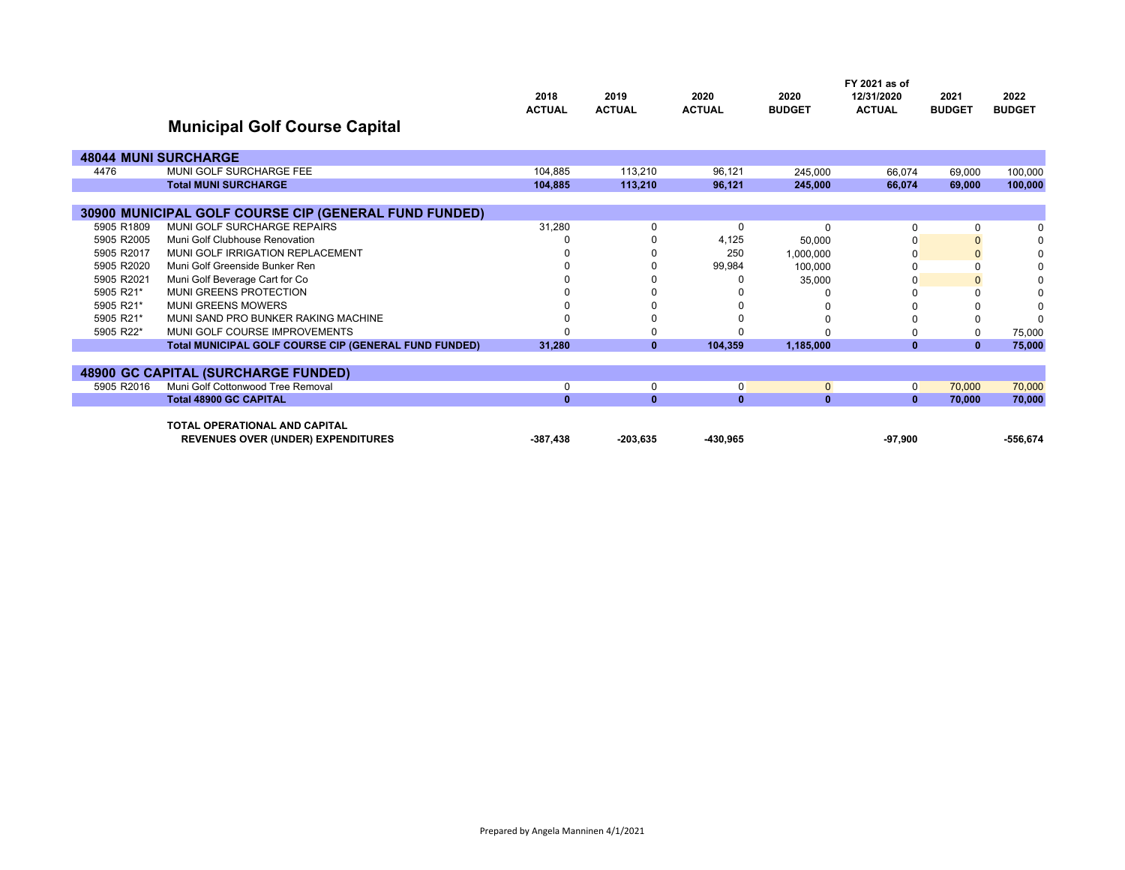|            |                                                       | 2018          | 2019          | 2020          | 2020          | FY 2021 as of<br>12/31/2020 | 2021          | 2022          |
|------------|-------------------------------------------------------|---------------|---------------|---------------|---------------|-----------------------------|---------------|---------------|
|            | <b>Municipal Golf Course Capital</b>                  | <b>ACTUAL</b> | <b>ACTUAL</b> | <b>ACTUAL</b> | <b>BUDGET</b> | <b>ACTUAL</b>               | <b>BUDGET</b> | <b>BUDGET</b> |
|            | <b>48044 MUNI SURCHARGE</b>                           |               |               |               |               |                             |               |               |
| 4476       | MUNI GOLF SURCHARGE FEE                               | 104,885       | 113,210       | 96,121        | 245.000       | 66.074                      | 69.000        | 100.000       |
|            | <b>Total MUNI SURCHARGE</b>                           | 104.885       | 113,210       | 96.121        | 245,000       | 66.074                      | 69,000        | 100,000       |
|            |                                                       |               |               |               |               |                             |               |               |
|            | 30900 MUNICIPAL GOLF COURSE CIP (GENERAL FUND FUNDED) |               |               |               |               |                             |               |               |
| 5905 R1809 | MUNI GOLF SURCHARGE REPAIRS                           | 31,280        | $\Omega$      | $\Omega$      | $\Omega$      | 0                           | 0             |               |
| 5905 R2005 | Muni Golf Clubhouse Renovation                        |               |               | 4,125         | 50,000        |                             |               | O             |
| 5905 R2017 | MUNI GOLF IRRIGATION REPLACEMENT                      |               |               | 250           | 1,000,000     | O                           |               |               |
| 5905 R2020 | Muni Golf Greenside Bunker Ren                        |               |               | 99,984        | 100.000       |                             |               | O             |
| 5905 R2021 | Muni Golf Beverage Cart for Co                        |               |               |               | 35,000        | O                           |               | O             |
| 5905 R21*  | MUNI GREENS PROTECTION                                |               |               |               |               |                             |               |               |
| 5905 R21*  | <b>MUNI GREENS MOWERS</b>                             |               |               |               |               |                             |               | C             |
| 5905 R21*  | MUNI SAND PRO BUNKER RAKING MACHINE                   |               |               |               |               |                             |               | $\Omega$      |
| 5905 R22*  | MUNI GOLF COURSE IMPROVEMENTS                         |               |               |               |               |                             |               | 75,000        |
|            | Total MUNICIPAL GOLF COURSE CIP (GENERAL FUND FUNDED) | 31,280        | $\bf{0}$      | 104,359       | 1,185,000     | $\bf{0}$                    | $\mathbf{0}$  | 75,000        |
|            |                                                       |               |               |               |               |                             |               |               |
|            | <b>48900 GC CAPITAL (SURCHARGE FUNDED)</b>            |               |               |               |               |                             |               |               |
| 5905 R2016 | Muni Golf Cottonwood Tree Removal                     | $\Omega$      | $\Omega$      | 0             | $\Omega$      | 0                           | 70,000        | 70,000        |
|            | <b>Total 48900 GC CAPITAL</b>                         | $\mathbf{0}$  | $\bf{0}$      | $\mathbf{0}$  | $\mathbf{0}$  | $\mathbf{0}$                | 70.000        | 70,000        |
|            |                                                       |               |               |               |               |                             |               |               |
|            | <b>TOTAL OPERATIONAL AND CAPITAL</b>                  |               |               |               |               |                             |               |               |
|            | <b>REVENUES OVER (UNDER) EXPENDITURES</b>             | $-387,438$    | $-203.635$    | -430.965      |               | $-97.900$                   |               | $-556.674$    |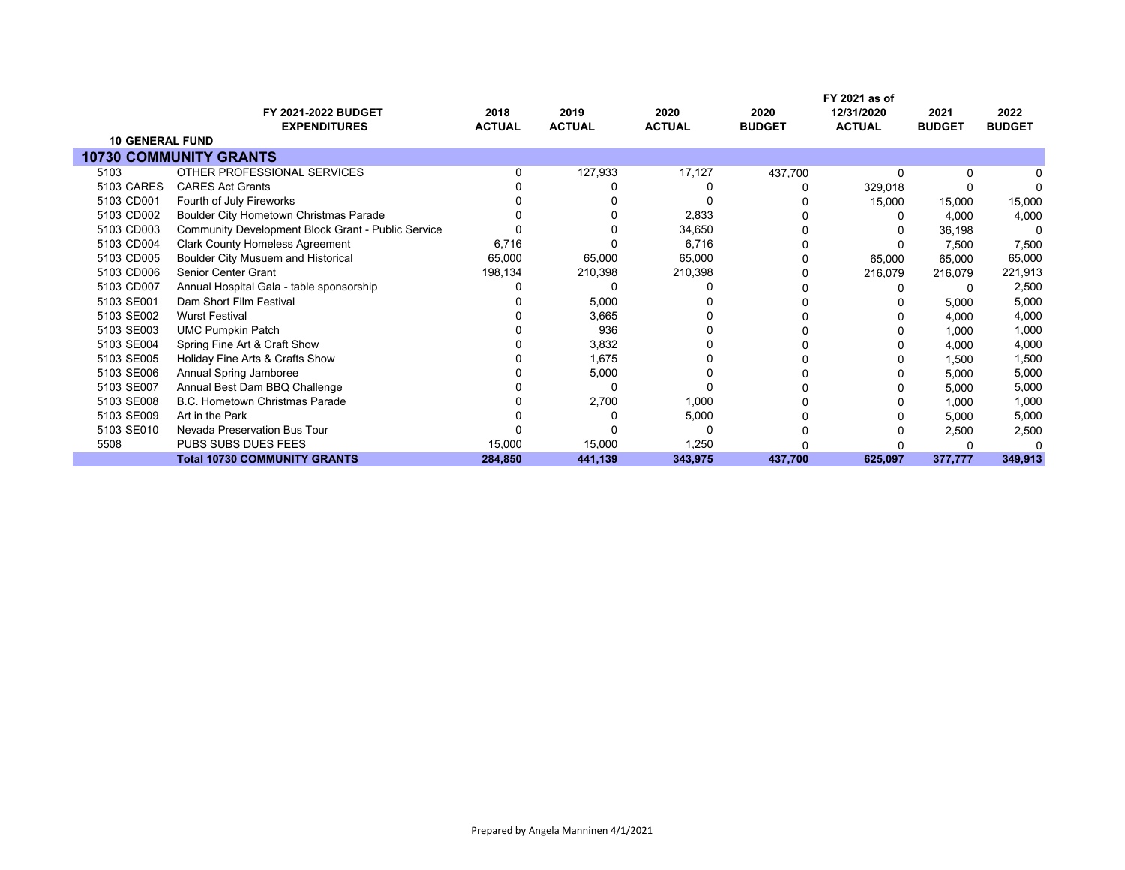|                        | <b>FY 2021-2022 BUDGET</b>                                | 2018          | 2019          | 2020          | 2020          | FY 2021 as of<br>12/31/2020 | 2021          | 2022          |
|------------------------|-----------------------------------------------------------|---------------|---------------|---------------|---------------|-----------------------------|---------------|---------------|
|                        | <b>EXPENDITURES</b>                                       | <b>ACTUAL</b> | <b>ACTUAL</b> | <b>ACTUAL</b> | <b>BUDGET</b> | <b>ACTUAL</b>               | <b>BUDGET</b> | <b>BUDGET</b> |
| <b>10 GENERAL FUND</b> |                                                           |               |               |               |               |                             |               |               |
|                        | <b>10730 COMMUNITY GRANTS</b>                             |               |               |               |               |                             |               |               |
| 5103                   | OTHER PROFESSIONAL SERVICES                               |               | 127,933       | 17,127        | 437,700       | O                           | 0             |               |
| 5103 CARES             | <b>CARES Act Grants</b>                                   |               |               |               |               | 329,018                     |               |               |
| 5103 CD001             | Fourth of July Fireworks                                  |               |               |               |               | 15,000                      | 15,000        | 15,000        |
| 5103 CD002             | Boulder City Hometown Christmas Parade                    |               |               | 2,833         |               |                             | 4,000         | 4,000         |
| 5103 CD003             | <b>Community Development Block Grant - Public Service</b> |               |               | 34,650        |               |                             | 36,198        | 0             |
| 5103 CD004             | <b>Clark County Homeless Agreement</b>                    | 6,716         |               | 6,716         |               |                             | 7,500         | 7,500         |
| 5103 CD005             | Boulder City Musuem and Historical                        | 65,000        | 65,000        | 65,000        |               | 65,000                      | 65,000        | 65,000        |
| 5103 CD006             | <b>Senior Center Grant</b>                                | 198,134       | 210,398       | 210,398       |               | 216,079                     | 216,079       | 221,913       |
| 5103 CD007             | Annual Hospital Gala - table sponsorship                  |               |               |               |               |                             | 0             | 2,500         |
| 5103 SE001             | Dam Short Film Festival                                   |               | 5,000         |               |               |                             | 5,000         | 5,000         |
| 5103 SE002             | <b>Wurst Festival</b>                                     |               | 3,665         |               |               |                             | 4,000         | 4,000         |
| 5103 SE003             | <b>UMC Pumpkin Patch</b>                                  |               | 936           |               |               |                             | 1,000         | 1,000         |
| 5103 SE004             | Spring Fine Art & Craft Show                              |               | 3,832         |               |               |                             | 4,000         | 4,000         |
| 5103 SE005             | Holiday Fine Arts & Crafts Show                           |               | 1,675         |               |               |                             | 1,500         | 1,500         |
| 5103 SE006             | Annual Spring Jamboree                                    |               | 5,000         |               |               |                             | 5,000         | 5,000         |
| 5103 SE007             | Annual Best Dam BBQ Challenge                             |               |               |               |               |                             | 5,000         | 5,000         |
| 5103 SE008             | <b>B.C. Hometown Christmas Parade</b>                     |               | 2,700         | 1,000         |               |                             | 1,000         | 1,000         |
| 5103 SE009             | Art in the Park                                           |               |               | 5,000         |               |                             | 5,000         | 5,000         |
| 5103 SE010             | Nevada Preservation Bus Tour                              |               |               | ŋ             |               |                             | 2,500         | 2,500         |
| 5508                   | PUBS SUBS DUES FEES                                       | 15,000        | 15,000        | 1,250         |               |                             |               |               |
|                        | <b>Total 10730 COMMUNITY GRANTS</b>                       | 284,850       | 441,139       | 343,975       | 437,700       | 625,097                     | 377,777       | 349,913       |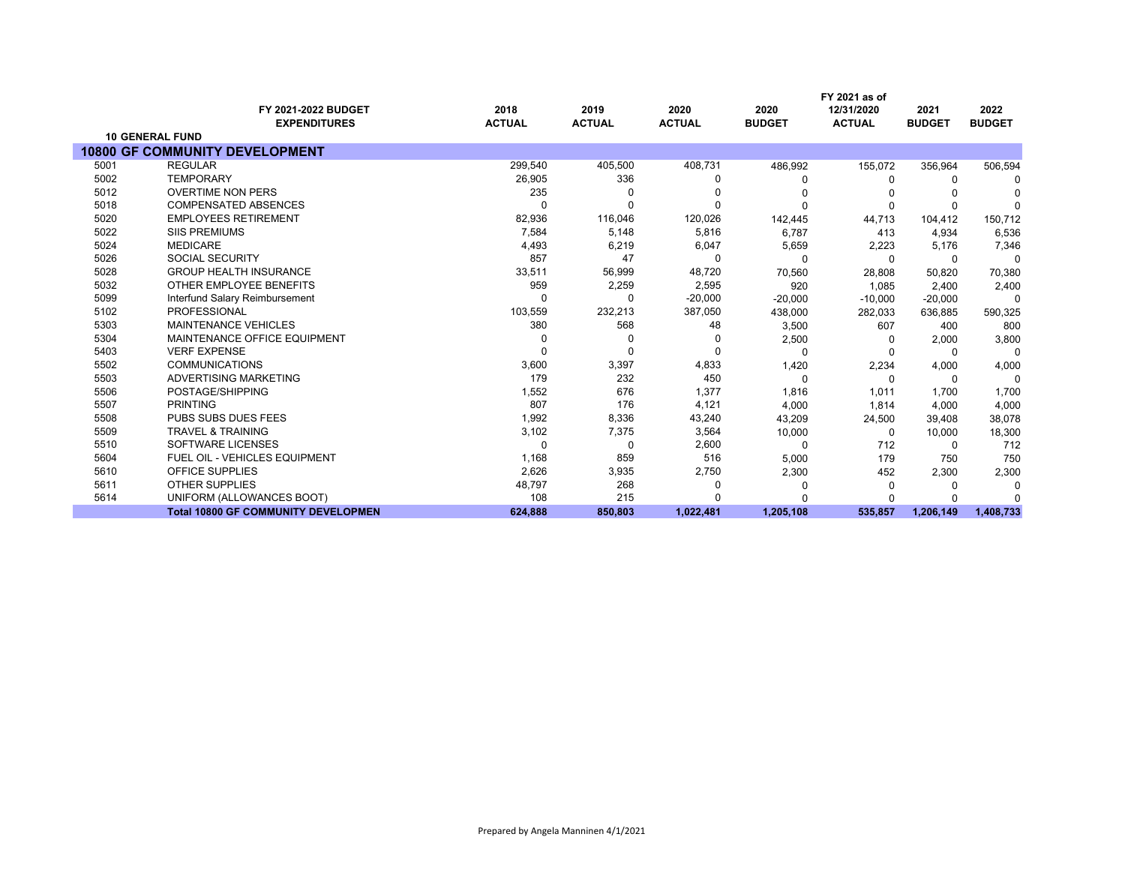|      |                                            |                       |                       |                       |                       | FY 2021 as of               |                       |                       |
|------|--------------------------------------------|-----------------------|-----------------------|-----------------------|-----------------------|-----------------------------|-----------------------|-----------------------|
|      | FY 2021-2022 BUDGET<br><b>EXPENDITURES</b> | 2018<br><b>ACTUAL</b> | 2019<br><b>ACTUAL</b> | 2020<br><b>ACTUAL</b> | 2020<br><b>BUDGET</b> | 12/31/2020<br><b>ACTUAL</b> | 2021<br><b>BUDGET</b> | 2022<br><b>BUDGET</b> |
|      | <b>10 GENERAL FUND</b>                     |                       |                       |                       |                       |                             |                       |                       |
|      | <b>10800 GF COMMUNITY DEVELOPMENT</b>      |                       |                       |                       |                       |                             |                       |                       |
| 5001 | <b>REGULAR</b>                             | 299,540               | 405,500               | 408,731               | 486,992               | 155,072                     | 356,964               | 506,594               |
| 5002 | <b>TEMPORARY</b>                           | 26,905                | 336                   | <sup>0</sup>          |                       | 0                           | 0                     |                       |
| 5012 | <b>OVERTIME NON PERS</b>                   | 235                   |                       |                       |                       |                             |                       |                       |
| 5018 | <b>COMPENSATED ABSENCES</b>                |                       |                       | $\Omega$              |                       | 0                           | <sup>0</sup>          |                       |
| 5020 | <b>EMPLOYEES RETIREMENT</b>                | 82,936                | 116,046               | 120,026               | 142,445               | 44,713                      | 104,412               | 150,712               |
| 5022 | <b>SIIS PREMIUMS</b>                       | 7,584                 | 5,148                 | 5,816                 | 6,787                 | 413                         | 4,934                 | 6,536                 |
| 5024 | <b>MEDICARE</b>                            | 4,493                 | 6,219                 | 6,047                 | 5,659                 | 2,223                       | 5,176                 | 7,346                 |
| 5026 | <b>SOCIAL SECURITY</b>                     | 857                   | 47                    | $\Omega$              | n                     | $\Omega$                    | $\Omega$              | $\Omega$              |
| 5028 | <b>GROUP HEALTH INSURANCE</b>              | 33,511                | 56,999                | 48,720                | 70,560                | 28,808                      | 50,820                | 70,380                |
| 5032 | OTHER EMPLOYEE BENEFITS                    | 959                   | 2,259                 | 2,595                 | 920                   | 1,085                       | 2,400                 | 2,400                 |
| 5099 | Interfund Salary Reimbursement             |                       | $\Omega$              | $-20,000$             | $-20,000$             | $-10,000$                   | $-20,000$             | $\Omega$              |
| 5102 | PROFESSIONAL                               | 103,559               | 232,213               | 387,050               | 438,000               | 282,033                     | 636,885               | 590,325               |
| 5303 | <b>MAINTENANCE VEHICLES</b>                | 380                   | 568                   | 48                    | 3,500                 | 607                         | 400                   | 800                   |
| 5304 | MAINTENANCE OFFICE EQUIPMENT               |                       |                       | <sup>0</sup>          | 2,500                 | <sup>0</sup>                | 2,000                 | 3,800                 |
| 5403 | <b>VERF EXPENSE</b>                        |                       |                       | $\Omega$              | $\Omega$              |                             | $\Omega$              | $\Omega$              |
| 5502 | <b>COMMUNICATIONS</b>                      | 3,600                 | 3,397                 | 4,833                 | 1,420                 | 2,234                       | 4,000                 | 4,000                 |
| 5503 | ADVERTISING MARKETING                      | 179                   | 232                   | 450                   | $\Omega$              | $\Omega$                    | $\Omega$              | $\Omega$              |
| 5506 | POSTAGE/SHIPPING                           | 1,552                 | 676                   | 1,377                 | 1,816                 | 1,011                       | 1.700                 | 1,700                 |
| 5507 | <b>PRINTING</b>                            | 807                   | 176                   | 4,121                 | 4,000                 | 1,814                       | 4,000                 | 4,000                 |
| 5508 | <b>PUBS SUBS DUES FEES</b>                 | 1,992                 | 8,336                 | 43,240                | 43,209                | 24,500                      | 39,408                | 38,078                |
| 5509 | <b>TRAVEL &amp; TRAINING</b>               | 3,102                 | 7,375                 | 3,564                 | 10,000                | $\Omega$                    | 10,000                | 18,300                |
| 5510 | SOFTWARE LICENSES                          | $\Omega$              | 0                     | 2,600                 | 0                     | 712                         | 0                     | 712                   |
| 5604 | FUEL OIL - VEHICLES EQUIPMENT              | 1,168                 | 859                   | 516                   | 5,000                 | 179                         | 750                   | 750                   |
| 5610 | <b>OFFICE SUPPLIES</b>                     | 2,626                 | 3,935                 | 2,750                 | 2,300                 | 452                         | 2,300                 | 2,300                 |
| 5611 | <b>OTHER SUPPLIES</b>                      | 48,797                | 268                   | 0                     |                       | 0                           | n                     |                       |
| 5614 | UNIFORM (ALLOWANCES BOOT)                  | 108                   | 215                   |                       |                       |                             | n                     |                       |
|      | <b>Total 10800 GF COMMUNITY DEVELOPMEN</b> | 624,888               | 850,803               | 1,022,481             | 1,205,108             | 535,857                     | 1,206,149             | 1,408,733             |